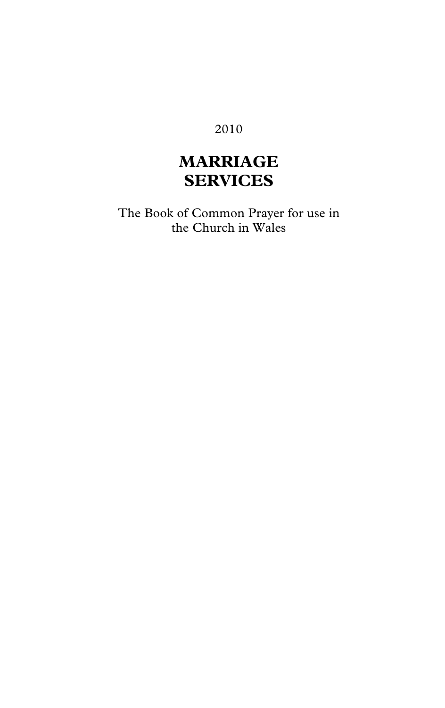2010

## **MARRIAGE SERVICES**

The Book of Common Prayer for use in the Church in Wales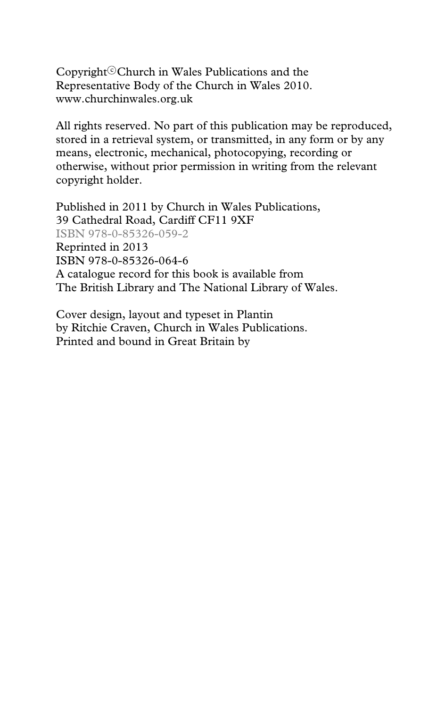Copyright  $\odot$  Church in Wales Publications and the Representative Body of the Church in Wales 2010. www.churchinwales.org.uk

All rights reserved. No part of this publication may be reproduced, stored in a retrieval system, or transmitted, in any form or by any means, electronic, mechanical, photocopying, recording or otherwise, without prior permission in writing from the relevant copyright holder.

Published in 2011 by Church in Wales Publications, 39 Cathedral Road, Cardiff CF11 9XF ISBN 978-0-85326-059-2 Reprinted in 2013 ISBN 978-0-85326-064-6 A catalogue record for this book is available from The British Library and The National Library of Wales.

Cover design, layout and typeset in Plantin by Ritchie Craven, Church in Wales Publications. Printed and bound in Great Britain by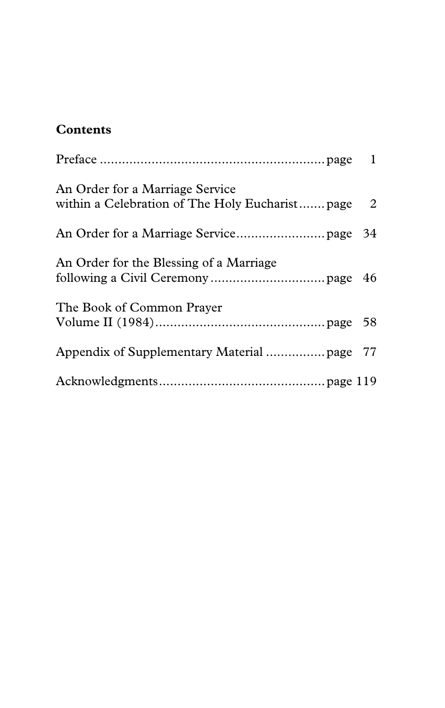## **Contents**

| An Order for a Marriage Service<br>within a Celebration of The Holy Eucharist page | 2 |
|------------------------------------------------------------------------------------|---|
|                                                                                    |   |
| An Order for the Blessing of a Marriage                                            |   |
| The Book of Common Prayer                                                          |   |
|                                                                                    |   |
|                                                                                    |   |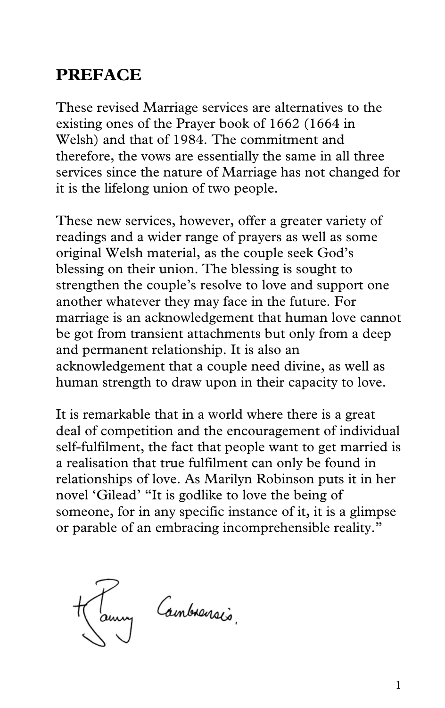## **PREFACE**

These revised Marriage services are alternatives to the existing ones of the Prayer book of 1662 (1664 in Welsh) and that of 1984. The commitment and therefore, the vows are essentially the same in all three services since the nature of Marriage has not changed for it is the lifelong union of two people.

These new services, however, offer a greater variety of readings and a wider range of prayers as well as some original Welsh material, as the couple seek God's blessing on their union. The blessing is sought to strengthen the couple's resolve to love and support one another whatever they may face in the future. For marriage is an acknowledgement that human love cannot be got from transient attachments but only from a deep and permanent relationship. It is also an acknowledgement that a couple need divine, as well as human strength to draw upon in their capacity to love.

It is remarkable that in a world where there is a great deal of competition and the encouragement of individual self-fulfilment, the fact that people want to get married is a realisation that true fulfilment can only be found in relationships of love. As Marilyn Robinson puts it in her novel 'Gilead' "It is godlike to love the being of someone, for in any specific instance of it, it is a glimpse or parable of an embracing incomprehensible reality."

James Cambrensis.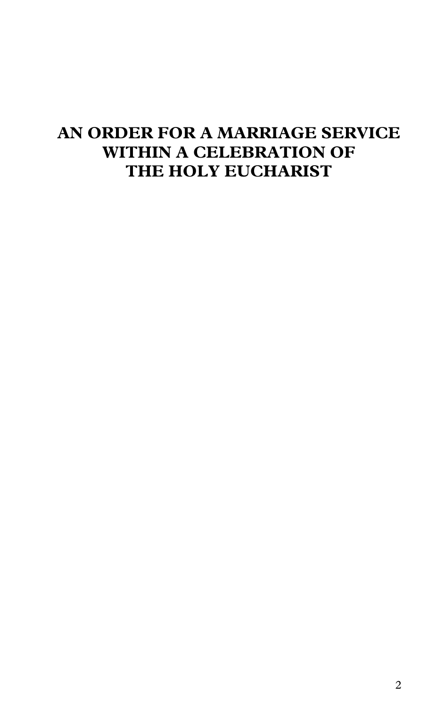## **AN ORDER FOR A MARRIAGE SERVICE WITHIN A CELEBRATION OF THE HOLY EUCHARIST**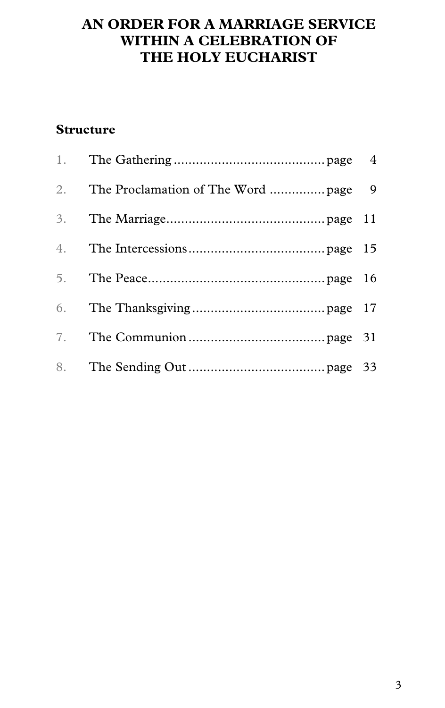## **AN ORDER FOR A MARRIAGE SERVICE WITHIN A CELEBRATION OF THE HOLY EUCHARIST**

## **Structure**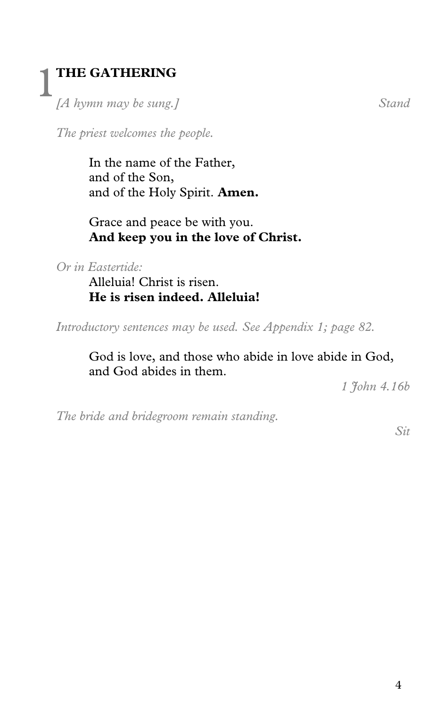# **THE GATHERING** 1

*[A hymn may be sung.] Stand* 

*The priest welcomes the people.* 

 In the name of the Father, and of the Son, and of the Holy Spirit. **Amen.**

 Grace and peace be with you.  **And keep you in the love of Christ.** 

*Or in Eastertide:* 

 Alleluia! Christ is risen.  **He is risen indeed. Alleluia!** 

*Introductory sentences may be used. See Appendix 1; page 82.* 

 God is love, and those who abide in love abide in God, and God abides in them.

*1 John 4.16b* 

*The bride and bridegroom remain standing.* 

*Sit* 

4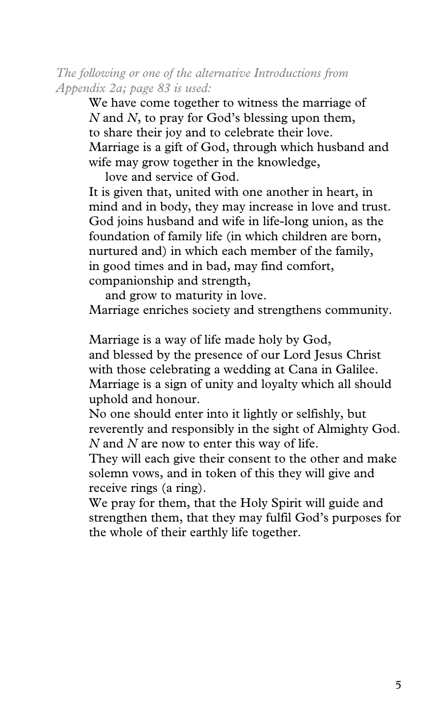#### *The following or one of the alternative Introductions from Appendix 2a; page 83 is used:*

We have come together to witness the marriage of *N* and *N*, to pray for God's blessing upon them, to share their joy and to celebrate their love. Marriage is a gift of God, through which husband and wife may grow together in the knowledge,

love and service of God.

It is given that, united with one another in heart, in mind and in body, they may increase in love and trust. God joins husband and wife in life-long union, as the foundation of family life (in which children are born, nurtured and) in which each member of the family, in good times and in bad, may find comfort, companionship and strength,

 and grow to maturity in love. Marriage enriches society and strengthens community.

Marriage is a way of life made holy by God, and blessed by the presence of our Lord Jesus Christ with those celebrating a wedding at Cana in Galilee. Marriage is a sign of unity and loyalty which all should uphold and honour.

No one should enter into it lightly or selfishly, but reverently and responsibly in the sight of Almighty God. *N* and *N* are now to enter this way of life.

They will each give their consent to the other and make solemn vows, and in token of this they will give and receive rings (a ring).

We pray for them, that the Holy Spirit will guide and strengthen them, that they may fulfil God's purposes for the whole of their earthly life together.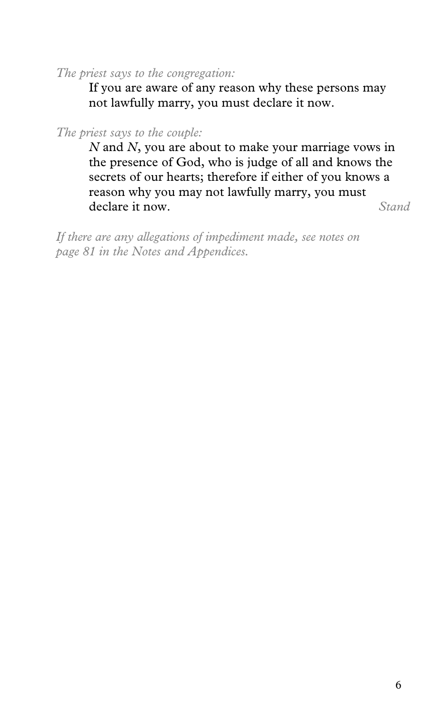*The priest says to the congregation:* 

If you are aware of any reason why these persons may not lawfully marry, you must declare it now.

*The priest says to the couple:* 

*N* and *N*, you are about to make your marriage vows in the presence of God, who is judge of all and knows the secrets of our hearts; therefore if either of you knows a reason why you may not lawfully marry, you must declare it now. *Stand*

*If there are any allegations of impediment made, see notes on page 81 in the Notes and Appendices.*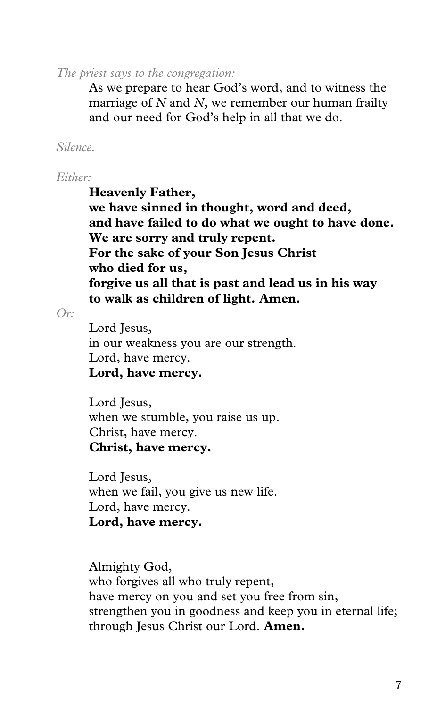*The priest says to the congregation:* 

As we prepare to hear God's word, and to witness the marriage of *N* and *N*, we remember our human frailty and our need for God's help in all that we do.

*Silence.* 

#### *Either:*

**Heavenly Father, we have sinned in thought, word and deed, and have failed to do what we ought to have done. We are sorry and truly repent. For the sake of your Son Jesus Christ who died for us, forgive us all that is past and lead us in his way to walk as children of light. Amen.** 

*Or:*

Lord Jesus, in our weakness you are our strength. Lord, have mercy. **Lord, have mercy.**

Lord Jesus, when we stumble, you raise us up. Christ, have mercy. **Christ, have mercy.**

Lord Jesus, when we fail, you give us new life. Lord, have mercy. **Lord, have mercy.**

 Almighty God, who forgives all who truly repent, have mercy on you and set you free from sin, strengthen you in goodness and keep you in eternal life; through Jesus Christ our Lord. **Amen.**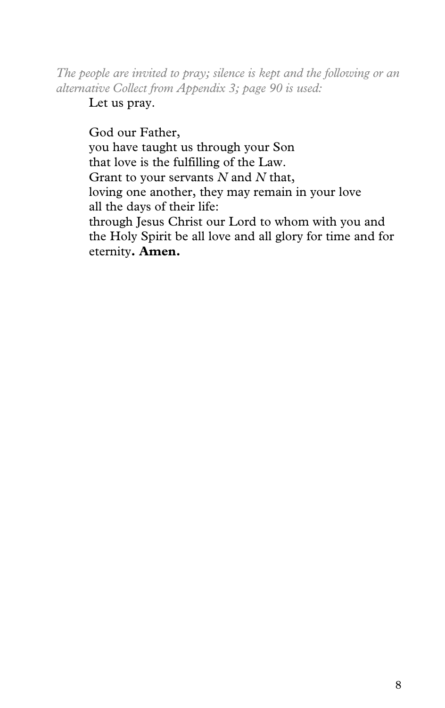*The people are invited to pray; silence is kept and the following or an alternative Collect from Appendix 3; page 90 is used:* 

Let us pray.

God our Father, you have taught us through your Son that love is the fulfilling of the Law. Grant to your servants *N* and *N* that, loving one another, they may remain in your love all the days of their life: through Jesus Christ our Lord to whom with you and the Holy Spirit be all love and all glory for time and for eternity**. Amen.**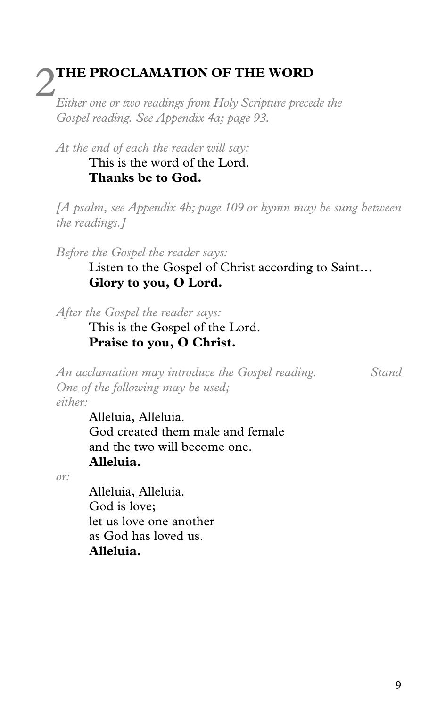# **THE PROCLAMATION OF THE WORD**<br>Fither one or two readings from Holy Scripture preces

*Either one or two readings from Holy Scripture precede the Gospel reading. See Appendix 4a; page 93.* 

*At the end of each the reader will say:*  This is the word of the Lord. **Thanks be to God.** 

*[A psalm, see Appendix 4b; page 109 or hymn may be sung between the readings.]* 

*Before the Gospel the reader says:* 

Listen to the Gospel of Christ according to Saint… **Glory to you, O Lord.** 

*After the Gospel the reader says:* 

This is the Gospel of the Lord. **Praise to you, O Christ.** 

*An acclamation may introduce the Gospel reading. Stand One of the following may be used; either:* 

Alleluia, Alleluia. God created them male and female and the two will become one. **Alleluia.** 

*or:*

Alleluia, Alleluia. God is love; let us love one another as God has loved us. **Alleluia.**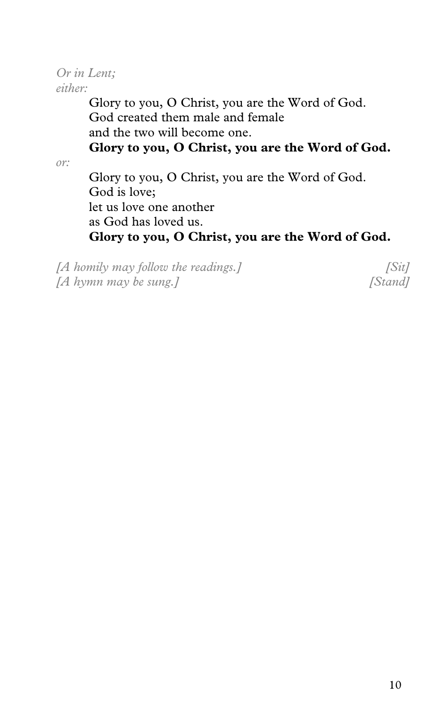*Or in Lent; either:*  Glory to you, O Christ, you are the Word of God. God created them male and female and the two will become one. **Glory to you, O Christ, you are the Word of God.**  *or:*  Glory to you, O Christ, you are the Word of God. God is love; let us love one another as God has loved us.

#### **Glory to you, O Christ, you are the Word of God.**

*[A homily may follow the readings.] [Sit] [A hymn may be sung.] [Stand]*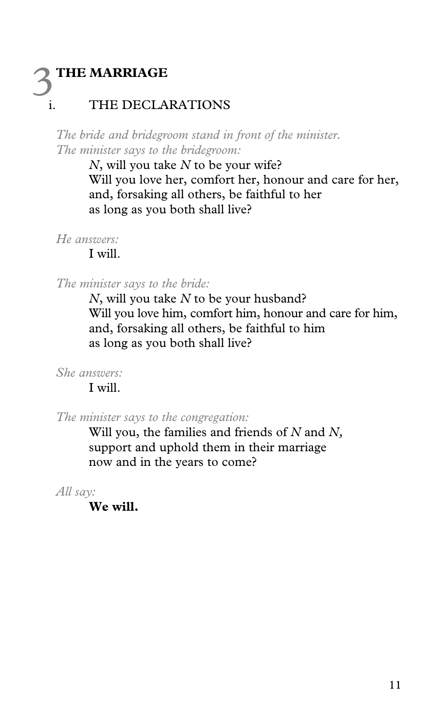# **THE MARRIAGE** 3

## i. THE DECLARATIONS

*The bride and bridegroom stand in front of the minister. The minister says to the bridegroom:* 

> *N*, will you take *N* to be your wife? Will you love her, comfort her, honour and care for her, and, forsaking all others, be faithful to her as long as you both shall live?

*He answers:* 

I will.

*The minister says to the bride:* 

*N*, will you take *N* to be your husband? Will you love him, comfort him, honour and care for him, and, forsaking all others, be faithful to him as long as you both shall live?

*She answers:* 

I will.

*The minister says to the congregation:* 

Will you, the families and friends of *N* and *N,*  support and uphold them in their marriage now and in the years to come?

*All say:* 

 **We will.**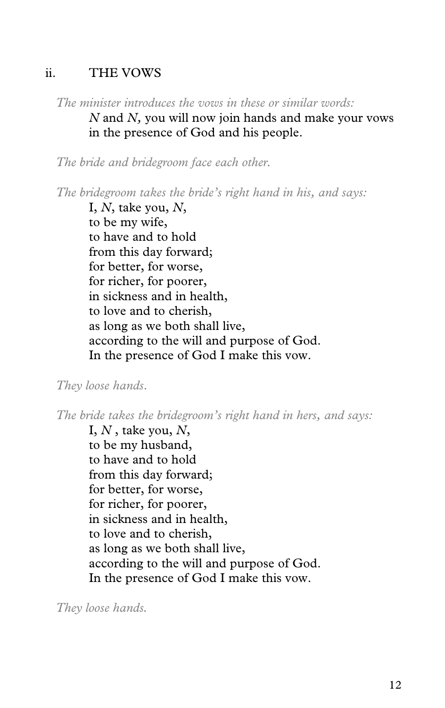#### ii. THE VOWS

*The minister introduces the vows in these or similar words:* 

*N* and *N,* you will now join hands and make your vows in the presence of God and his people.

*The bride and bridegroom face each other.* 

*The bridegroom takes the bride's right hand in his, and says:* 

I, *N*, take you, *N*, to be my wife, to have and to hold from this day forward; for better, for worse, for richer, for poorer, in sickness and in health, to love and to cherish, as long as we both shall live, according to the will and purpose of God. In the presence of God I make this vow.

#### *They loose hands*.

*The bride takes the bridegroom's right hand in hers, and says:* 

I, *N* , take you, *N*, to be my husband, to have and to hold from this day forward; for better, for worse, for richer, for poorer, in sickness and in health, to love and to cherish, as long as we both shall live, according to the will and purpose of God. In the presence of God I make this vow.

*They loose hands.*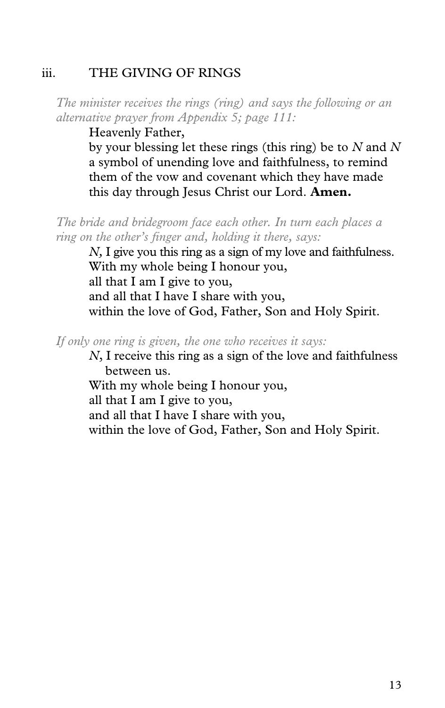#### iii. THE GIVING OF RINGS

*The minister receives the rings (ring) and says the following or an alternative prayer from Appendix 5; page 111:*

Heavenly Father,

by your blessing let these rings (this ring) be to *N* and *N*  a symbol of unending love and faithfulness, to remind them of the vow and covenant which they have made this day through Jesus Christ our Lord. **Amen.**

*The bride and bridegroom face each other. In turn each places a ring on the other's finger and, holding it there, says:* 

*N,* I give you this ring as a sign of my love and faithfulness. With my whole being I honour you, all that I am I give to you, and all that I have I share with you, within the love of God, Father, Son and Holy Spirit.

*If only one ring is given, the one who receives it says:* 

*N*, I receive this ring as a sign of the love and faithfulness between us. With my whole being I honour you,

all that I am I give to you,

and all that I have I share with you,

within the love of God, Father, Son and Holy Spirit.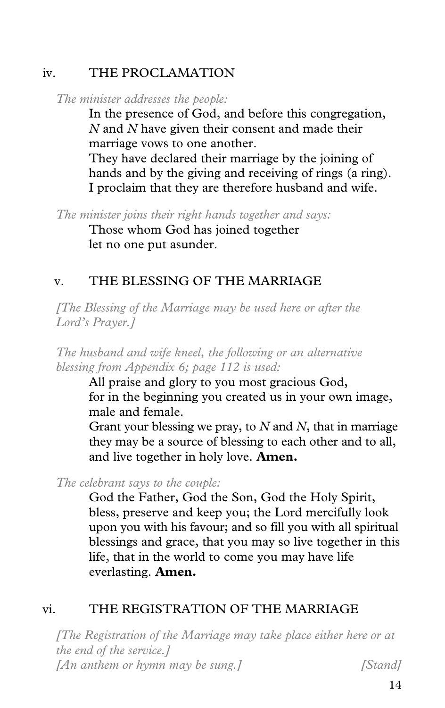#### iv. THE PROCLAMATION

*The minister addresses the people:*

 In the presence of God, and before this congregation, *N* and *N* have given their consent and made their marriage vows to one another.

They have declared their marriage by the joining of hands and by the giving and receiving of rings (a ring). I proclaim that they are therefore husband and wife.

*The minister joins their right hands together and says:* 

Those whom God has joined together let no one put asunder.

#### v. THE BLESSING OF THE MARRIAGE

*[The Blessing of the Marriage may be used here or after the Lord's Prayer.]* 

*The husband and wife kneel, the following or an alternative blessing from Appendix 6; page 112 is used:* 

> All praise and glory to you most gracious God, for in the beginning you created us in your own image, male and female.

Grant your blessing we pray, to *N* and *N*, that in marriage they may be a source of blessing to each other and to all, and live together in holy love. **Amen.**

*The celebrant says to the couple:* 

God the Father, God the Son, God the Holy Spirit, bless, preserve and keep you; the Lord mercifully look upon you with his favour; and so fill you with all spiritual blessings and grace, that you may so live together in this life, that in the world to come you may have life everlasting. **Amen.** 

## vi. THE REGISTRATION OF THE MARRIAGE

*[The Registration of the Marriage may take place either here or at the end of the service.] [An anthem or hymn may be sung.] [Stand]*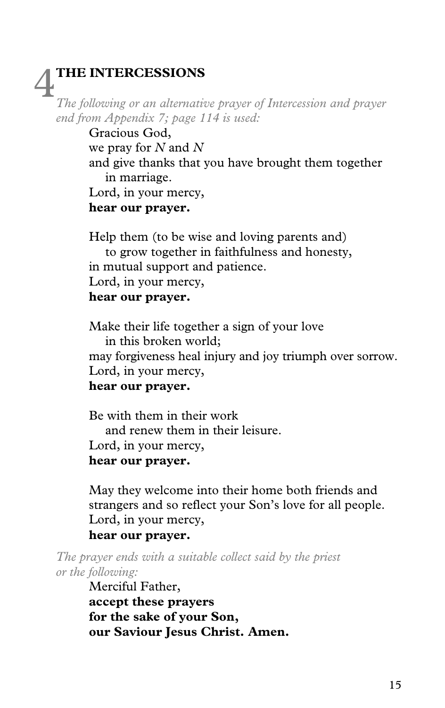# **THE INTERCESSIONS** 4

*The following or an alternative prayer of Intercession and prayer end from Appendix 7; page 114 is used:* 

 Gracious God, we pray for *N* and *N* and give thanks that you have brought them together in marriage. Lord, in your mercy, **hear our prayer.**

 Help them (to be wise and loving parents and) to grow together in faithfulness and honesty, in mutual support and patience. Lord, in your mercy,  **hear our prayer.** 

 Make their life together a sign of your love in this broken world; may forgiveness heal injury and joy triumph over sorrow. Lord, in your mercy,  **hear our prayer.** 

Be with them in their work

 and renew them in their leisure. Lord, in your mercy,  **hear our prayer.** 

 May they welcome into their home both friends and strangers and so reflect your Son's love for all people. Lord, in your mercy,  **hear our prayer.** 

*The prayer ends with a suitable collect said by the priest or the following:* 

> Merciful Father, **accept these prayers for the sake of your Son, our Saviour Jesus Christ. Amen.**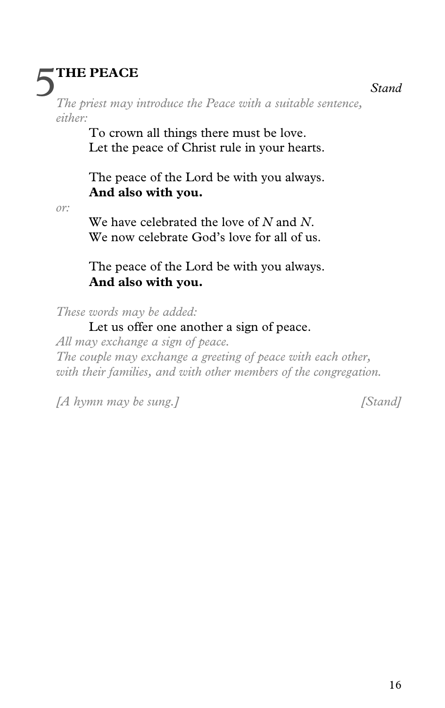

*The priest may introduce the Peace with a suitable sentence, either:* 

> To crown all things there must be love. Let the peace of Christ rule in your hearts.

> The peace of the Lord be with you always. **And also with you.**

*or:* 

We have celebrated the love of *N* and *N*. We now celebrate God's love for all of us.

The peace of the Lord be with you always. **And also with you.** 

*These words may be added:* 

Let us offer one another a sign of peace.

*All may exchange a sign of peace.* 

*The couple may exchange a greeting of peace with each other, with their families, and with other members of the congregation.* 

*[A hymn may be sung.] [Stand]*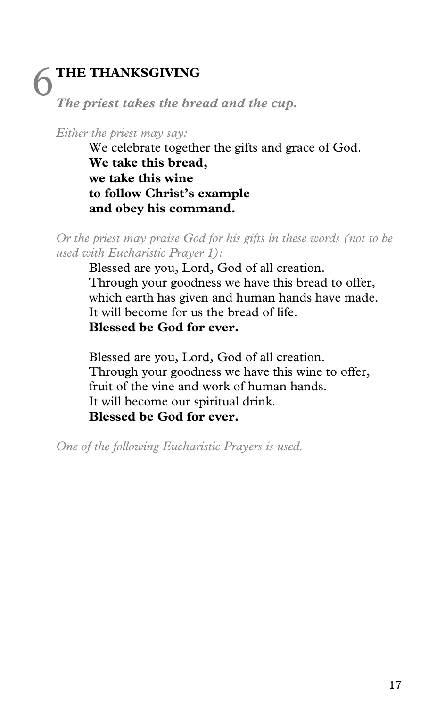# **THE THANKSGIVING**  6

*The priest takes the bread and the cup.* 

*Either the priest may say:* 

We celebrate together the gifts and grace of God. **We take this bread, we take this wine to follow Christ's example and obey his command.** 

*Or the priest may praise God for his gifts in these words (not to be used with Eucharistic Prayer 1):* 

Blessed are you, Lord, God of all creation. Through your goodness we have this bread to offer, which earth has given and human hands have made. It will become for us the bread of life. **Blessed be God for ever.** 

Blessed are you, Lord, God of all creation. Through your goodness we have this wine to offer, fruit of the vine and work of human hands. It will become our spiritual drink. **Blessed be God for ever.** 

*One of the following Eucharistic Prayers is used.*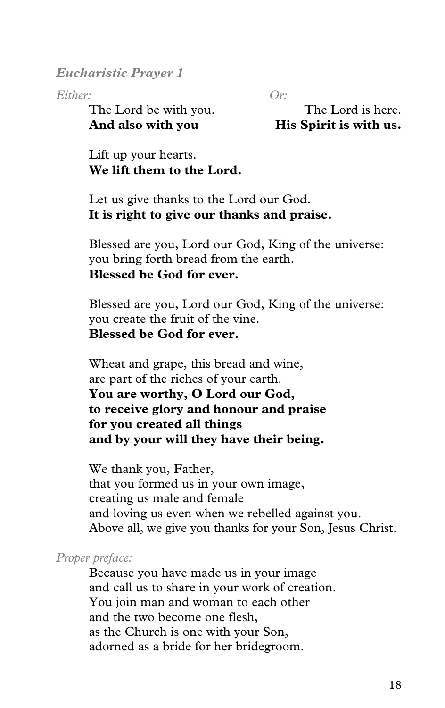*Eucharistic Prayer 1* 

*Either: Or:* 

The Lord be with you. The Lord is here. And also with you **His Spirit is with us.** 

Lift up your hearts. **We lift them to the Lord.** 

Let us give thanks to the Lord our God. **It is right to give our thanks and praise.** 

Blessed are you, Lord our God, King of the universe: you bring forth bread from the earth. **Blessed be God for ever.** 

Blessed are you, Lord our God, King of the universe: you create the fruit of the vine. **Blessed be God for ever.** 

Wheat and grape, this bread and wine, are part of the riches of your earth. **You are worthy, O Lord our God, to receive glory and honour and praise for you created all things and by your will they have their being.** 

We thank you, Father, that you formed us in your own image, creating us male and female and loving us even when we rebelled against you. Above all, we give you thanks for your Son, Jesus Christ.

*Proper preface:* 

Because you have made us in your image and call us to share in your work of creation. You join man and woman to each other and the two become one flesh, as the Church is one with your Son, adorned as a bride for her bridegroom.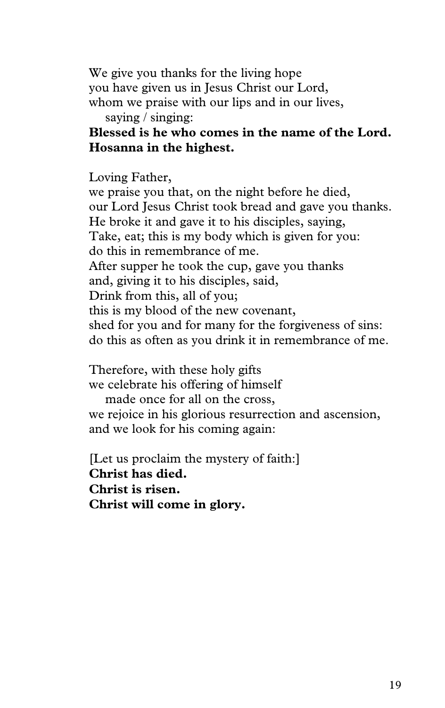We give you thanks for the living hope you have given us in Jesus Christ our Lord, whom we praise with our lips and in our lives, saying / singing:

#### **Blessed is he who comes in the name of the Lord. Hosanna in the highest.**

Loving Father,

 we praise you that, on the night before he died, our Lord Jesus Christ took bread and gave you thanks. He broke it and gave it to his disciples, saying, Take, eat; this is my body which is given for you: do this in remembrance of me. After supper he took the cup, gave you thanks and, giving it to his disciples, said, Drink from this, all of you; this is my blood of the new covenant, shed for you and for many for the forgiveness of sins: do this as often as you drink it in remembrance of me.

Therefore, with these holy gifts we celebrate his offering of himself

 made once for all on the cross, we rejoice in his glorious resurrection and ascension, and we look for his coming again:

[Let us proclaim the mystery of faith:] **Christ has died. Christ is risen. Christ will come in glory.**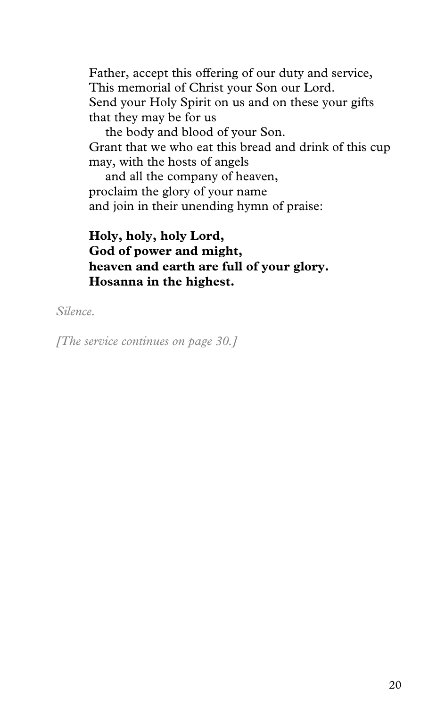Father, accept this offering of our duty and service, This memorial of Christ your Son our Lord. Send your Holy Spirit on us and on these your gifts that they may be for us

 the body and blood of your Son. Grant that we who eat this bread and drink of this cup may, with the hosts of angels

 and all the company of heaven, proclaim the glory of your name and join in their unending hymn of praise:

**Holy, holy, holy Lord, God of power and might, heaven and earth are full of your glory. Hosanna in the highest.** 

*Silence.* 

*[The service continues on page 30.]*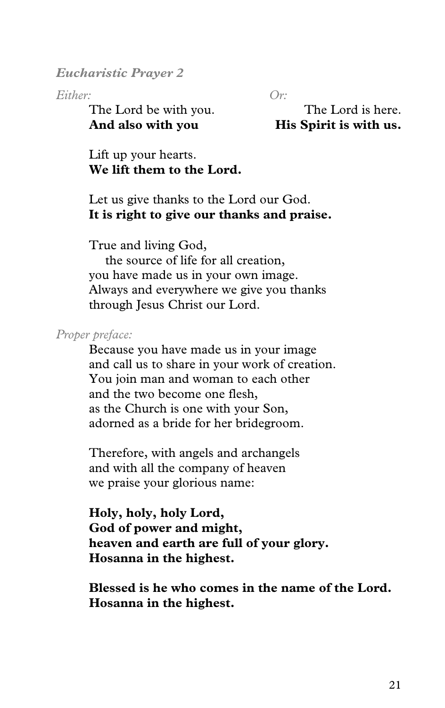*Eucharistic Prayer 2* 

*Either: Or:* 

The Lord be with you. The Lord is here. And also with you **His Spirit is with us.** 

Lift up your hearts. **We lift them to the Lord.** 

Let us give thanks to the Lord our God. **It is right to give our thanks and praise.** 

True and living God,

 the source of life for all creation, you have made us in your own image. Always and everywhere we give you thanks through Jesus Christ our Lord.

*Proper preface:* 

Because you have made us in your image and call us to share in your work of creation. You join man and woman to each other and the two become one flesh, as the Church is one with your Son, adorned as a bride for her bridegroom.

 Therefore, with angels and archangels and with all the company of heaven we praise your glorious name:

**Holy, holy, holy Lord, God of power and might, heaven and earth are full of your glory. Hosanna in the highest.** 

**Blessed is he who comes in the name of the Lord. Hosanna in the highest.**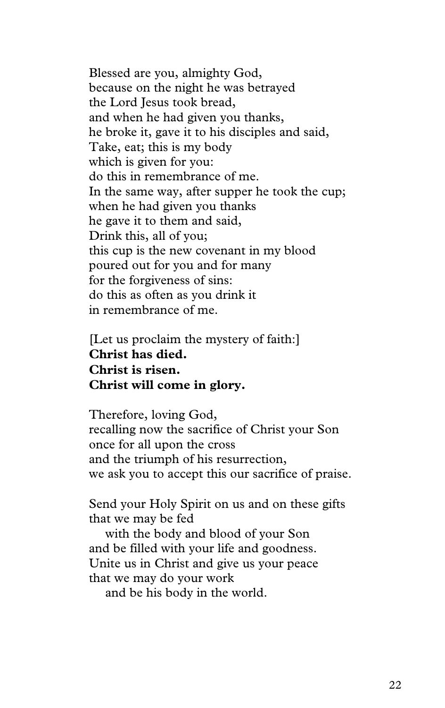Blessed are you, almighty God, because on the night he was betrayed the Lord Jesus took bread, and when he had given you thanks, he broke it, gave it to his disciples and said, Take, eat; this is my body which is given for you: do this in remembrance of me. In the same way, after supper he took the cup; when he had given you thanks he gave it to them and said, Drink this, all of you; this cup is the new covenant in my blood poured out for you and for many for the forgiveness of sins: do this as often as you drink it in remembrance of me.

 [Let us proclaim the mystery of faith:] **Christ has died. Christ is risen. Christ will come in glory.** 

Therefore, loving God, recalling now the sacrifice of Christ your Son once for all upon the cross and the triumph of his resurrection, we ask you to accept this our sacrifice of praise.

Send your Holy Spirit on us and on these gifts that we may be fed

 with the body and blood of your Son and be filled with your life and goodness. Unite us in Christ and give us your peace that we may do your work

and be his body in the world.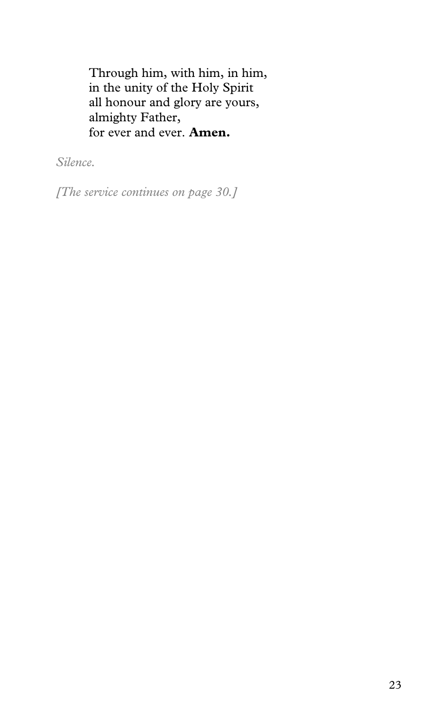Through him, with him, in him, in the unity of the Holy Spirit all honour and glory are yours, almighty Father, for ever and ever. **Amen.**

*Silence.* 

*[The service continues on page 30.]*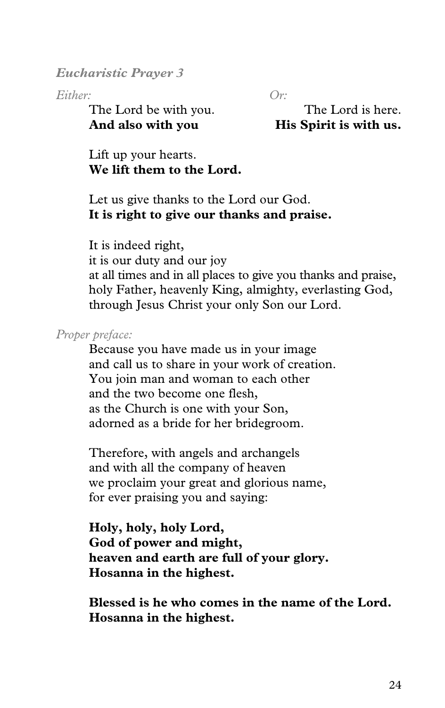*Eucharistic Prayer 3* 

*Either: Or:* 

The Lord be with you. The Lord is here. And also with you **His Spirit is with us.** 

Lift up your hearts. **We lift them to the Lord.** 

Let us give thanks to the Lord our God. **It is right to give our thanks and praise.** 

It is indeed right, it is our duty and our joy at all times and in all places to give you thanks and praise, holy Father, heavenly King, almighty, everlasting God, through Jesus Christ your only Son our Lord.

*Proper preface:* 

Because you have made us in your image and call us to share in your work of creation. You join man and woman to each other and the two become one flesh, as the Church is one with your Son, adorned as a bride for her bridegroom.

Therefore, with angels and archangels and with all the company of heaven we proclaim your great and glorious name, for ever praising you and saying:

**Holy, holy, holy Lord, God of power and might, heaven and earth are full of your glory. Hosanna in the highest.**

**Blessed is he who comes in the name of the Lord. Hosanna in the highest.**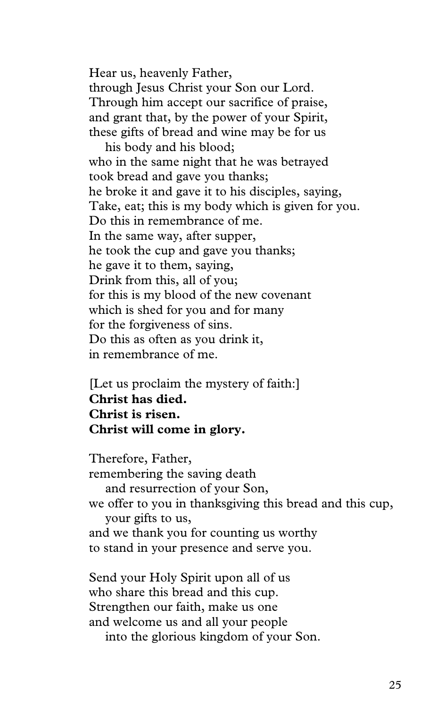Hear us, heavenly Father, through Jesus Christ your Son our Lord. Through him accept our sacrifice of praise, and grant that, by the power of your Spirit, these gifts of bread and wine may be for us

 his body and his blood; who in the same night that he was betrayed took bread and gave you thanks; he broke it and gave it to his disciples, saying, Take, eat; this is my body which is given for you. Do this in remembrance of me. In the same way, after supper, he took the cup and gave you thanks; he gave it to them, saying, Drink from this, all of you; for this is my blood of the new covenant which is shed for you and for many for the forgiveness of sins. Do this as often as you drink it, in remembrance of me.

[Let us proclaim the mystery of faith:] **Christ has died. Christ is risen. Christ will come in glory.** 

Therefore, Father, remembering the saving death and resurrection of your Son, we offer to you in thanksgiving this bread and this cup, your gifts to us, and we thank you for counting us worthy to stand in your presence and serve you.

Send your Holy Spirit upon all of us who share this bread and this cup. Strengthen our faith, make us one and welcome us and all your people into the glorious kingdom of your Son.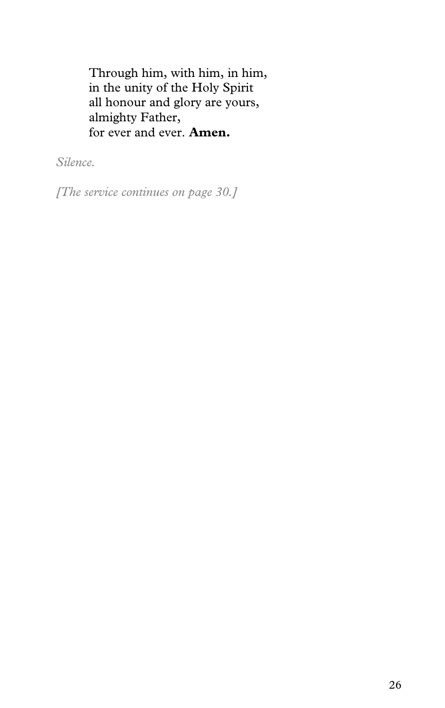Through him, with him, in him, in the unity of the Holy Spirit all honour and glory are yours, almighty Father, for ever and ever. **Amen.**

*Silence.* 

*[The service continues on page 30.]*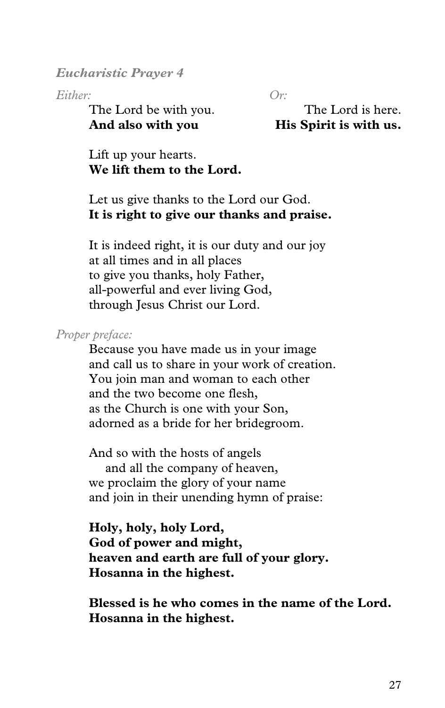*Eucharistic Prayer 4* 

*Either: Or:* 

The Lord be with you. The Lord is here. And also with you **His Spirit is with us.** 

Lift up your hearts. **We lift them to the Lord.** 

Let us give thanks to the Lord our God. **It is right to give our thanks and praise.** 

It is indeed right, it is our duty and our joy at all times and in all places to give you thanks, holy Father, all-powerful and ever living God, through Jesus Christ our Lord.

*Proper preface:* 

Because you have made us in your image and call us to share in your work of creation. You join man and woman to each other and the two become one flesh, as the Church is one with your Son, adorned as a bride for her bridegroom.

And so with the hosts of angels and all the company of heaven, we proclaim the glory of your name and join in their unending hymn of praise:

**Holy, holy, holy Lord, God of power and might, heaven and earth are full of your glory. Hosanna in the highest.** 

**Blessed is he who comes in the name of the Lord. Hosanna in the highest.**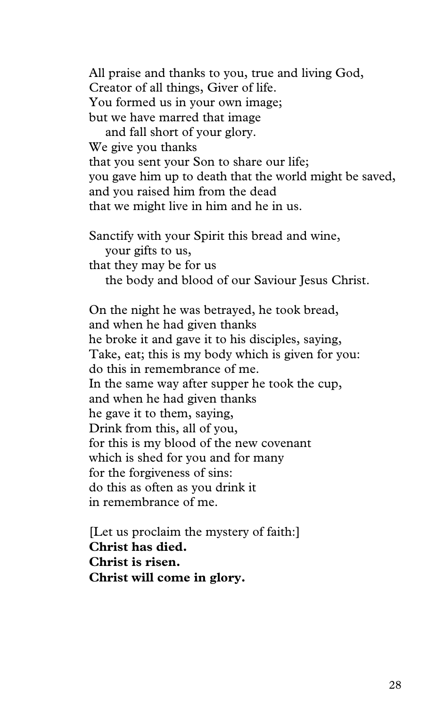All praise and thanks to you, true and living God, Creator of all things, Giver of life. You formed us in your own image; but we have marred that image

 and fall short of your glory. We give you thanks that you sent your Son to share our life; you gave him up to death that the world might be saved, and you raised him from the dead that we might live in him and he in us.

Sanctify with your Spirit this bread and wine, your gifts to us,

that they may be for us

the body and blood of our Saviour Jesus Christ.

On the night he was betrayed, he took bread, and when he had given thanks he broke it and gave it to his disciples, saying, Take, eat; this is my body which is given for you: do this in remembrance of me. In the same way after supper he took the cup, and when he had given thanks he gave it to them, saying, Drink from this, all of you, for this is my blood of the new covenant which is shed for you and for many for the forgiveness of sins: do this as often as you drink it in remembrance of me.

[Let us proclaim the mystery of faith:] **Christ has died. Christ is risen. Christ will come in glory.**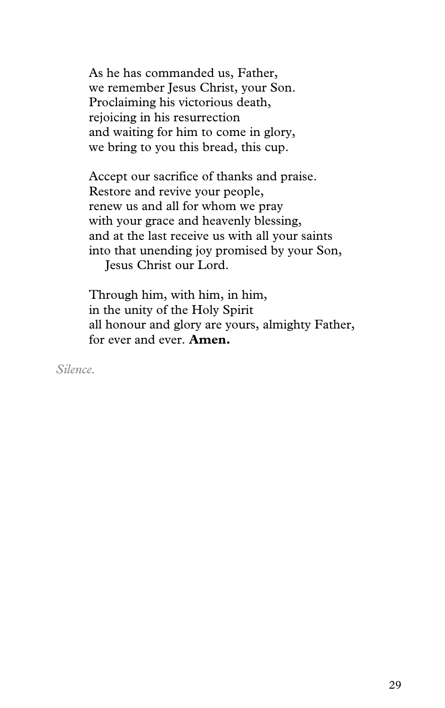As he has commanded us, Father, we remember Jesus Christ, your Son. Proclaiming his victorious death, rejoicing in his resurrection and waiting for him to come in glory, we bring to you this bread, this cup.

Accept our sacrifice of thanks and praise. Restore and revive your people, renew us and all for whom we pray with your grace and heavenly blessing, and at the last receive us with all your saints into that unending joy promised by your Son, Jesus Christ our Lord.

Through him, with him, in him, in the unity of the Holy Spirit all honour and glory are yours, almighty Father, for ever and ever. **Amen.**

*Silence.*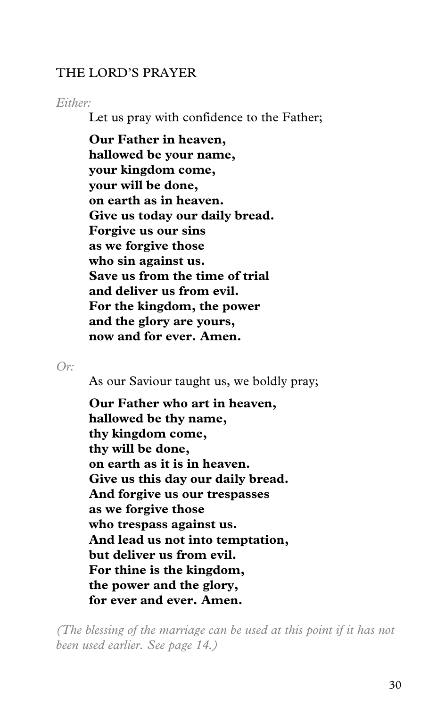#### THE LORD'S PRAYER

*Either:* 

Let us pray with confidence to the Father;

**Our Father in heaven, hallowed be your name, your kingdom come, your will be done, on earth as in heaven. Give us today our daily bread. Forgive us our sins as we forgive those who sin against us. Save us from the time of trial and deliver us from evil. For the kingdom, the power and the glory are yours, now and for ever. Amen.** 

*Or:* 

As our Saviour taught us, we boldly pray;

**Our Father who art in heaven, hallowed be thy name, thy kingdom come, thy will be done, on earth as it is in heaven. Give us this day our daily bread. And forgive us our trespasses as we forgive those who trespass against us. And lead us not into temptation, but deliver us from evil. For thine is the kingdom, the power and the glory, for ever and ever. Amen.** 

*(The blessing of the marriage can be used at this point if it has not been used earlier. See page 14.)*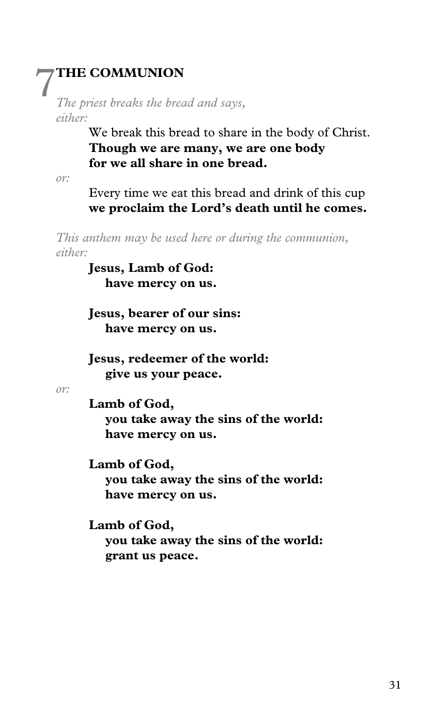# **THE COMMUNION**  7

*The priest breaks the bread and says, either:* 

> We break this bread to share in the body of Christ. **Though we are many, we are one body for we all share in one bread.**

*or:* 

Every time we eat this bread and drink of this cup **we proclaim the Lord's death until he comes.** 

*This anthem may be used here or during the communion, either:* 

> **Jesus, Lamb of God: have mercy on us.**

#### **Jesus, bearer of our sins: have mercy on us.**

**Jesus, redeemer of the world: give us your peace.** 

#### *or:*

**Lamb of God,** 

 **you take away the sins of the world: have mercy on us.** 

#### **Lamb of God,**

 **you take away the sins of the world: have mercy on us.** 

#### **Lamb of God,**

 **you take away the sins of the world: grant us peace.**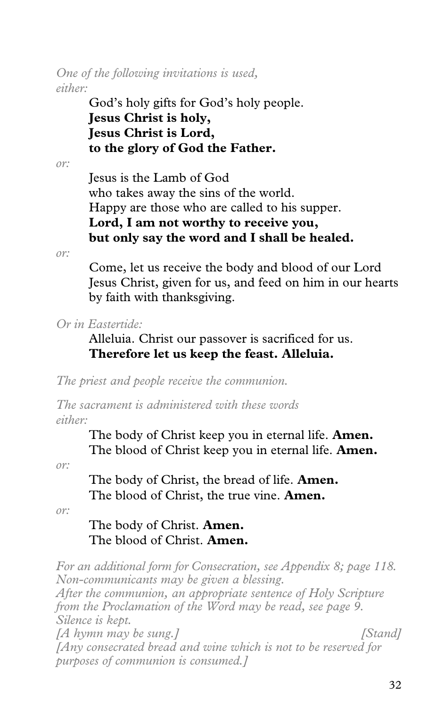*One of the following invitations is used, either:* 

> God's holy gifts for God's holy people. **Jesus Christ is holy, Jesus Christ is Lord, to the glory of God the Father.**

*or:* 

Jesus is the Lamb of God who takes away the sins of the world. Happy are those who are called to his supper. **Lord, I am not worthy to receive you, but only say the word and I shall be healed.** 

*or:* 

Come, let us receive the body and blood of our Lord Jesus Christ, given for us, and feed on him in our hearts by faith with thanksgiving.

*Or in Eastertide:* 

Alleluia. Christ our passover is sacrificed for us. **Therefore let us keep the feast. Alleluia.** 

*The priest and people receive the communion.* 

*The sacrament is administered with these words either:* 

> The body of Christ keep you in eternal life. **Amen.**  The blood of Christ keep you in eternal life. **Amen.**

*or:*

 The body of Christ, the bread of life. **Amen.**  The blood of Christ, the true vine. **Amen.**

*or:* 

The body of Christ. **Amen.** The blood of Christ. **Amen.**

*For an additional form for Consecration, see Appendix 8; page 118. Non-communicants may be given a blessing. After the communion, an appropriate sentence of Holy Scripture from the Proclamation of the Word may be read, see page 9. Silence is kept. [A hymn may be sung.] [Stand] [Any consecrated bread and wine which is not to be reserved for purposes of communion is consumed.]*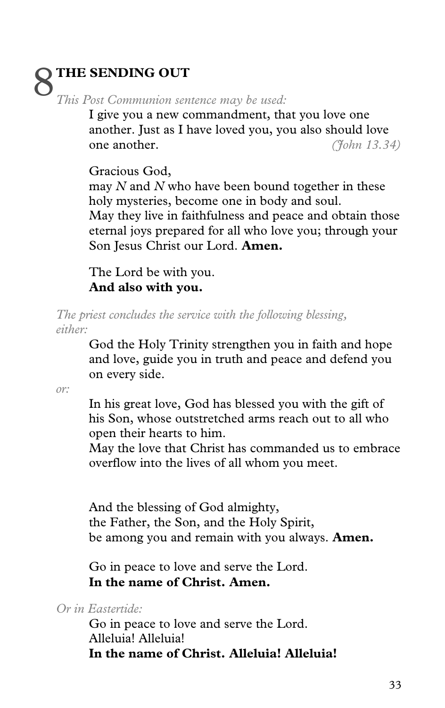# **THE SENDING OUT** 8

*This Post Communion sentence may be used:* 

I give you a new commandment, that you love one another. Just as I have loved you, you also should love one another. *(John 13.34)*

Gracious God,

may *N* and *N* who have been bound together in these holy mysteries, become one in body and soul. May they live in faithfulness and peace and obtain those eternal joys prepared for all who love you; through your Son Jesus Christ our Lord. **Amen.**

The Lord be with you. **And also with you.** 

*The priest concludes the service with the following blessing, either:* 

> God the Holy Trinity strengthen you in faith and hope and love, guide you in truth and peace and defend you on every side.

*or:* 

In his great love, God has blessed you with the gift of his Son, whose outstretched arms reach out to all who open their hearts to him.

 May the love that Christ has commanded us to embrace overflow into the lives of all whom you meet.

And the blessing of God almighty, the Father, the Son, and the Holy Spirit, be among you and remain with you always. **Amen.**

Go in peace to love and serve the Lord. **In the name of Christ. Amen.** 

*Or in Eastertide:* 

Go in peace to love and serve the Lord. Alleluia! Alleluia! **In the name of Christ. Alleluia! Alleluia!**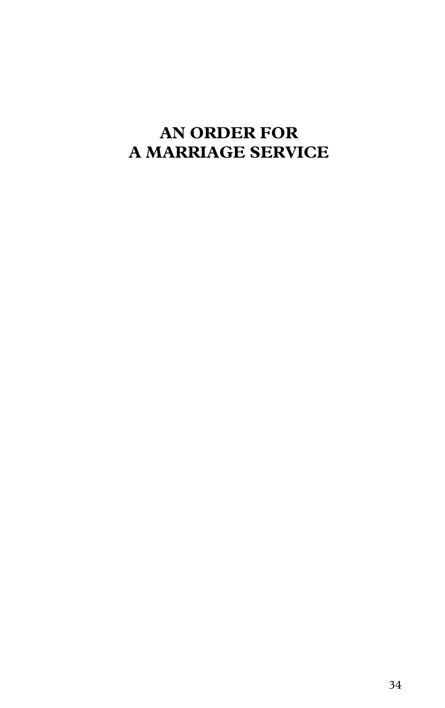# **AN ORDER FOR A MARRIAGE SERVICE**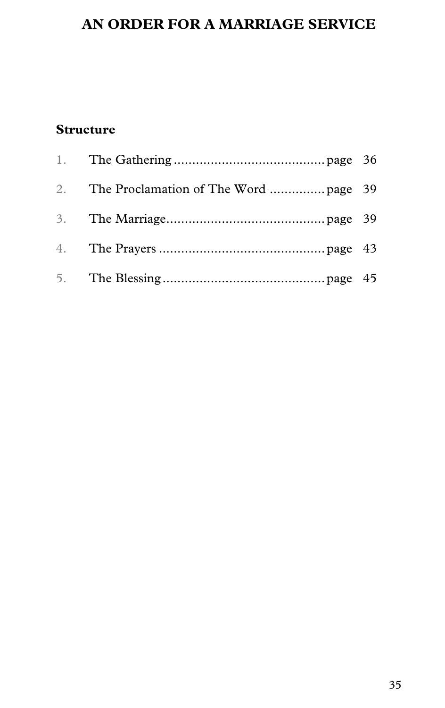## **AN ORDER FOR A MARRIAGE SERVICE**

### **Structure**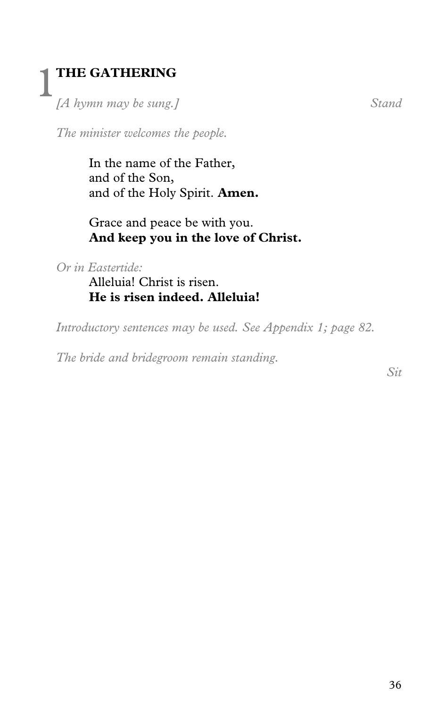# **THE GATHERING** 1

*[A hymn may be sung.] Stand* 

*The minister welcomes the people.* 

In the name of the Father, and of the Son, and of the Holy Spirit. **Amen.**

Grace and peace be with you. **And keep you in the love of Christ.** 

*Or in Eastertide:* 

Alleluia! Christ is risen. **He is risen indeed. Alleluia!** 

*Introductory sentences may be used. See Appendix 1; page 82.* 

*The bride and bridegroom remain standing.*

 *Sit*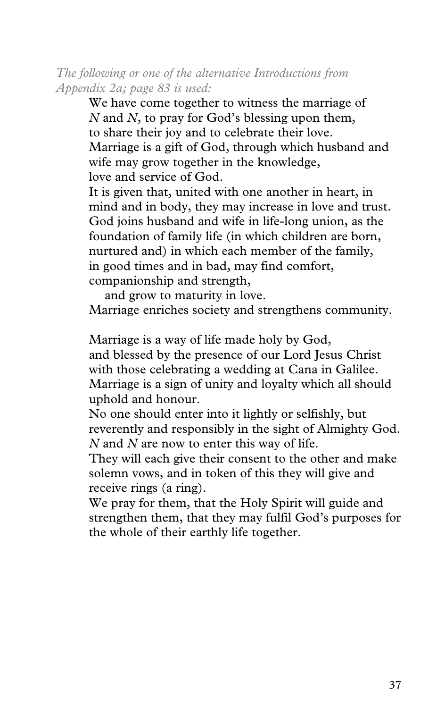#### *The following or one of the alternative Introductions from Appendix 2a; page 83 is used:*

We have come together to witness the marriage of *N* and *N*, to pray for God's blessing upon them, to share their joy and to celebrate their love. Marriage is a gift of God, through which husband and wife may grow together in the knowledge, love and service of God.

It is given that, united with one another in heart, in mind and in body, they may increase in love and trust. God joins husband and wife in life-long union, as the foundation of family life (in which children are born, nurtured and) in which each member of the family, in good times and in bad, may find comfort, companionship and strength,

 and grow to maturity in love. Marriage enriches society and strengthens community.

Marriage is a way of life made holy by God, and blessed by the presence of our Lord Jesus Christ with those celebrating a wedding at Cana in Galilee. Marriage is a sign of unity and loyalty which all should uphold and honour.

No one should enter into it lightly or selfishly, but reverently and responsibly in the sight of Almighty God. *N* and *N* are now to enter this way of life.

They will each give their consent to the other and make solemn vows, and in token of this they will give and receive rings (a ring).

We pray for them, that the Holy Spirit will guide and strengthen them, that they may fulfil God's purposes for the whole of their earthly life together.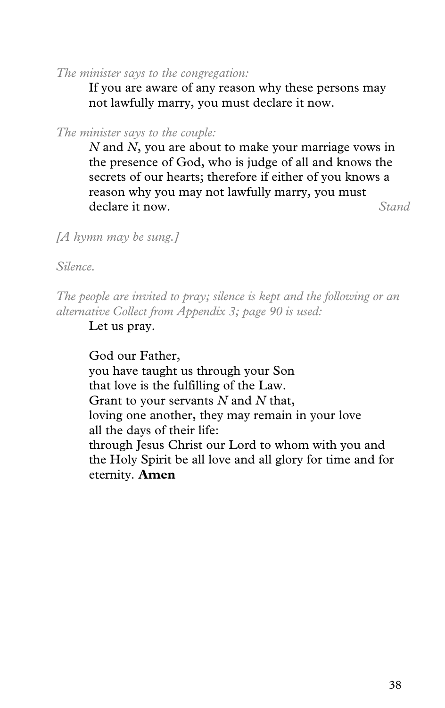*The minister says to the congregation:* 

If you are aware of any reason why these persons may not lawfully marry, you must declare it now.

*The minister says to the couple:* 

*N* and *N*, you are about to make your marriage vows in the presence of God, who is judge of all and knows the secrets of our hearts; therefore if either of you knows a reason why you may not lawfully marry, you must declare it now. *Stand* 

*[A hymn may be sung.]* 

*Silence.* 

*The people are invited to pray; silence is kept and the following or an alternative Collect from Appendix 3; page 90 is used:* 

Let us pray.

God our Father, you have taught us through your Son that love is the fulfilling of the Law. Grant to your servants *N* and *N* that, loving one another, they may remain in your love all the days of their life: through Jesus Christ our Lord to whom with you and the Holy Spirit be all love and all glory for time and for eternity. **Amen**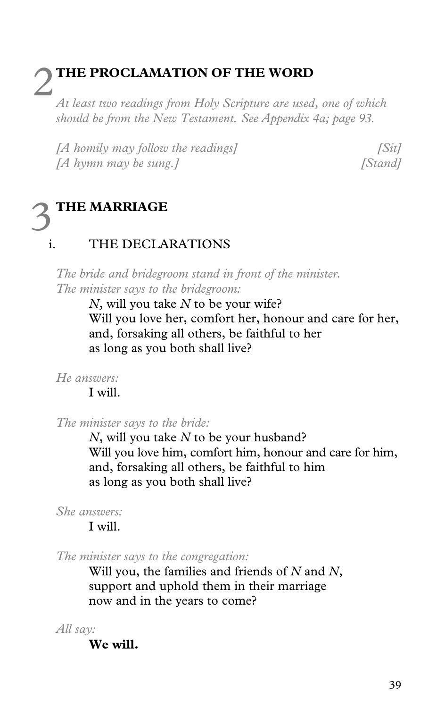# **THE PROCLAMATION OF THE WORD** 2

*At least two readings from Holy Scripture are used, one of which should be from the New Testament. See Appendix 4a; page 93.* 

*[A homily may follow the readings] [Sit] [A hymn may be sung.] [Stand]*

# **THE MARRIAGE** 3

### i. THE DECLARATIONS

*The bride and bridegroom stand in front of the minister. The minister says to the bridegroom:* 

> *N*, will you take *N* to be your wife? Will you love her, comfort her, honour and care for her, and, forsaking all others, be faithful to her as long as you both shall live?

#### *He answers:*

I will.

*The minister says to the bride:* 

*N*, will you take *N* to be your husband? Will you love him, comfort him, honour and care for him, and, forsaking all others, be faithful to him as long as you both shall live?

*She answers:* 

I will.

*The minister says to the congregation:* 

Will you, the families and friends of *N* and *N,*  support and uphold them in their marriage now and in the years to come?

*All say:* 

 **We will.**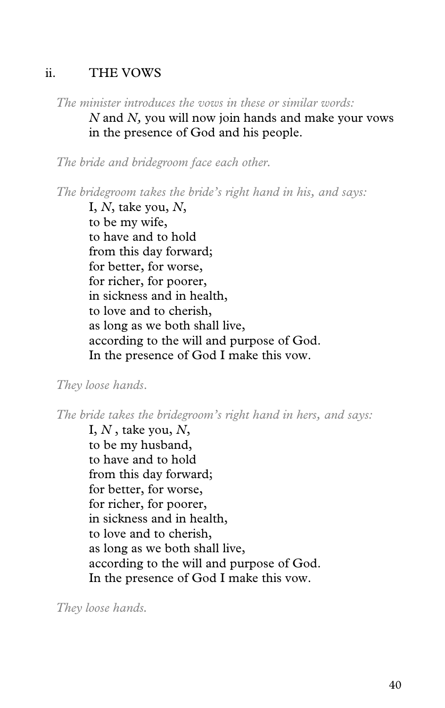### ii. THE VOWS

*The minister introduces the vows in these or similar words:* 

*N* and *N,* you will now join hands and make your vows in the presence of God and his people.

*The bride and bridegroom face each other.* 

*The bridegroom takes the bride's right hand in his, and says:* 

I, *N*, take you, *N*, to be my wife, to have and to hold from this day forward; for better, for worse, for richer, for poorer, in sickness and in health, to love and to cherish, as long as we both shall live, according to the will and purpose of God. In the presence of God I make this vow.

#### *They loose hands*.

*The bride takes the bridegroom's right hand in hers, and says:* 

I, *N* , take you, *N*, to be my husband, to have and to hold from this day forward; for better, for worse, for richer, for poorer, in sickness and in health, to love and to cherish, as long as we both shall live, according to the will and purpose of God. In the presence of God I make this vow.

*They loose hands.*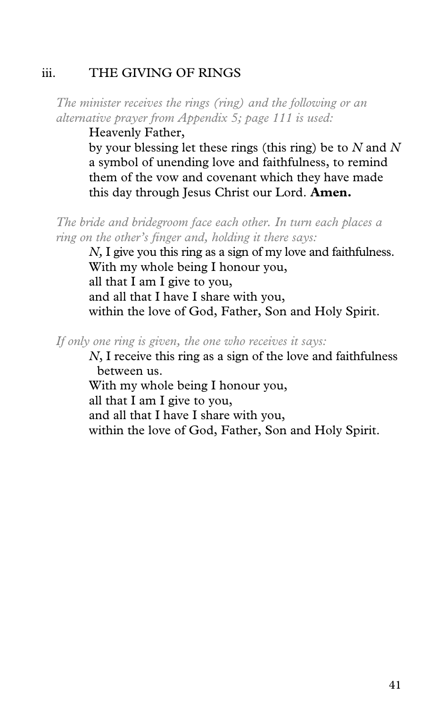### iii. THE GIVING OF RINGS

*The minister receives the rings (ring) and the following or an alternative prayer from Appendix 5; page 111 is used:*

Heavenly Father,

by your blessing let these rings (this ring) be to *N* and *N*  a symbol of unending love and faithfulness, to remind them of the vow and covenant which they have made this day through Jesus Christ our Lord. **Amen.**

*The bride and bridegroom face each other. In turn each places a ring on the other's finger and, holding it there says:* 

*N,* I give you this ring as a sign of my love and faithfulness. With my whole being I honour you, all that I am I give to you, and all that I have I share with you, within the love of God, Father, Son and Holy Spirit.

*If only one ring is given, the one who receives it says:* 

*N*, I receive this ring as a sign of the love and faithfulness between us. With my whole being I honour you, all that I am I give to you,

and all that I have I share with you,

within the love of God, Father, Son and Holy Spirit.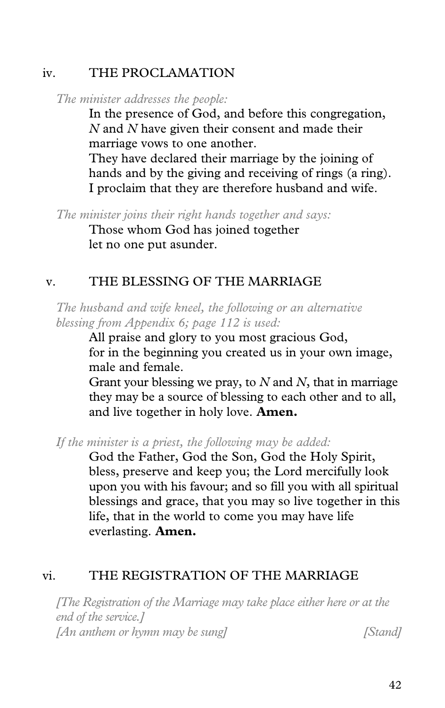### iv. THE PROCLAMATION

*The minister addresses the people:*

 In the presence of God, and before this congregation, *N* and *N* have given their consent and made their marriage vows to one another.

They have declared their marriage by the joining of hands and by the giving and receiving of rings (a ring). I proclaim that they are therefore husband and wife.

*The minister joins their right hands together and says:* 

Those whom God has joined together let no one put asunder.

#### v. THE BLESSING OF THE MARRIAGE

*The husband and wife kneel, the following or an alternative blessing from Appendix 6; page 112 is used:* 

> All praise and glory to you most gracious God, for in the beginning you created us in your own image, male and female.

Grant your blessing we pray, to *N* and *N*, that in marriage they may be a source of blessing to each other and to all, and live together in holy love. **Amen.**

*If the minister is a priest, the following may be added:* 

God the Father, God the Son, God the Holy Spirit, bless, preserve and keep you; the Lord mercifully look upon you with his favour; and so fill you with all spiritual blessings and grace, that you may so live together in this life, that in the world to come you may have life everlasting. **Amen.**

#### vi. THE REGISTRATION OF THE MARRIAGE

*[The Registration of the Marriage may take place either here or at the end of the service.] [An anthem or hymn may be sung]* [Stand]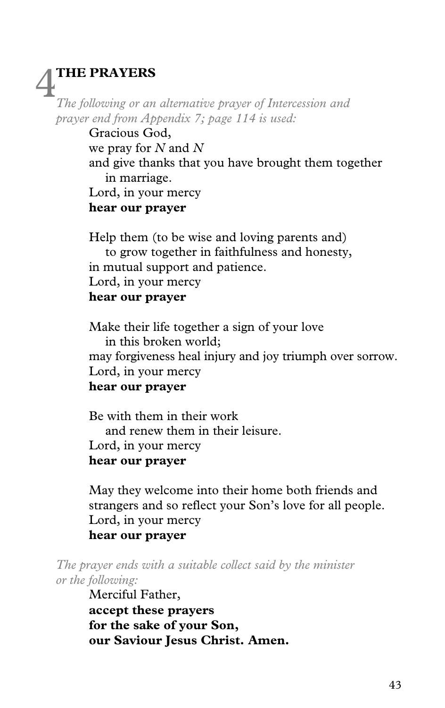# **THE PRAYERS**  4

*The following or an alternative prayer of Intercession and prayer end from Appendix 7; page 114 is used:* 

> Gracious God, we pray for *N* and *N* and give thanks that you have brought them together in marriage. Lord, in your mercy **hear our prayer**

 Help them (to be wise and loving parents and) to grow together in faithfulness and honesty, in mutual support and patience. Lord, in your mercy  **hear our prayer** 

 Make their life together a sign of your love in this broken world; may forgiveness heal injury and joy triumph over sorrow. Lord, in your mercy  **hear our prayer** 

 Be with them in their work and renew them in their leisure. Lord, in your mercy  **hear our prayer** 

 May they welcome into their home both friends and strangers and so reflect your Son's love for all people. Lord, in your mercy  **hear our prayer** 

*The prayer ends with a suitable collect said by the minister or the following:* 

> Merciful Father, **accept these prayers for the sake of your Son, our Saviour Jesus Christ. Amen.**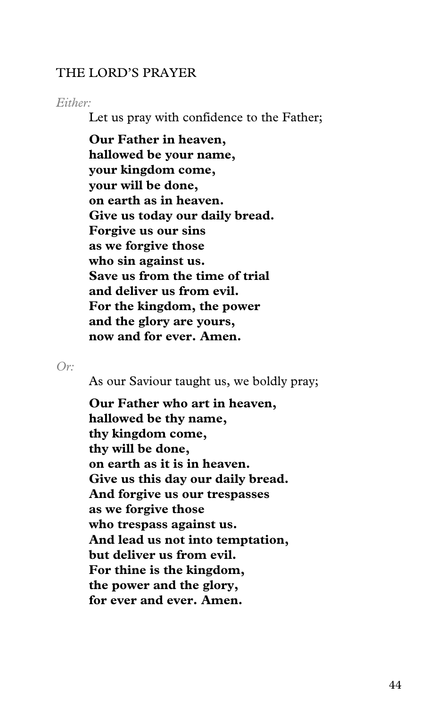#### THE LORD'S PRAYER

*Either:* 

Let us pray with confidence to the Father;

**Our Father in heaven, hallowed be your name, your kingdom come, your will be done, on earth as in heaven. Give us today our daily bread. Forgive us our sins as we forgive those who sin against us. Save us from the time of trial and deliver us from evil. For the kingdom, the power and the glory are yours, now and for ever. Amen.** 

*Or:* 

As our Saviour taught us, we boldly pray;

**Our Father who art in heaven, hallowed be thy name, thy kingdom come, thy will be done, on earth as it is in heaven. Give us this day our daily bread. And forgive us our trespasses as we forgive those who trespass against us. And lead us not into temptation, but deliver us from evil. For thine is the kingdom, the power and the glory, for ever and ever. Amen.**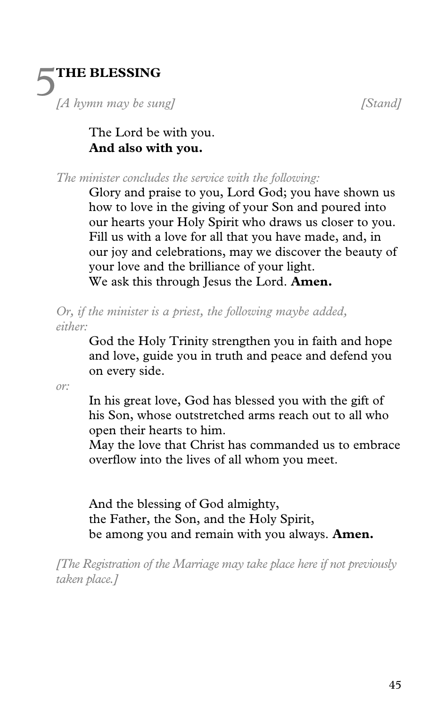**THE BLESSING**  5

*[A hymn may be sung] [Stand]*

### The Lord be with you. **And also with you.**

*The minister concludes the service with the following:* 

Glory and praise to you, Lord God; you have shown us how to love in the giving of your Son and poured into our hearts your Holy Spirit who draws us closer to you. Fill us with a love for all that you have made, and, in our joy and celebrations, may we discover the beauty of your love and the brilliance of your light. We ask this through Jesus the Lord. **Amen.**

*Or, if the minister is a priest, the following maybe added, either:* 

> God the Holy Trinity strengthen you in faith and hope and love, guide you in truth and peace and defend you on every side.

*or:* 

In his great love, God has blessed you with the gift of his Son, whose outstretched arms reach out to all who open their hearts to him.

 May the love that Christ has commanded us to embrace overflow into the lives of all whom you meet.

And the blessing of God almighty, the Father, the Son, and the Holy Spirit, be among you and remain with you always. **Amen.**

*[The Registration of the Marriage may take place here if not previously taken place.]*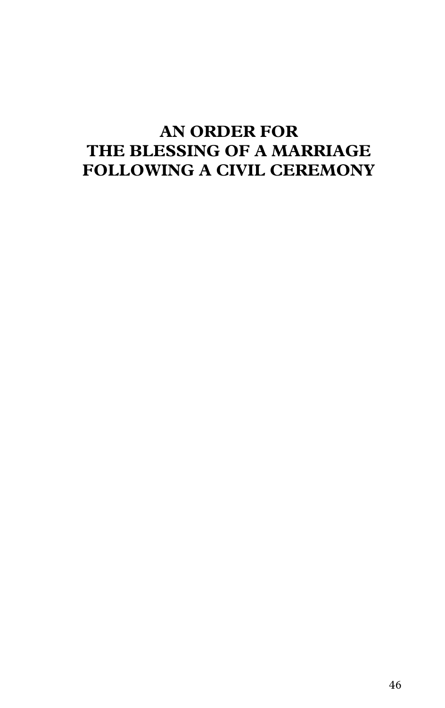# **AN ORDER FOR THE BLESSING OF A MARRIAGE FOLLOWING A CIVIL CEREMONY**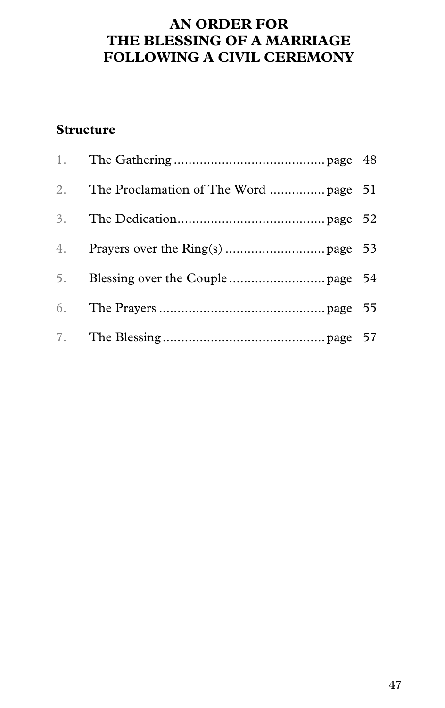## **AN ORDER FOR THE BLESSING OF A MARRIAGE FOLLOWING A CIVIL CEREMONY**

### **Structure**

| 2. |  |
|----|--|
| 3. |  |
| 4. |  |
| 5. |  |
|    |  |
|    |  |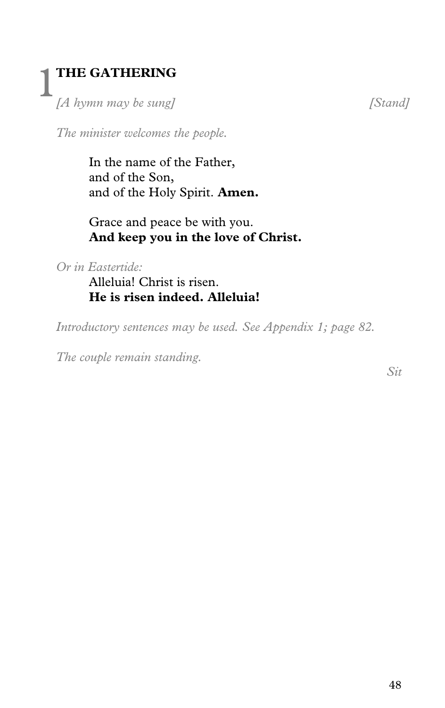# **THE GATHERING** 1

*[A hymn may be sung] [Stand]* 

*The minister welcomes the people.* 

 In the name of the Father, and of the Son, and of the Holy Spirit. **Amen.**

 Grace and peace be with you.  **And keep you in the love of Christ.** 

*Or in Eastertide:* 

 Alleluia! Christ is risen.  **He is risen indeed. Alleluia!** 

*Introductory sentences may be used. See Appendix 1; page 82.* 

*The couple remain standing.* 

 *Sit*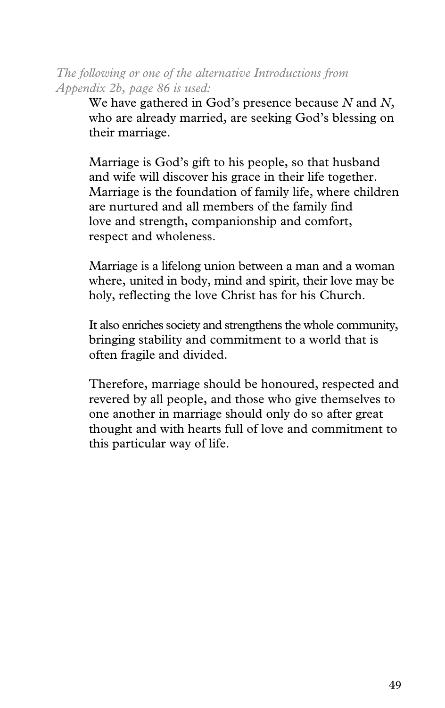*The following or one of the alternative Introductions from Appendix 2b, page 86 is used:* 

> We have gathered in God's presence because *N* and *N*, who are already married, are seeking God's blessing on their marriage.

Marriage is God's gift to his people, so that husband and wife will discover his grace in their life together. Marriage is the foundation of family life, where children are nurtured and all members of the family find love and strength, companionship and comfort, respect and wholeness.

Marriage is a lifelong union between a man and a woman where, united in body, mind and spirit, their love may be holy, reflecting the love Christ has for his Church.

It also enriches society and strengthens the whole community, bringing stability and commitment to a world that is often fragile and divided.

 Therefore, marriage should be honoured, respected and revered by all people, and those who give themselves to one another in marriage should only do so after great thought and with hearts full of love and commitment to this particular way of life.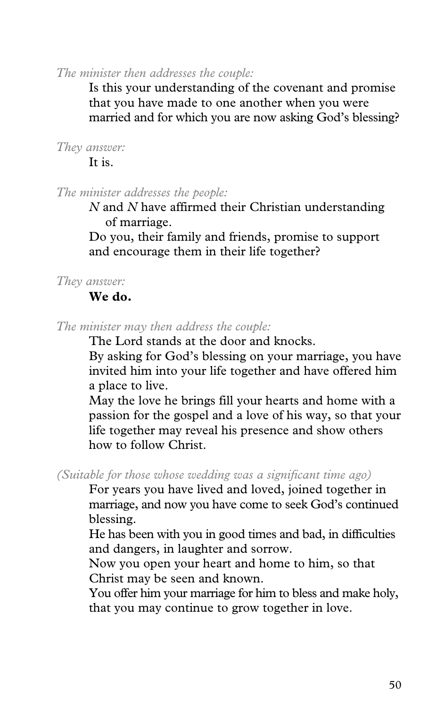*The minister then addresses the couple:* 

Is this your understanding of the covenant and promise that you have made to one another when you were married and for which you are now asking God's blessing?

*They answer:* 

It is.

*The minister addresses the people:* 

*N* and *N* have affirmed their Christian understanding of marriage.

Do you, their family and friends, promise to support and encourage them in their life together?

*They answer:* 

#### **We do.**

*The minister may then address the couple:* 

The Lord stands at the door and knocks.

By asking for God's blessing on your marriage, you have invited him into your life together and have offered him a place to live.

May the love he brings fill your hearts and home with a passion for the gospel and a love of his way, so that your life together may reveal his presence and show others how to follow Christ.

*(Suitable for those whose wedding was a significant time ago)*

For years you have lived and loved, joined together in marriage, and now you have come to seek God's continued blessing.

He has been with you in good times and bad, in difficulties and dangers, in laughter and sorrow.

Now you open your heart and home to him, so that Christ may be seen and known.

You offer him your marriage for him to bless and make holy, that you may continue to grow together in love.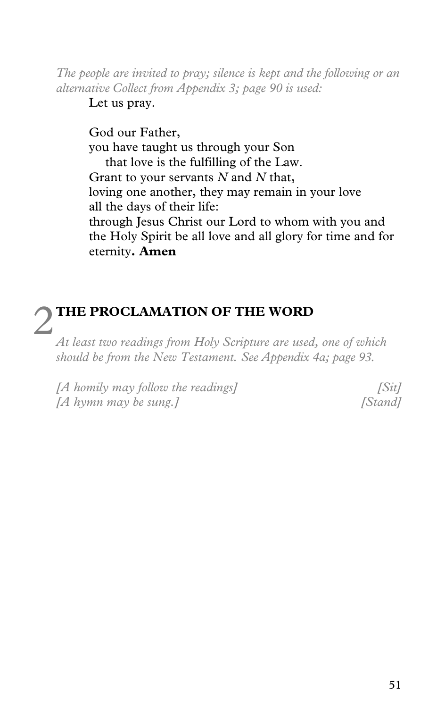*The people are invited to pray; silence is kept and the following or an alternative Collect from Appendix 3; page 90 is used:* 

Let us pray.

God our Father, you have taught us through your Son that love is the fulfilling of the Law. Grant to your servants *N* and *N* that, loving one another, they may remain in your love all the days of their life: through Jesus Christ our Lord to whom with you and the Holy Spirit be all love and all glory for time and for eternity**. Amen** 

# **THE PROCLAMATION OF THE WORD** 2

*At least two readings from Holy Scripture are used, one of which should be from the New Testament. See Appendix 4a; page 93.* 

*[A homily may follow the readings] [Sit] [A hymn may be sung.] [Stand]*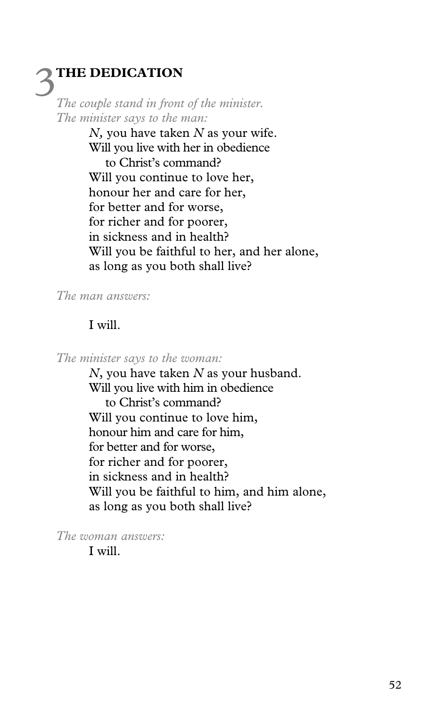# **THE DEDICATION**  3

*The couple stand in front of the minister. The minister says to the man:* 

> *N,* you have taken *N* as your wife. Will you live with her in obedience to Christ's command? Will you continue to love her, honour her and care for her, for better and for worse, for richer and for poorer, in sickness and in health? Will you be faithful to her, and her alone, as long as you both shall live?

*The man answers:* 

I will.

*The minister says to the woman:* 

*N*, you have taken *N* as your husband. Will you live with him in obedience to Christ's command? Will you continue to love him, honour him and care for him, for better and for worse, for richer and for poorer, in sickness and in health? Will you be faithful to him, and him alone, as long as you both shall live?

*The woman answers:* 

I will.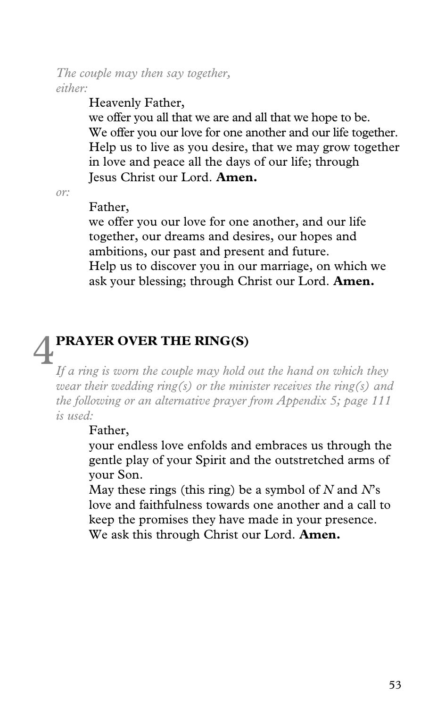*The couple may then say together, either:* 

Heavenly Father,

we offer you all that we are and all that we hope to be. We offer you our love for one another and our life together. Help us to live as you desire, that we may grow together in love and peace all the days of our life; through Jesus Christ our Lord. **Amen.**

*or:* 

#### Father,

we offer you our love for one another, and our life together, our dreams and desires, our hopes and ambitions, our past and present and future. Help us to discover you in our marriage, on which we ask your blessing; through Christ our Lord. **Amen.**

# **PRAYER OVER THE RING(S)** 4

*If a ring is worn the couple may hold out the hand on which they wear their wedding ring(s) or the minister receives the ring(s) and the following or an alternative prayer from Appendix 5; page 111 is used:* 

#### Father,

your endless love enfolds and embraces us through the gentle play of your Spirit and the outstretched arms of your Son.

May these rings (this ring) be a symbol of *N* and *N*'s love and faithfulness towards one another and a call to keep the promises they have made in your presence. We ask this through Christ our Lord. **Amen.**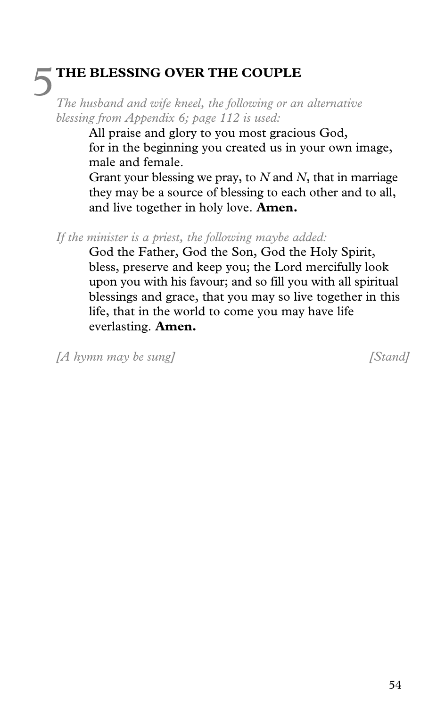# **THE BLESSING OVER THE COUPLE** 5

*The husband and wife kneel, the following or an alternative blessing from Appendix 6; page 112 is used:* 

> All praise and glory to you most gracious God, for in the beginning you created us in your own image, male and female.

Grant your blessing we pray, to *N* and *N*, that in marriage they may be a source of blessing to each other and to all, and live together in holy love. **Amen.**

*If the minister is a priest, the following maybe added:* 

God the Father, God the Son, God the Holy Spirit, bless, preserve and keep you; the Lord mercifully look upon you with his favour; and so fill you with all spiritual blessings and grace, that you may so live together in this life, that in the world to come you may have life everlasting. **Amen.**

*[A hymn may be sung] [Stand]*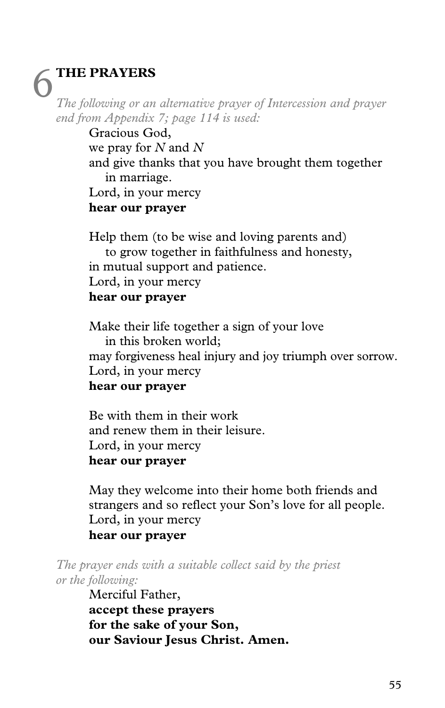# **THE PRAYERS**  6

*The following or an alternative prayer of Intercession and prayer end from Appendix 7; page 114 is used:* 

 Gracious God, we pray for *N* and *N* and give thanks that you have brought them together in marriage. Lord, in your mercy **hear our prayer**

 Help them (to be wise and loving parents and) to grow together in faithfulness and honesty, in mutual support and patience. Lord, in your mercy  **hear our prayer** 

 Make their life together a sign of your love in this broken world; may forgiveness heal injury and joy triumph over sorrow. Lord, in your mercy  **hear our prayer** 

 Be with them in their work and renew them in their leisure. Lord, in your mercy  **hear our prayer** 

 May they welcome into their home both friends and strangers and so reflect your Son's love for all people. Lord, in your mercy  **hear our prayer** 

*The prayer ends with a suitable collect said by the priest or the following:* 

> Merciful Father, **accept these prayers for the sake of your Son, our Saviour Jesus Christ. Amen.**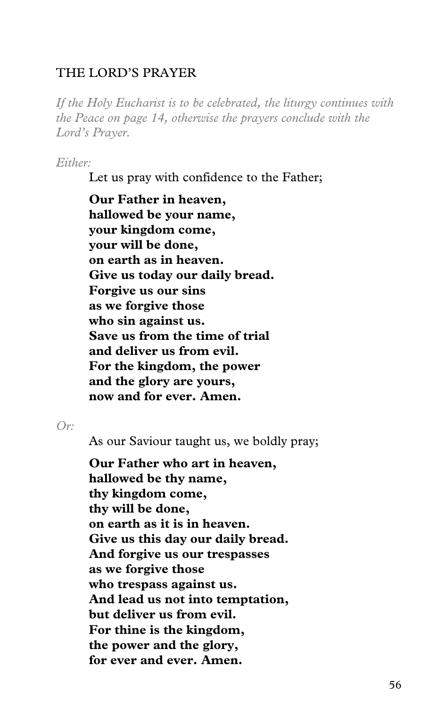### THE LORD'S PRAYER

*If the Holy Eucharist is to be celebrated, the liturgy continues with the Peace on page 14, otherwise the prayers conclude with the Lord's Prayer.* 

*Either:*

Let us pray with confidence to the Father;

**Our Father in heaven, hallowed be your name, your kingdom come, your will be done, on earth as in heaven. Give us today our daily bread. Forgive us our sins as we forgive those who sin against us. Save us from the time of trial and deliver us from evil. For the kingdom, the power and the glory are yours, now and for ever. Amen.** 

*Or:* 

As our Saviour taught us, we boldly pray;

 **Our Father who art in heaven, hallowed be thy name, thy kingdom come, thy will be done, on earth as it is in heaven. Give us this day our daily bread. And forgive us our trespasses as we forgive those who trespass against us. And lead us not into temptation, but deliver us from evil. For thine is the kingdom, the power and the glory, for ever and ever. Amen.**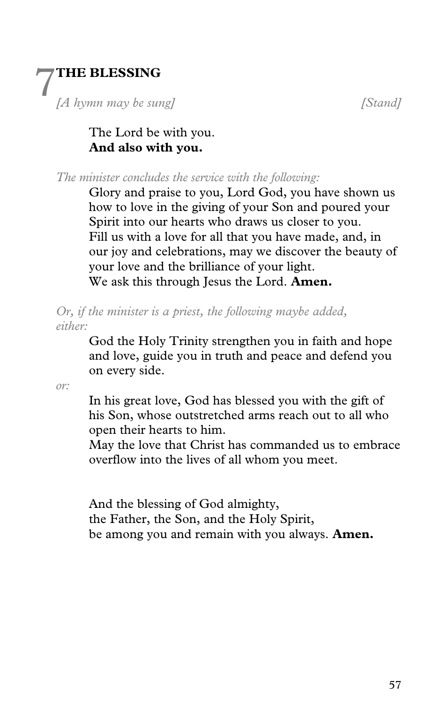# **THE BLESSING** 7

*[A hymn may be sung]* [Stand]

### The Lord be with you. **And also with you.**

*The minister concludes the service with the following:* 

Glory and praise to you, Lord God, you have shown us how to love in the giving of your Son and poured your Spirit into our hearts who draws us closer to you. Fill us with a love for all that you have made, and, in our joy and celebrations, may we discover the beauty of your love and the brilliance of your light. We ask this through Jesus the Lord. **Amen.**

*Or, if the minister is a priest, the following maybe added, either:* 

> God the Holy Trinity strengthen you in faith and hope and love, guide you in truth and peace and defend you on every side.

*or:* 

In his great love, God has blessed you with the gift of his Son, whose outstretched arms reach out to all who open their hearts to him.

 May the love that Christ has commanded us to embrace overflow into the lives of all whom you meet.

And the blessing of God almighty, the Father, the Son, and the Holy Spirit, be among you and remain with you always. **Amen.**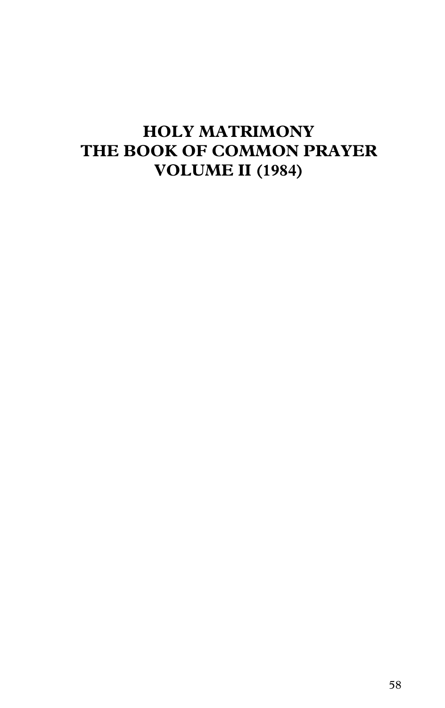# **HOLY MATRIMONY THE BOOK OF COMMON PRAYER VOLUME II (1984)**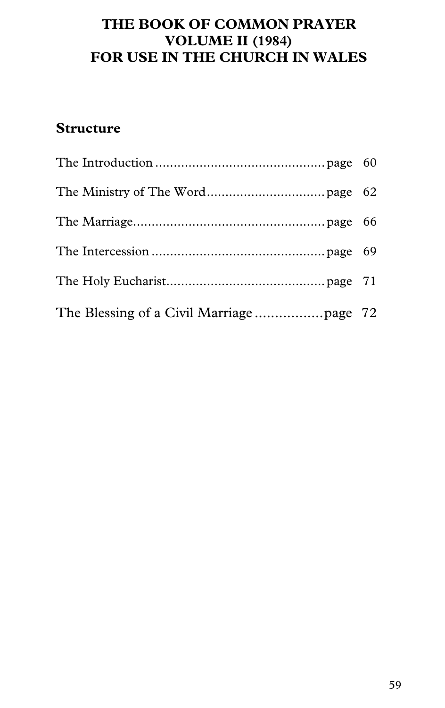## **THE BOOK OF COMMON PRAYER VOLUME II (1984) FOR USE IN THE CHURCH IN WALES**

## **Structure**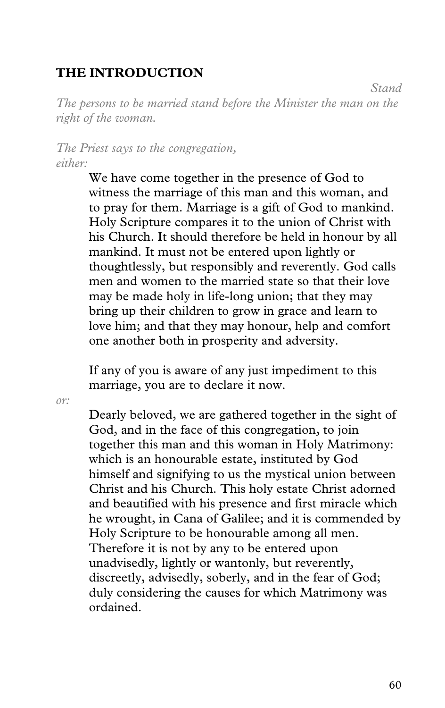### **THE INTRODUCTION**

*The persons to be married stand before the Minister the man on the right of the woman.* 

### *The Priest says to the congregation, either:*

We have come together in the presence of God to witness the marriage of this man and this woman, and to pray for them. Marriage is a gift of God to mankind. Holy Scripture compares it to the union of Christ with his Church. It should therefore be held in honour by all mankind. It must not be entered upon lightly or thoughtlessly, but responsibly and reverently. God calls men and women to the married state so that their love may be made holy in life-long union; that they may bring up their children to grow in grace and learn to love him; and that they may honour, help and comfort one another both in prosperity and adversity.

If any of you is aware of any just impediment to this marriage, you are to declare it now.

*or:* 

Dearly beloved, we are gathered together in the sight of God, and in the face of this congregation, to join together this man and this woman in Holy Matrimony: which is an honourable estate, instituted by God himself and signifying to us the mystical union between Christ and his Church. This holy estate Christ adorned and beautified with his presence and first miracle which he wrought, in Cana of Galilee; and it is commended by Holy Scripture to be honourable among all men. Therefore it is not by any to be entered upon unadvisedly, lightly or wantonly, but reverently, discreetly, advisedly, soberly, and in the fear of God; duly considering the causes for which Matrimony was ordained.

*Stand*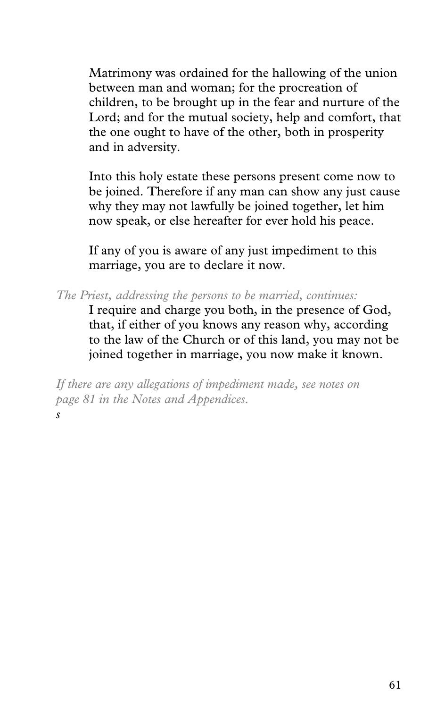Matrimony was ordained for the hallowing of the union between man and woman; for the procreation of children, to be brought up in the fear and nurture of the Lord; and for the mutual society, help and comfort, that the one ought to have of the other, both in prosperity and in adversity.

Into this holy estate these persons present come now to be joined. Therefore if any man can show any just cause why they may not lawfully be joined together, let him now speak, or else hereafter for ever hold his peace.

If any of you is aware of any just impediment to this marriage, you are to declare it now.

*The Priest, addressing the persons to be married, continues:*  I require and charge you both, in the presence of God,

that, if either of you knows any reason why, according to the law of the Church or of this land, you may not be joined together in marriage, you now make it known.

*If there are any allegations of impediment made, see notes on page 81 in the Notes and Appendices.* 

*s*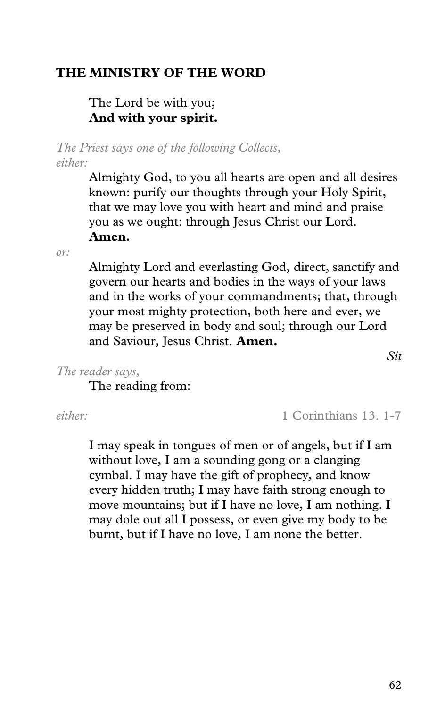### **THE MINISTRY OF THE WORD**

### The Lord be with you; **And with your spirit.**

*The Priest says one of the following Collects, either:* 

> Almighty God, to you all hearts are open and all desires known: purify our thoughts through your Holy Spirit, that we may love you with heart and mind and praise you as we ought: through Jesus Christ our Lord. **Amen.**

*or:* 

Almighty Lord and everlasting God, direct, sanctify and govern our hearts and bodies in the ways of your laws and in the works of your commandments; that, through your most mighty protection, both here and ever, we may be preserved in body and soul; through our Lord and Saviour, Jesus Christ. **Amen.**

*The reader says,* 

The reading from:

*either:* 1 Corinthians 13. 1-7

*Sit* 

I may speak in tongues of men or of angels, but if I am without love, I am a sounding gong or a clanging cymbal. I may have the gift of prophecy, and know every hidden truth; I may have faith strong enough to move mountains; but if I have no love, I am nothing. I may dole out all I possess, or even give my body to be burnt, but if I have no love, I am none the better.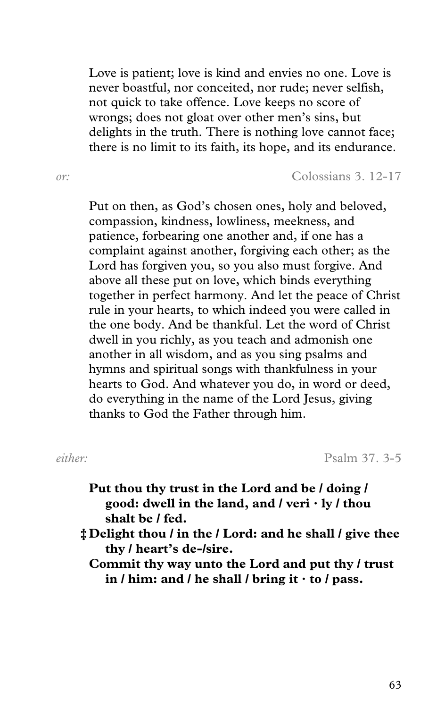Love is patient; love is kind and envies no one. Love is never boastful, nor conceited, nor rude; never selfish, not quick to take offence. Love keeps no score of wrongs; does not gloat over other men's sins, but delights in the truth. There is nothing love cannot face; there is no limit to its faith, its hope, and its endurance.

*or:* Colossians 3. 12-17

Put on then, as God's chosen ones, holy and beloved, compassion, kindness, lowliness, meekness, and patience, forbearing one another and, if one has a complaint against another, forgiving each other; as the Lord has forgiven you, so you also must forgive. And above all these put on love, which binds everything together in perfect harmony. And let the peace of Christ rule in your hearts, to which indeed you were called in the one body. And be thankful. Let the word of Christ dwell in you richly, as you teach and admonish one another in all wisdom, and as you sing psalms and hymns and spiritual songs with thankfulness in your hearts to God. And whatever you do, in word or deed, do everything in the name of the Lord Jesus, giving thanks to God the Father through him.

*either:* Psalm 37. 3-5

- **Put thou thy trust in the Lord and be / doing / good: dwell in the land, and / veri ∙ ly / thou shalt be / fed.**
- **‡ Delight thou / in the / Lord: and he shall / give thee thy / heart's de-/sire.**

**Commit thy way unto the Lord and put thy / trust in / him: and / he shall / bring it ∙ to / pass.**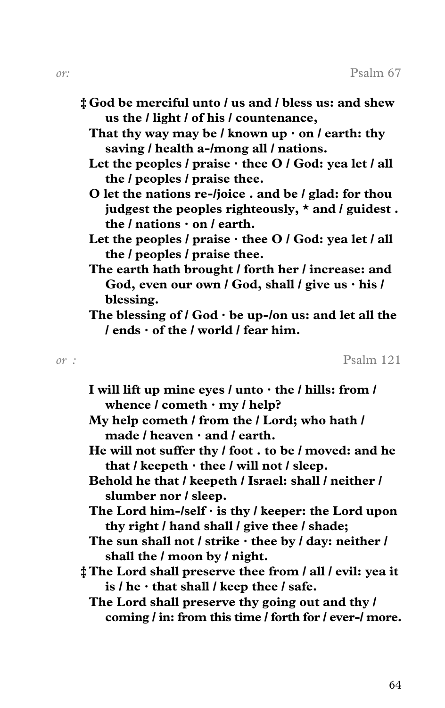- **‡ God be merciful unto / us and / bless us: and shew us the / light / of his / countenance,** 
	- **That thy way may be / known up ∙ on / earth: thy saving / health a-/mong all / nations.**
	- **Let the peoples / praise ∙ thee O / God: yea let / all the / peoples / praise thee.**
	- **O let the nations re-/joice . and be / glad: for thou judgest the peoples righteously, \* and / guidest . the / nations ∙ on / earth.**
	- **Let the peoples / praise ∙ thee O / God: yea let / all the / peoples / praise thee.**
	- **The earth hath brought / forth her / increase: and God, even our own / God, shall / give us ∙ his / blessing.**
	- **The blessing of / God ∙ be up-/on us: and let all the / ends ∙ of the / world / fear him.**

*or :* Psalm 121

- **I will lift up mine eyes / unto ∙ the / hills: from / whence / cometh ∙ my / help?**
- **My help cometh / from the / Lord; who hath / made / heaven ∙ and / earth.**
- **He will not suffer thy / foot . to be / moved: and he that / keepeth ∙ thee / will not / sleep.**
- **Behold he that / keepeth / Israel: shall / neither / slumber nor / sleep.**
- **The Lord him-/self ∙ is thy / keeper: the Lord upon thy right / hand shall / give thee / shade;**
- **The sun shall not / strike ∙ thee by / day: neither / shall the / moon by / night.**
- **‡ The Lord shall preserve thee from / all / evil: yea it is / he ∙ that shall / keep thee / safe.** 
	- **The Lord shall preserve thy going out and thy / coming / in: from this time / forth for / ever-/ more.**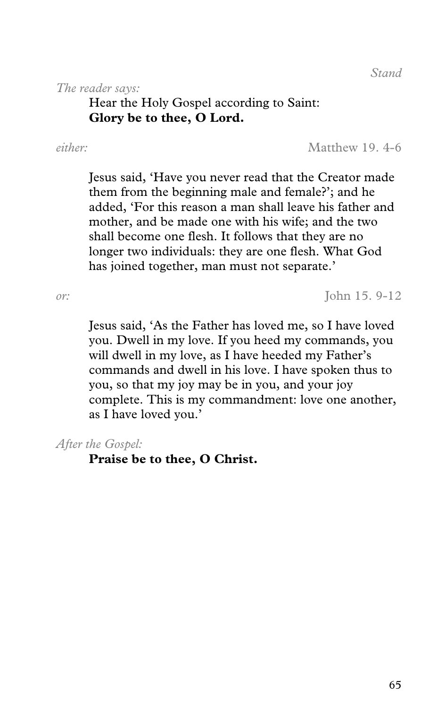65

*The reader says:* 

### Hear the Holy Gospel according to Saint:  **Glory be to thee, O Lord.**

Jesus said, 'Have you never read that the Creator made them from the beginning male and female?'; and he added, 'For this reason a man shall leave his father and mother, and be made one with his wife; and the two shall become one flesh. It follows that they are no longer two individuals: they are one flesh. What God has joined together, man must not separate.'

Jesus said, 'As the Father has loved me, so I have loved you. Dwell in my love. If you heed my commands, you will dwell in my love, as I have heeded my Father's commands and dwell in his love. I have spoken thus to you, so that my joy may be in you, and your joy complete. This is my commandment: love one another, as I have loved you.'

*After the Gospel:* 

 **Praise be to thee, O Christ.** 

*or:* John 15. 9-12

*either:* Matthew 19. 4-6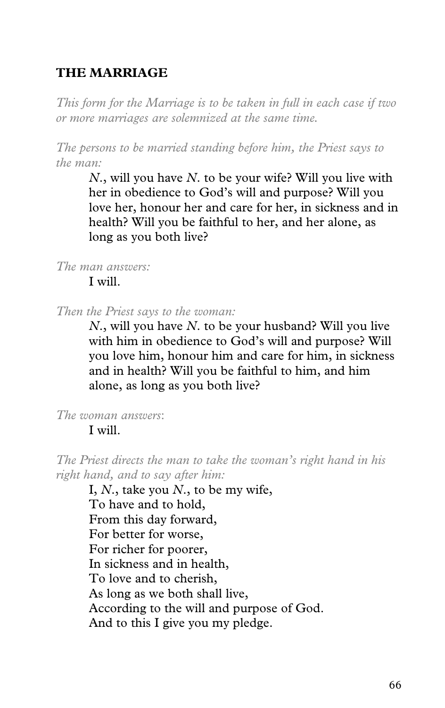### **THE MARRIAGE**

*This form for the Marriage is to be taken in full in each case if two or more marriages are solemnized at the same time.* 

*The persons to be married standing before him, the Priest says to the man:* 

*N*., will you have *N*. to be your wife? Will you live with her in obedience to God's will and purpose? Will you love her, honour her and care for her, in sickness and in health? Will you be faithful to her, and her alone, as long as you both live?

#### *The man answers:*

I will.

*Then the Priest says to the woman:* 

*N*., will you have *N*. to be your husband? Will you live with him in obedience to God's will and purpose? Will you love him, honour him and care for him, in sickness and in health? Will you be faithful to him, and him alone, as long as you both live?

*The woman answers*:

I will.

*The Priest directs the man to take the woman's right hand in his right hand, and to say after him:* 

I, *N*., take you *N*., to be my wife, To have and to hold, From this day forward, For better for worse, For richer for poorer, In sickness and in health, To love and to cherish, As long as we both shall live, According to the will and purpose of God. And to this I give you my pledge.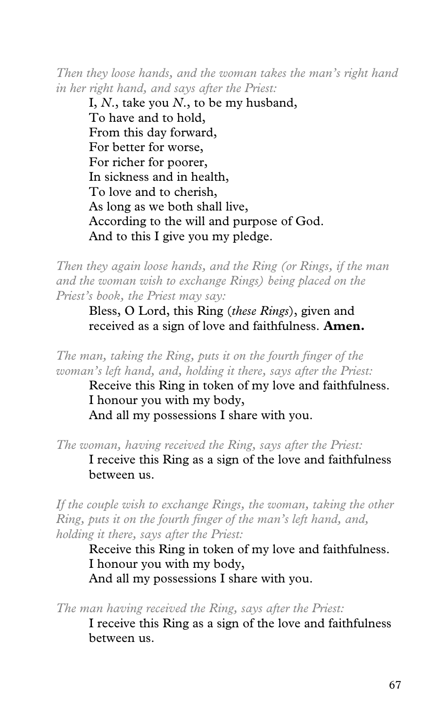*Then they loose hands, and the woman takes the man's right hand in her right hand, and says after the Priest:*

I, *N*., take you *N*., to be my husband, To have and to hold, From this day forward, For better for worse, For richer for poorer, In sickness and in health, To love and to cherish, As long as we both shall live, According to the will and purpose of God. And to this I give you my pledge.

*Then they again loose hands, and the Ring (or Rings, if the man and the woman wish to exchange Rings) being placed on the Priest's book, the Priest may say:* 

Bless, O Lord, this Ring (*these Rings*), given and received as a sign of love and faithfulness. **Amen.**

*The man, taking the Ring, puts it on the fourth finger of the woman's left hand, and, holding it there, says after the Priest:* 

> Receive this Ring in token of my love and faithfulness. I honour you with my body, And all my possessions I share with you.

*The woman, having received the Ring, says after the Priest:* 

I receive this Ring as a sign of the love and faithfulness between us.

*If the couple wish to exchange Rings, the woman, taking the other Ring, puts it on the fourth finger of the man's left hand, and, holding it there, says after the Priest:* 

Receive this Ring in token of my love and faithfulness. I honour you with my body, And all my possessions I share with you.

*The man having received the Ring, says after the Priest:* 

I receive this Ring as a sign of the love and faithfulness between us.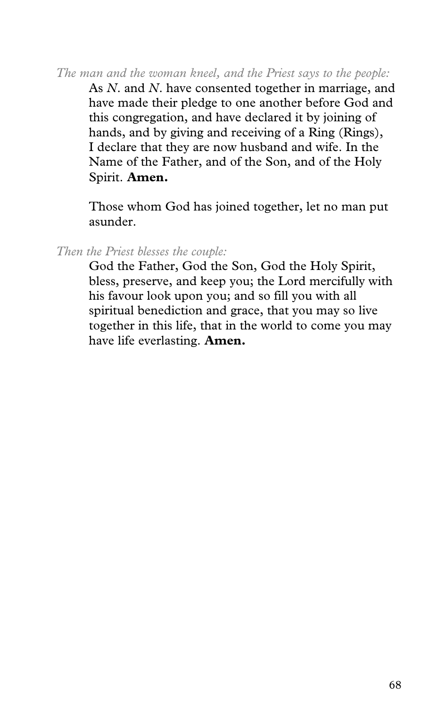*The man and the woman kneel, and the Priest says to the people:*  As *N*. and *N*. have consented together in marriage, and have made their pledge to one another before God and this congregation, and have declared it by joining of hands, and by giving and receiving of a Ring (Rings), I declare that they are now husband and wife. In the Name of the Father, and of the Son, and of the Holy Spirit. **Amen.**

Those whom God has joined together, let no man put asunder.

#### *Then the Priest blesses the couple:*

God the Father, God the Son, God the Holy Spirit, bless, preserve, and keep you; the Lord mercifully with his favour look upon you; and so fill you with all spiritual benediction and grace, that you may so live together in this life, that in the world to come you may have life everlasting. **Amen.**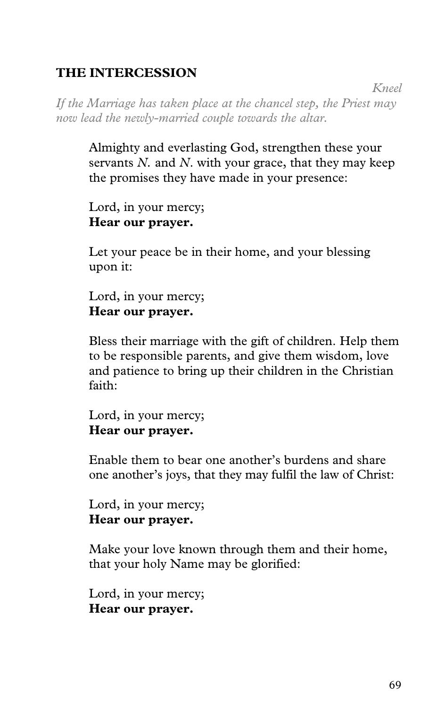# **THE INTERCESSION**

*If the Marriage has taken place at the chancel step, the Priest may now lead the newly-married couple towards the altar.* 

Almighty and everlasting God, strengthen these your servants *N.* and *N*. with your grace, that they may keep the promises they have made in your presence:

Lord, in your mercy; **Hear our prayer.** 

Let your peace be in their home, and your blessing upon it:

Lord, in your mercy; **Hear our prayer.** 

Bless their marriage with the gift of children. Help them to be responsible parents, and give them wisdom, love and patience to bring up their children in the Christian faith:

Lord, in your mercy; **Hear our prayer.** 

Enable them to bear one another's burdens and share one another's joys, that they may fulfil the law of Christ:

Lord, in your mercy; **Hear our prayer.** 

Make your love known through them and their home, that your holy Name may be glorified:

Lord, in your mercy; **Hear our prayer.** 

*Kneel*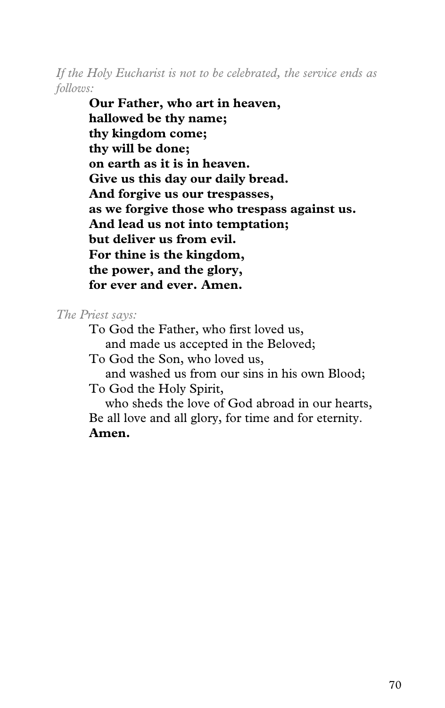*If the Holy Eucharist is not to be celebrated, the service ends as follows:*

> **Our Father, who art in heaven, hallowed be thy name; thy kingdom come; thy will be done; on earth as it is in heaven. Give us this day our daily bread. And forgive us our trespasses, as we forgive those who trespass against us. And lead us not into temptation; but deliver us from evil. For thine is the kingdom, the power, and the glory, for ever and ever. Amen.**

#### *The Priest says:*

To God the Father, who first loved us, and made us accepted in the Beloved; To God the Son, who loved us, and washed us from our sins in his own Blood; To God the Holy Spirit,

 who sheds the love of God abroad in our hearts, Be all love and all glory, for time and for eternity. **Amen.**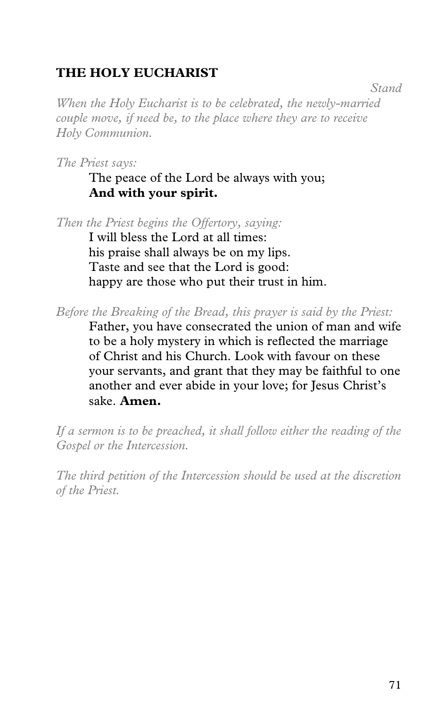# **THE HOLY EUCHARIST**

*Stand* 

*When the Holy Eucharist is to be celebrated, the newly-married couple move, if need be, to the place where they are to receive Holy Communion.* 

*The Priest says:* 

# The peace of the Lord be always with you; **And with your spirit.**

*Then the Priest begins the Offertory, saying:*

I will bless the Lord at all times: his praise shall always be on my lips. Taste and see that the Lord is good: happy are those who put their trust in him.

*Before the Breaking of the Bread, this prayer is said by the Priest:* 

Father, you have consecrated the union of man and wife to be a holy mystery in which is reflected the marriage of Christ and his Church. Look with favour on these your servants, and grant that they may be faithful to one another and ever abide in your love; for Jesus Christ's sake. **Amen.** 

*If a sermon is to be preached, it shall follow either the reading of the Gospel or the Intercession.* 

*The third petition of the Intercession should be used at the discretion of the Priest.*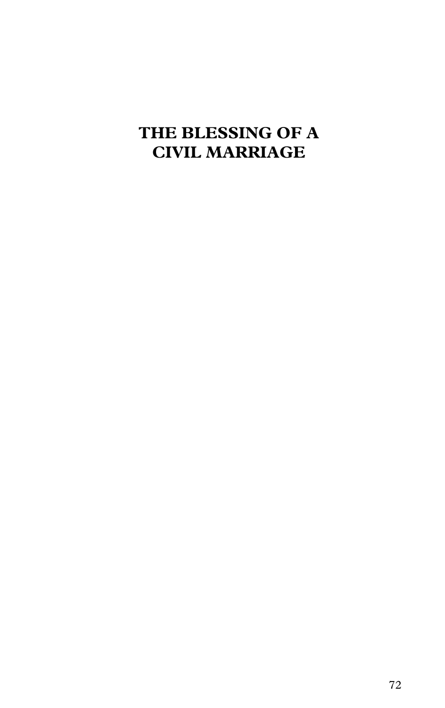# **THE BLESSING OF A CIVIL MARRIAGE**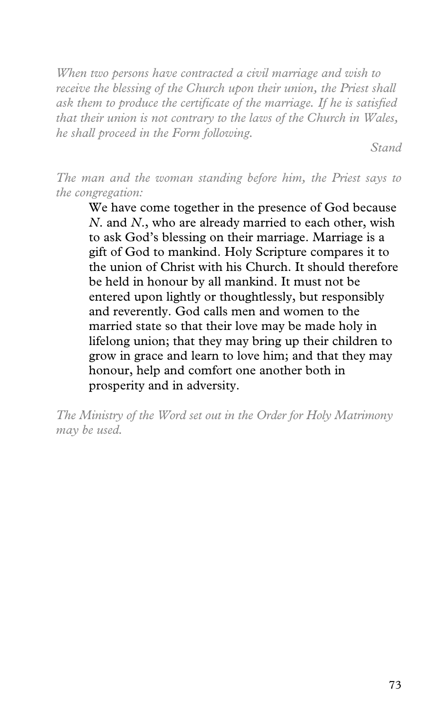*When two persons have contracted a civil marriage and wish to receive the blessing of the Church upon their union, the Priest shall ask them to produce the certificate of the marriage. If he is satisfied that their union is not contrary to the laws of the Church in Wales, he shall proceed in the Form following.* 

*Stand* 

*The man and the woman standing before him, the Priest says to the congregation:* 

We have come together in the presence of God because *N*. and *N*., who are already married to each other, wish to ask God's blessing on their marriage. Marriage is a gift of God to mankind. Holy Scripture compares it to the union of Christ with his Church. It should therefore be held in honour by all mankind. It must not be entered upon lightly or thoughtlessly, but responsibly and reverently. God calls men and women to the married state so that their love may be made holy in lifelong union; that they may bring up their children to grow in grace and learn to love him; and that they may honour, help and comfort one another both in prosperity and in adversity.

*The Ministry of the Word set out in the Order for Holy Matrimony may be used.*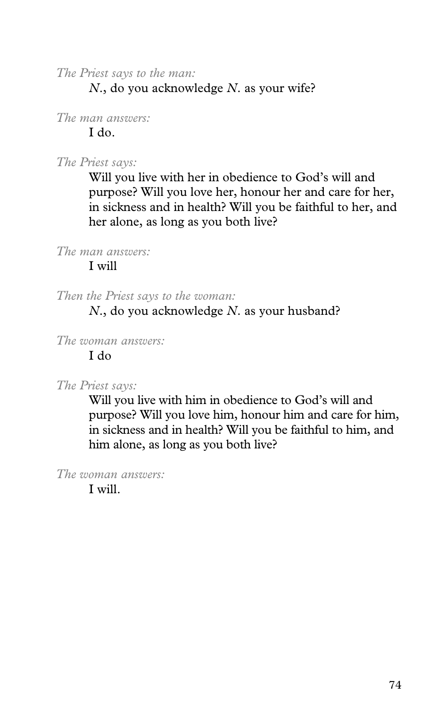*The Priest says to the man:* 

*N*., do you acknowledge *N*. as your wife?

*The man answers:*

I do.

*The Priest says:* 

Will you live with her in obedience to God's will and purpose? Will you love her, honour her and care for her, in sickness and in health? Will you be faithful to her, and her alone, as long as you both live?

*The man answers:* 

I will

*Then the Priest says to the woman:* 

*N*., do you acknowledge *N*. as your husband?

*The woman answers:* 

I do

*The Priest says:* 

Will you live with him in obedience to God's will and purpose? Will you love him, honour him and care for him, in sickness and in health? Will you be faithful to him, and him alone, as long as you both live?

*The woman answers:* 

I will.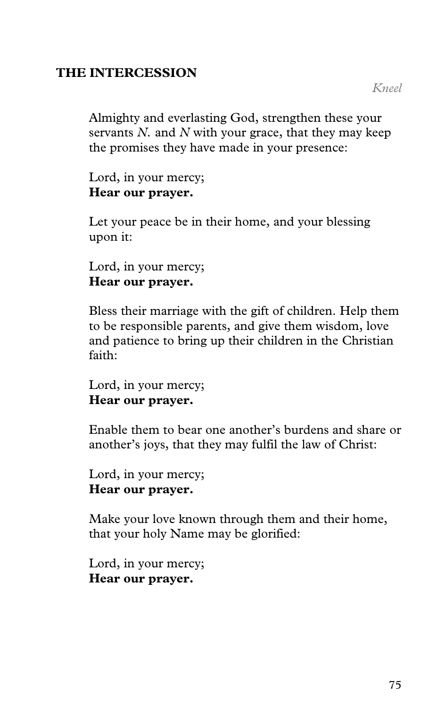# **THE INTERCESSION**

Almighty and everlasting God, strengthen these your servants *N.* and *N* with your grace, that they may keep the promises they have made in your presence:

Lord, in your mercy; **Hear our prayer.** 

Let your peace be in their home, and your blessing upon it:

Lord, in your mercy; **Hear our prayer.** 

Bless their marriage with the gift of children. Help them to be responsible parents, and give them wisdom, love and patience to bring up their children in the Christian faith:

Lord, in your mercy; **Hear our prayer.** 

Enable them to bear one another's burdens and share or another's joys, that they may fulfil the law of Christ:

Lord, in your mercy; **Hear our prayer.** 

Make your love known through them and their home, that your holy Name may be glorified:

Lord, in your mercy; **Hear our prayer.**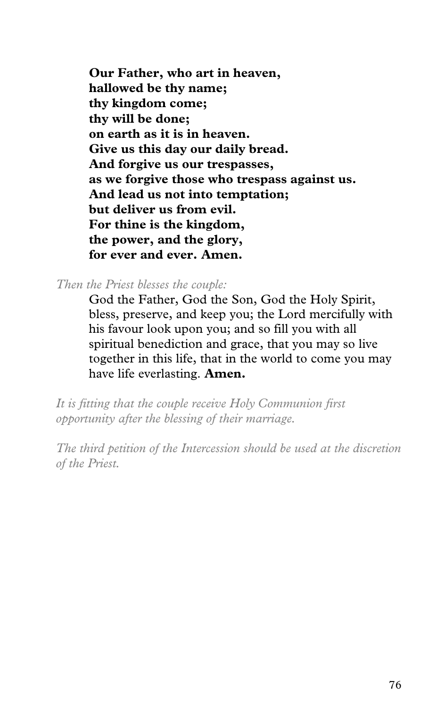**Our Father, who art in heaven, hallowed be thy name; thy kingdom come; thy will be done; on earth as it is in heaven. Give us this day our daily bread. And forgive us our trespasses, as we forgive those who trespass against us. And lead us not into temptation; but deliver us from evil. For thine is the kingdom, the power, and the glory, for ever and ever. Amen.**

*Then the Priest blesses the couple:* 

God the Father, God the Son, God the Holy Spirit, bless, preserve, and keep you; the Lord mercifully with his favour look upon you; and so fill you with all spiritual benediction and grace, that you may so live together in this life, that in the world to come you may have life everlasting. **Amen.**

*It is fitting that the couple receive Holy Communion first opportunity after the blessing of their marriage.*

*The third petition of the Intercession should be used at the discretion of the Priest.*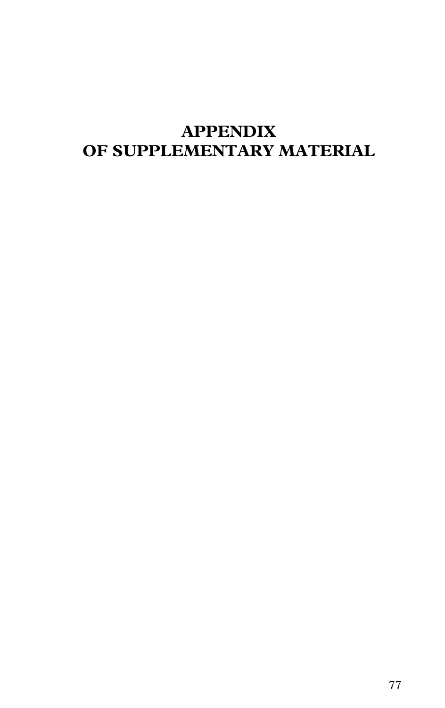# **APPENDIX OF SUPPLEMENTARY MATERIAL**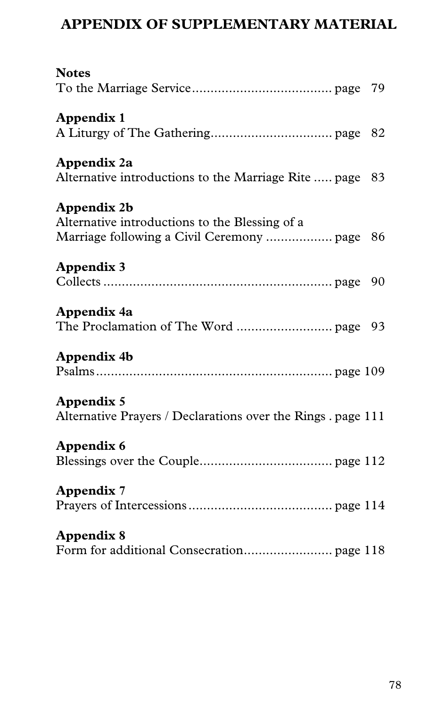# **APPENDIX OF SUPPLEMENTARY MATERIAL**

| <b>Notes</b>                                                               |  |
|----------------------------------------------------------------------------|--|
|                                                                            |  |
| Appendix 1                                                                 |  |
| Appendix 2a<br>Alternative introductions to the Marriage Rite  page 83     |  |
| Appendix 2b<br>Alternative introductions to the Blessing of a              |  |
| Appendix 3                                                                 |  |
| Appendix 4a                                                                |  |
| Appendix 4b                                                                |  |
| Appendix 5<br>Alternative Prayers / Declarations over the Rings . page 111 |  |
| Appendix 6                                                                 |  |
| Appendix 7                                                                 |  |
| Appendix 8                                                                 |  |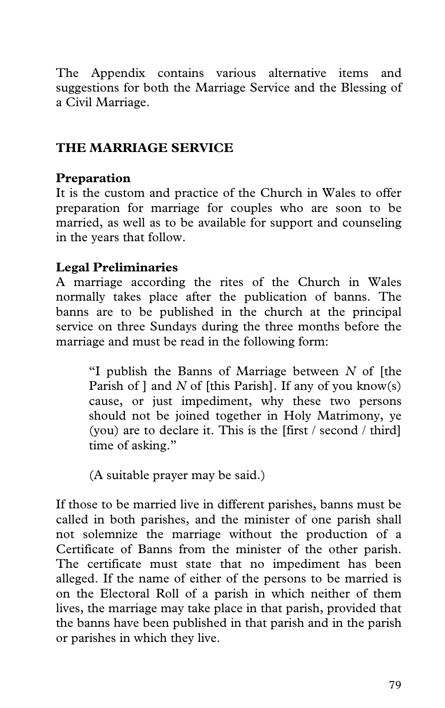The Appendix contains various alternative items and suggestions for both the Marriage Service and the Blessing of a Civil Marriage.

# **THE MARRIAGE SERVICE**

# **Preparation**

It is the custom and practice of the Church in Wales to offer preparation for marriage for couples who are soon to be married, as well as to be available for support and counseling in the years that follow.

# **Legal Preliminaries**

A marriage according the rites of the Church in Wales normally takes place after the publication of banns. The banns are to be published in the church at the principal service on three Sundays during the three months before the marriage and must be read in the following form:

"I publish the Banns of Marriage between *N* of [the Parish of ] and *N* of [this Parish]. If any of you know(s) cause, or just impediment, why these two persons should not be joined together in Holy Matrimony, ye (you) are to declare it. This is the [first / second / third] time of asking."

(A suitable prayer may be said.)

If those to be married live in different parishes, banns must be called in both parishes, and the minister of one parish shall not solemnize the marriage without the production of a Certificate of Banns from the minister of the other parish. The certificate must state that no impediment has been alleged. If the name of either of the persons to be married is on the Electoral Roll of a parish in which neither of them lives, the marriage may take place in that parish, provided that the banns have been published in that parish and in the parish or parishes in which they live.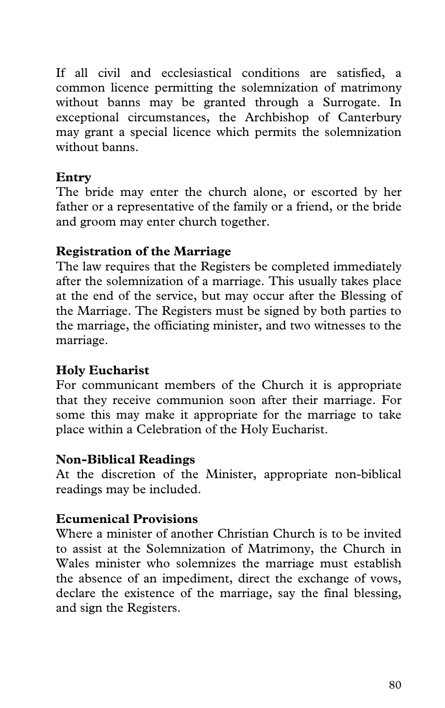If all civil and ecclesiastical conditions are satisfied, a common licence permitting the solemnization of matrimony without banns may be granted through a Surrogate. In exceptional circumstances, the Archbishop of Canterbury may grant a special licence which permits the solemnization without banns.

# **Entry**

The bride may enter the church alone, or escorted by her father or a representative of the family or a friend, or the bride and groom may enter church together.

# **Registration of the Marriage**

The law requires that the Registers be completed immediately after the solemnization of a marriage. This usually takes place at the end of the service, but may occur after the Blessing of the Marriage. The Registers must be signed by both parties to the marriage, the officiating minister, and two witnesses to the marriage.

# **Holy Eucharist**

For communicant members of the Church it is appropriate that they receive communion soon after their marriage. For some this may make it appropriate for the marriage to take place within a Celebration of the Holy Eucharist.

# **Non-Biblical Readings**

At the discretion of the Minister, appropriate non-biblical readings may be included.

# **Ecumenical Provisions**

Where a minister of another Christian Church is to be invited to assist at the Solemnization of Matrimony, the Church in Wales minister who solemnizes the marriage must establish the absence of an impediment, direct the exchange of vows, declare the existence of the marriage, say the final blessing, and sign the Registers.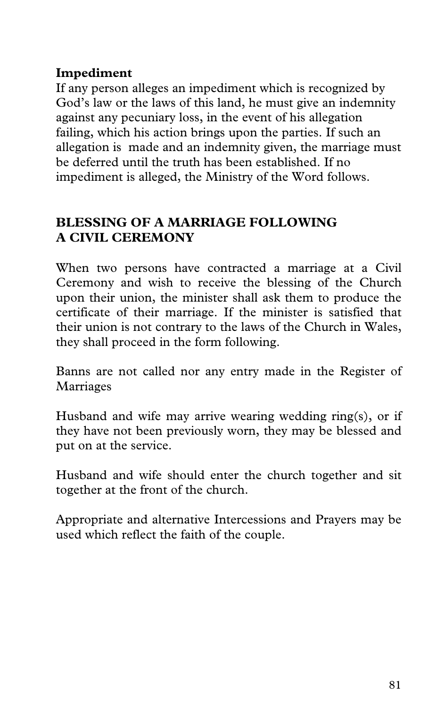# **Impediment**

If any person alleges an impediment which is recognized by God's law or the laws of this land, he must give an indemnity against any pecuniary loss, in the event of his allegation failing, which his action brings upon the parties. If such an allegation is made and an indemnity given, the marriage must be deferred until the truth has been established. If no impediment is alleged, the Ministry of the Word follows.

# **BLESSING OF A MARRIAGE FOLLOWING A CIVIL CEREMONY**

When two persons have contracted a marriage at a Civil Ceremony and wish to receive the blessing of the Church upon their union, the minister shall ask them to produce the certificate of their marriage. If the minister is satisfied that their union is not contrary to the laws of the Church in Wales, they shall proceed in the form following.

Banns are not called nor any entry made in the Register of Marriages

Husband and wife may arrive wearing wedding ring(s), or if they have not been previously worn, they may be blessed and put on at the service.

Husband and wife should enter the church together and sit together at the front of the church.

Appropriate and alternative Intercessions and Prayers may be used which reflect the faith of the couple.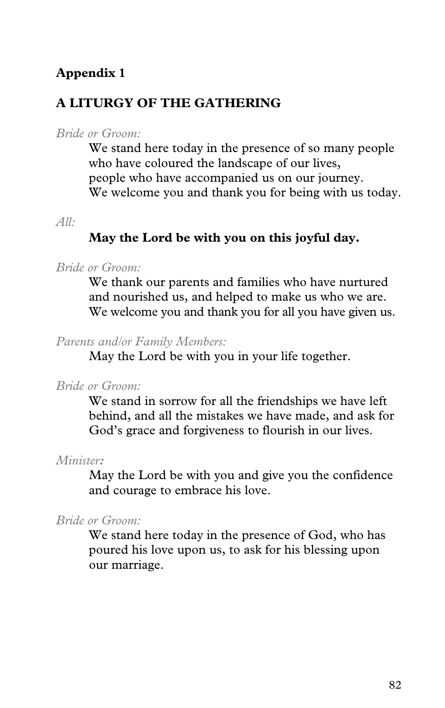# **Appendix 1**

# **A LITURGY OF THE GATHERING**

#### *Bride or Groom:*

We stand here today in the presence of so many people who have coloured the landscape of our lives, people who have accompanied us on our journey. We welcome you and thank you for being with us today.

#### *All:*

#### **May the Lord be with you on this joyful day.**

#### *Bride or Groom:*

We thank our parents and families who have nurtured and nourished us, and helped to make us who we are. We welcome you and thank you for all you have given us.

#### *Parents and/or Family Members:*

May the Lord be with you in your life together.

#### *Bride or Groom:*

We stand in sorrow for all the friendships we have left behind, and all the mistakes we have made, and ask for God's grace and forgiveness to flourish in our lives.

#### *Minister:*

May the Lord be with you and give you the confidence and courage to embrace his love.

#### *Bride or Groom:*

We stand here today in the presence of God, who has poured his love upon us, to ask for his blessing upon our marriage.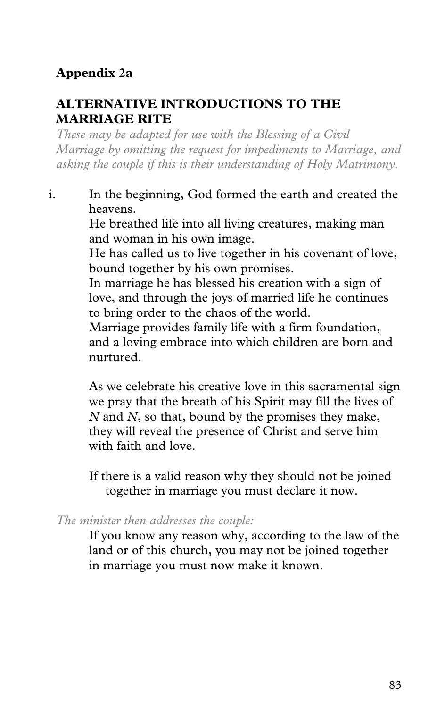# **Appendix 2a**

# **ALTERNATIVE INTRODUCTIONS TO THE MARRIAGE RITE**

*These may be adapted for use with the Blessing of a Civil Marriage by omitting the request for impediments to Marriage, and asking the couple if this is their understanding of Holy Matrimony.* 

i. In the beginning, God formed the earth and created the heavens.

> He breathed life into all living creatures, making man and woman in his own image.

He has called us to live together in his covenant of love, bound together by his own promises.

In marriage he has blessed his creation with a sign of love, and through the joys of married life he continues to bring order to the chaos of the world.

Marriage provides family life with a firm foundation, and a loving embrace into which children are born and nurtured.

As we celebrate his creative love in this sacramental sign we pray that the breath of his Spirit may fill the lives of *N* and *N*, so that, bound by the promises they make, they will reveal the presence of Christ and serve him with faith and love.

If there is a valid reason why they should not be joined together in marriage you must declare it now.

*The minister then addresses the couple:* 

If you know any reason why, according to the law of the land or of this church, you may not be joined together in marriage you must now make it known.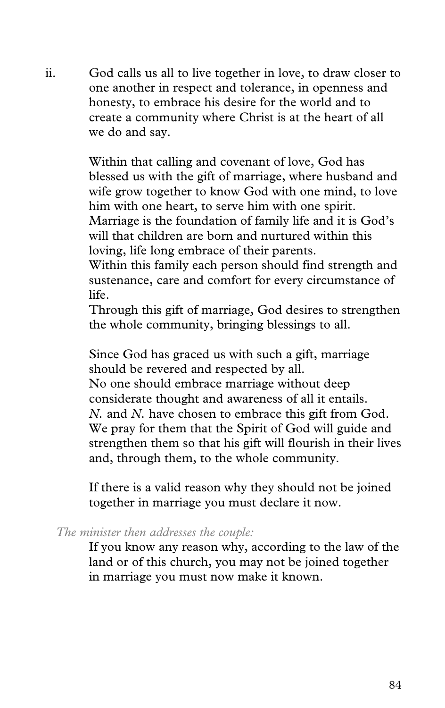ii. God calls us all to live together in love, to draw closer to one another in respect and tolerance, in openness and honesty, to embrace his desire for the world and to create a community where Christ is at the heart of all we do and say.

> Within that calling and covenant of love, God has blessed us with the gift of marriage, where husband and wife grow together to know God with one mind, to love him with one heart, to serve him with one spirit. Marriage is the foundation of family life and it is God's will that children are born and nurtured within this loving, life long embrace of their parents.

> Within this family each person should find strength and sustenance, care and comfort for every circumstance of life.

> Through this gift of marriage, God desires to strengthen the whole community, bringing blessings to all.

> Since God has graced us with such a gift, marriage should be revered and respected by all. No one should embrace marriage without deep considerate thought and awareness of all it entails. *N.* and *N.* have chosen to embrace this gift from God. We pray for them that the Spirit of God will guide and strengthen them so that his gift will flourish in their lives and, through them, to the whole community.

If there is a valid reason why they should not be joined together in marriage you must declare it now.

*The minister then addresses the couple:* 

If you know any reason why, according to the law of the land or of this church, you may not be joined together in marriage you must now make it known.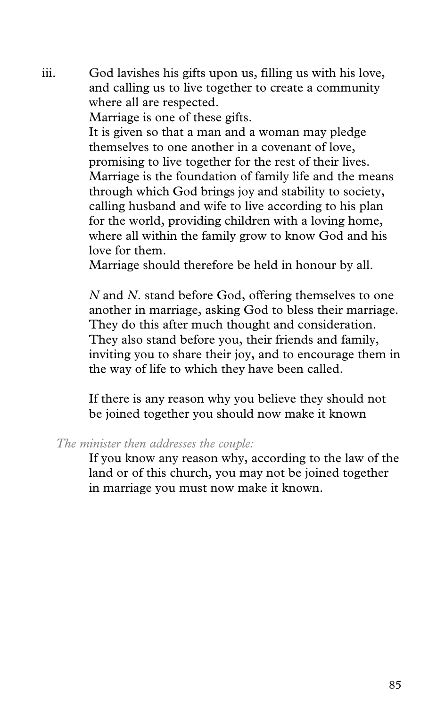iii. God lavishes his gifts upon us, filling us with his love, and calling us to live together to create a community where all are respected.

Marriage is one of these gifts.

It is given so that a man and a woman may pledge themselves to one another in a covenant of love, promising to live together for the rest of their lives. Marriage is the foundation of family life and the means through which God brings joy and stability to society, calling husband and wife to live according to his plan for the world, providing children with a loving home, where all within the family grow to know God and his love for them.

Marriage should therefore be held in honour by all.

*N* and *N*. stand before God, offering themselves to one another in marriage, asking God to bless their marriage. They do this after much thought and consideration. They also stand before you, their friends and family, inviting you to share their joy, and to encourage them in the way of life to which they have been called.

If there is any reason why you believe they should not be joined together you should now make it known

*The minister then addresses the couple:* 

If you know any reason why, according to the law of the land or of this church, you may not be joined together in marriage you must now make it known.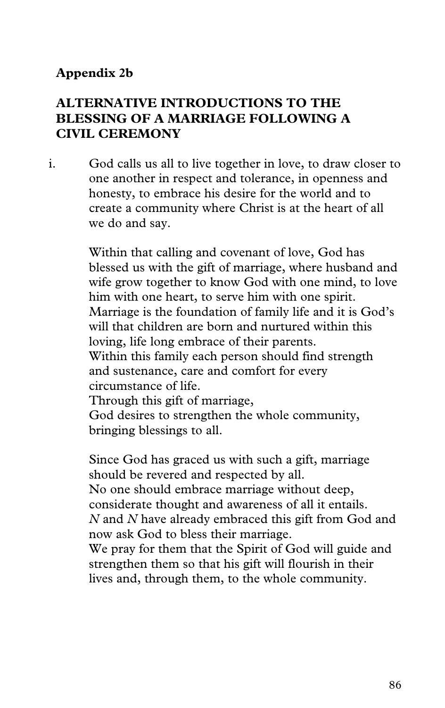# **Appendix 2b**

# **ALTERNATIVE INTRODUCTIONS TO THE BLESSING OF A MARRIAGE FOLLOWING A CIVIL CEREMONY**

i. God calls us all to live together in love, to draw closer to one another in respect and tolerance, in openness and honesty, to embrace his desire for the world and to create a community where Christ is at the heart of all we do and say.

> Within that calling and covenant of love, God has blessed us with the gift of marriage, where husband and wife grow together to know God with one mind, to love him with one heart, to serve him with one spirit. Marriage is the foundation of family life and it is God's will that children are born and nurtured within this loving, life long embrace of their parents. Within this family each person should find strength and sustenance, care and comfort for every circumstance of life. Through this gift of marriage, God desires to strengthen the whole community, bringing blessings to all.

> Since God has graced us with such a gift, marriage should be revered and respected by all. No one should embrace marriage without deep, considerate thought and awareness of all it entails. *N* and *N* have already embraced this gift from God and now ask God to bless their marriage. We pray for them that the Spirit of God will guide and strengthen them so that his gift will flourish in their lives and, through them, to the whole community.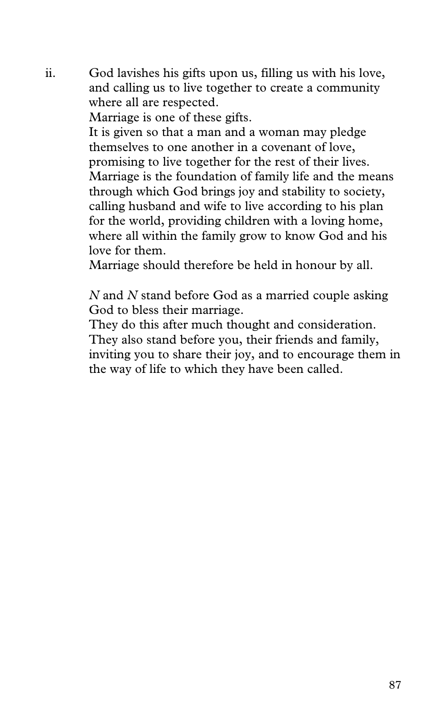ii. God lavishes his gifts upon us, filling us with his love, and calling us to live together to create a community where all are respected.

Marriage is one of these gifts.

It is given so that a man and a woman may pledge themselves to one another in a covenant of love, promising to live together for the rest of their lives. Marriage is the foundation of family life and the means through which God brings joy and stability to society, calling husband and wife to live according to his plan for the world, providing children with a loving home, where all within the family grow to know God and his love for them.

Marriage should therefore be held in honour by all.

*N* and *N* stand before God as a married couple asking God to bless their marriage.

They do this after much thought and consideration. They also stand before you, their friends and family, inviting you to share their joy, and to encourage them in the way of life to which they have been called.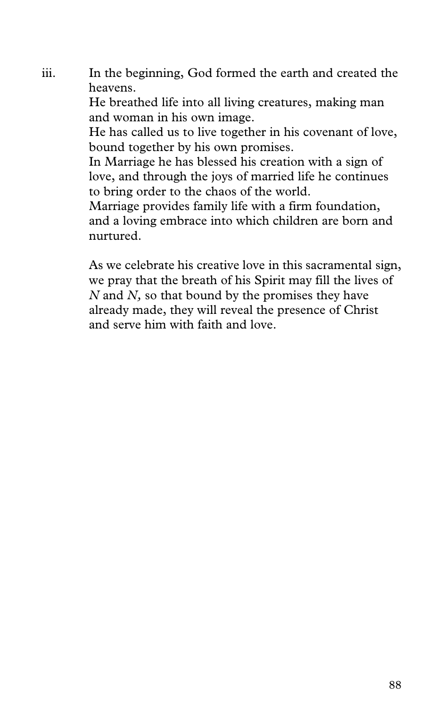iii. In the beginning, God formed the earth and created the heavens.

> He breathed life into all living creatures, making man and woman in his own image.

He has called us to live together in his covenant of love, bound together by his own promises.

In Marriage he has blessed his creation with a sign of love, and through the joys of married life he continues to bring order to the chaos of the world.

Marriage provides family life with a firm foundation, and a loving embrace into which children are born and nurtured.

As we celebrate his creative love in this sacramental sign, we pray that the breath of his Spirit may fill the lives of *N* and *N,* so that bound by the promises they have already made, they will reveal the presence of Christ and serve him with faith and love.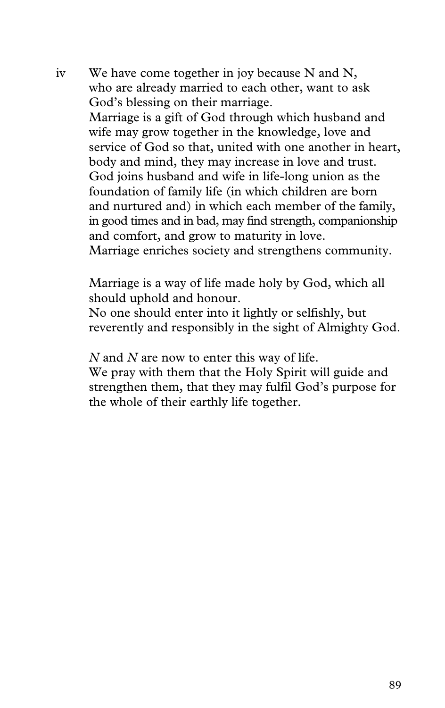iv We have come together in joy because N and N, who are already married to each other, want to ask God's blessing on their marriage. Marriage is a gift of God through which husband and wife may grow together in the knowledge, love and service of God so that, united with one another in heart, body and mind, they may increase in love and trust. God joins husband and wife in life-long union as the foundation of family life (in which children are born and nurtured and) in which each member of the family, in good times and in bad, may find strength, companionship and comfort, and grow to maturity in love. Marriage enriches society and strengthens community.

Marriage is a way of life made holy by God, which all should uphold and honour.

No one should enter into it lightly or selfishly, but reverently and responsibly in the sight of Almighty God.

*N* and *N* are now to enter this way of life.

We pray with them that the Holy Spirit will guide and strengthen them, that they may fulfil God's purpose for the whole of their earthly life together.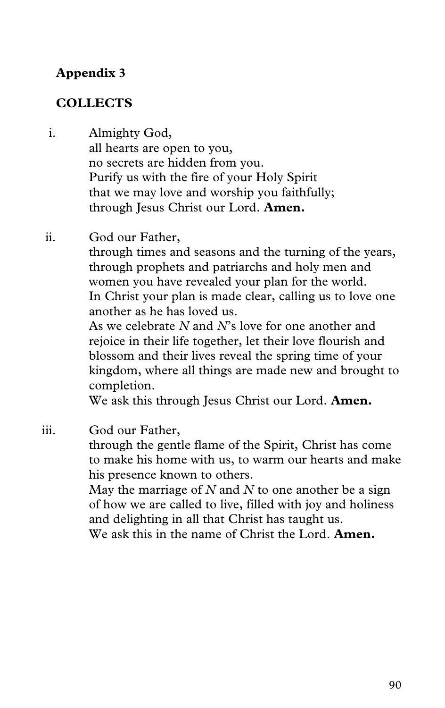# **Appendix 3**

# **COLLECTS**

i. Almighty God,

all hearts are open to you, no secrets are hidden from you. Purify us with the fire of your Holy Spirit that we may love and worship you faithfully; through Jesus Christ our Lord. **Amen.** 

ii. God our Father,

 through times and seasons and the turning of the years, through prophets and patriarchs and holy men and women you have revealed your plan for the world. In Christ your plan is made clear, calling us to love one another as he has loved us.

As we celebrate *N* and *N*'s love for one another and rejoice in their life together, let their love flourish and blossom and their lives reveal the spring time of your kingdom, where all things are made new and brought to completion.

We ask this through Jesus Christ our Lord. **Amen.**

iii. God our Father,

through the gentle flame of the Spirit, Christ has come to make his home with us, to warm our hearts and make his presence known to others.

May the marriage of *N* and *N* to one another be a sign of how we are called to live, filled with joy and holiness and delighting in all that Christ has taught us.

We ask this in the name of Christ the Lord. **Amen.**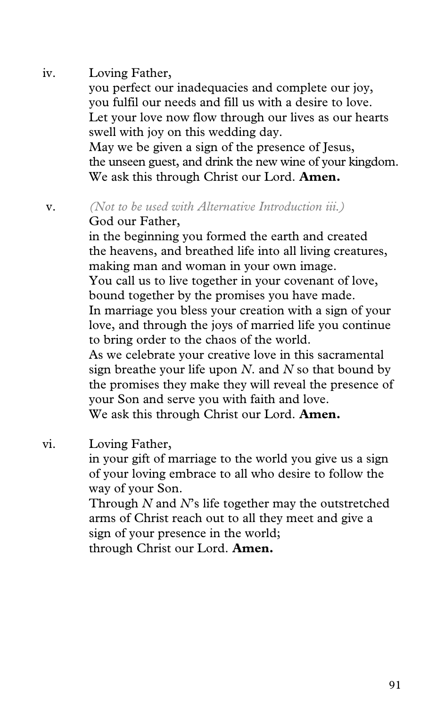# iv. Loving Father,

you perfect our inadequacies and complete our joy, you fulfil our needs and fill us with a desire to love. Let your love now flow through our lives as our hearts swell with joy on this wedding day.

May we be given a sign of the presence of Jesus, the unseen guest, and drink the new wine of your kingdom. We ask this through Christ our Lord. **Amen.**

v. *(Not to be used with Alternative Introduction iii.)*

### God our Father,

 in the beginning you formed the earth and created the heavens, and breathed life into all living creatures, making man and woman in your own image. You call us to live together in your covenant of love, bound together by the promises you have made. In marriage you bless your creation with a sign of your love, and through the joys of married life you continue to bring order to the chaos of the world. As we celebrate your creative love in this sacramental sign breathe your life upon *N*. and *N* so that bound by the promises they make they will reveal the presence of your Son and serve you with faith and love.

We ask this through Christ our Lord. **Amen.**

vi. Loving Father,

in your gift of marriage to the world you give us a sign of your loving embrace to all who desire to follow the way of your Son.

Through *N* and *N*'s life together may the outstretched arms of Christ reach out to all they meet and give a sign of your presence in the world; through Christ our Lord. **Amen.**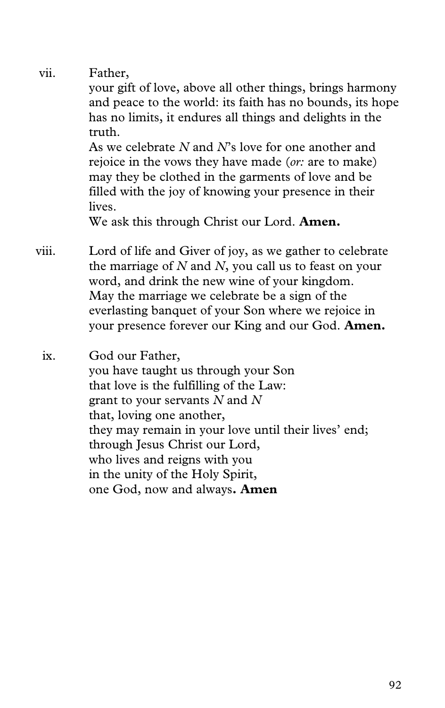vii. Father,

your gift of love, above all other things, brings harmony and peace to the world: its faith has no bounds, its hope has no limits, it endures all things and delights in the truth.

As we celebrate *N* and *N*'s love for one another and rejoice in the vows they have made (*or:* are to make) may they be clothed in the garments of love and be filled with the joy of knowing your presence in their lives.

We ask this through Christ our Lord. **Amen.** 

viii. Lord of life and Giver of joy, as we gather to celebrate the marriage of *N* and *N*, you call us to feast on your word, and drink the new wine of your kingdom. May the marriage we celebrate be a sign of the everlasting banquet of your Son where we rejoice in your presence forever our King and our God. **Amen.** 

ix. God our Father, you have taught us through your Son that love is the fulfilling of the Law: grant to your servants *N* and *N* that, loving one another, they may remain in your love until their lives' end; through Jesus Christ our Lord, who lives and reigns with you in the unity of the Holy Spirit, one God, now and always**. Amen**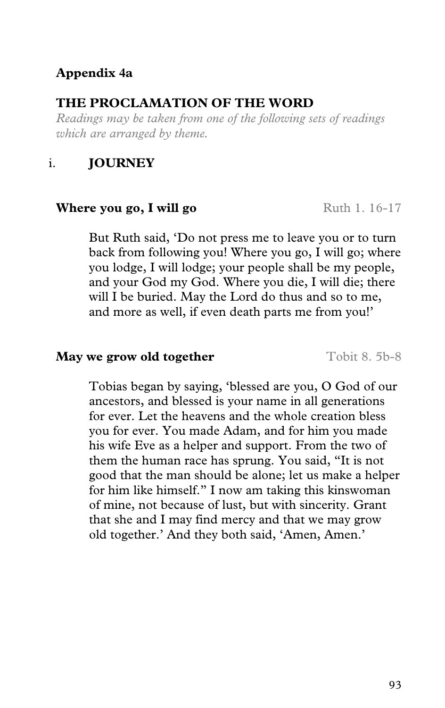# **Appendix 4a**

#### **THE PROCLAMATION OF THE WORD**

*Readings may be taken from one of the following sets of readings which are arranged by theme.* 

### i. **JOURNEY**

#### **Where you go, I will go** Ruth 1. 16-17

 But Ruth said, 'Do not press me to leave you or to turn back from following you! Where you go, I will go; where you lodge, I will lodge; your people shall be my people, and your God my God. Where you die, I will die; there will I be buried. May the Lord do thus and so to me, and more as well, if even death parts me from you!'

### **May we grow old together** Tobit 8. 5b-8

 Tobias began by saying, 'blessed are you, O God of our ancestors, and blessed is your name in all generations for ever. Let the heavens and the whole creation bless you for ever. You made Adam, and for him you made his wife Eve as a helper and support. From the two of them the human race has sprung. You said, "It is not good that the man should be alone; let us make a helper for him like himself." I now am taking this kinswoman of mine, not because of lust, but with sincerity. Grant that she and I may find mercy and that we may grow old together.' And they both said, 'Amen, Amen.'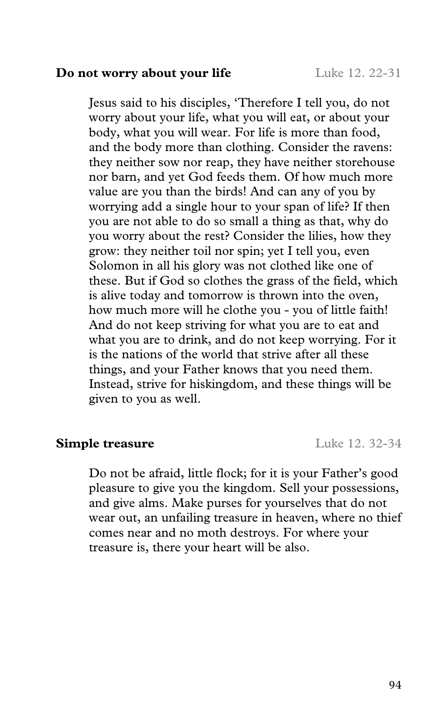#### **Do not worry about your life** Luke 12. 22-31

 Jesus said to his disciples, 'Therefore I tell you, do not worry about your life, what you will eat, or about your body, what you will wear. For life is more than food, and the body more than clothing. Consider the ravens: they neither sow nor reap, they have neither storehouse nor barn, and yet God feeds them. Of how much more value are you than the birds! And can any of you by worrying add a single hour to your span of life? If then you are not able to do so small a thing as that, why do you worry about the rest? Consider the lilies, how they grow: they neither toil nor spin; yet I tell you, even Solomon in all his glory was not clothed like one of these. But if God so clothes the grass of the field, which is alive today and tomorrow is thrown into the oven, how much more will he clothe you - you of little faith! And do not keep striving for what you are to eat and what you are to drink, and do not keep worrying. For it is the nations of the world that strive after all these things, and your Father knows that you need them. Instead, strive for hiskingdom, and these things will be given to you as well.

### **Simple treasure** Luke 12. 32-34

 Do not be afraid, little flock; for it is your Father's good pleasure to give you the kingdom. Sell your possessions, and give alms. Make purses for yourselves that do not wear out, an unfailing treasure in heaven, where no thief comes near and no moth destroys. For where your treasure is, there your heart will be also.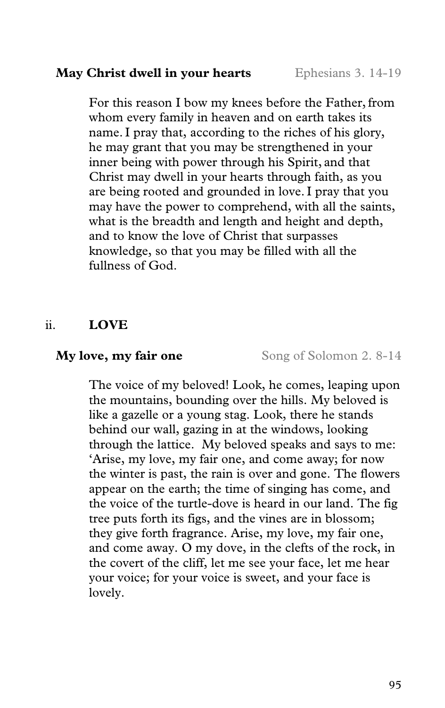#### **May Christ dwell in your hearts** Ephesians 3. 14-19

For this reason I bow my knees before the Father, from whom every family in heaven and on earth takes its name.I pray that, according to the riches of his glory, he may grant that you may be strengthened in your inner being with power through his Spirit, and that Christ may dwell in your hearts through faith, as you are being rooted and grounded in love.I pray that you may have the power to comprehend, with all the saints, what is the breadth and length and height and depth, and to know the love of Christ that surpasses knowledge, so that you may be filled with all the fullness of God.

#### ii. **LOVE**

**My love, my fair one** Song of Solomon 2. 8-14

 The voice of my beloved! Look, he comes, leaping upon the mountains, bounding over the hills. My beloved is like a gazelle or a young stag. Look, there he stands behind our wall, gazing in at the windows, looking through the lattice. My beloved speaks and says to me: 'Arise, my love, my fair one, and come away; for now the winter is past, the rain is over and gone. The flowers appear on the earth; the time of singing has come, and the voice of the turtle-dove is heard in our land. The fig tree puts forth its figs, and the vines are in blossom; they give forth fragrance. Arise, my love, my fair one, and come away. O my dove, in the clefts of the rock, in the covert of the cliff, let me see your face, let me hear your voice; for your voice is sweet, and your face is lovely.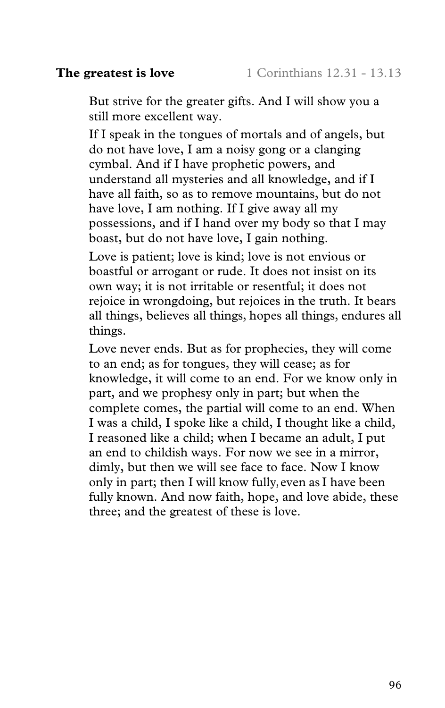But strive for the greater gifts. And I will show you a still more excellent way.

 If I speak in the tongues of mortals and of angels, but do not have love, I am a noisy gong or a clanging cymbal. And if I have prophetic powers, and understand all mysteries and all knowledge, and if I have all faith, so as to remove mountains, but do not have love, I am nothing. If I give away all my possessions, and if I hand over my body so that I may boast, but do not have love, I gain nothing.

 Love is patient; love is kind; love is not envious or boastful or arrogant or rude. It does not insist on its own way; it is not irritable or resentful; it does not rejoice in wrongdoing, but rejoices in the truth. It bears all things, believes all things, hopes all things, endures all things.

 Love never ends. But as for prophecies, they will come to an end; as for tongues, they will cease; as for knowledge, it will come to an end. For we know only in part, and we prophesy only in part; but when the complete comes, the partial will come to an end. When I was a child, I spoke like a child, I thought like a child, I reasoned like a child; when I became an adult, I put an end to childish ways. For now we see in a mirror, dimly, but then we will see face to face. Now I know only in part; then I will know fully, even asI have been fully known. And now faith, hope, and love abide, these three; and the greatest of these is love.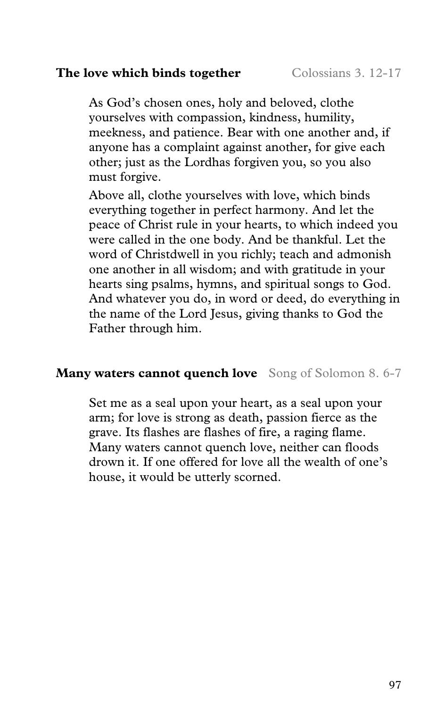### **The love which binds together** Colossians 3. 12-17

 As God's chosen ones, holy and beloved, clothe yourselves with compassion, kindness, humility, meekness, and patience. Bear with one another and, if anyone has a complaint against another, for give each other; just as the Lordhas forgiven you, so you also must forgive.

 Above all, clothe yourselves with love, which binds everything together in perfect harmony. And let the peace of Christ rule in your hearts, to which indeed you were called in the one body. And be thankful. Let the word of Christdwell in you richly; teach and admonish one another in all wisdom; and with gratitude in your hearts sing psalms, hymns, and spiritual songs to God. And whatever you do, in word or deed, do everything in the name of the Lord Jesus, giving thanks to God the Father through him.

# **Many waters cannot quench love** Song of Solomon 8. 6-7

 Set me as a seal upon your heart, as a seal upon your arm; for love is strong as death, passion fierce as the grave. Its flashes are flashes of fire, a raging flame. Many waters cannot quench love, neither can floods drown it. If one offered for love all the wealth of one's house, it would be utterly scorned.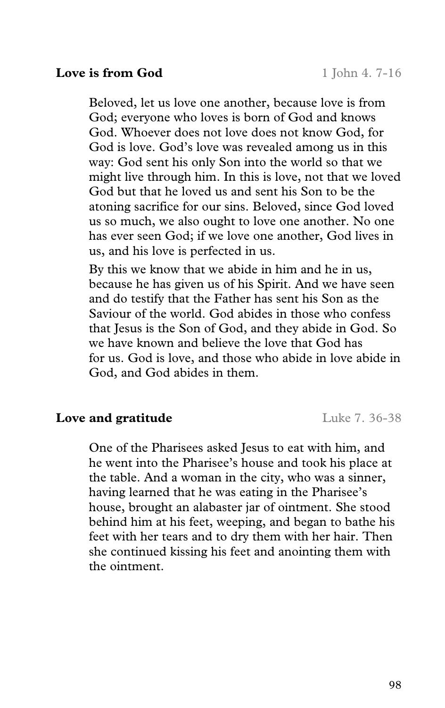Beloved, let us love one another, because love is from God; everyone who loves is born of God and knows God. Whoever does not love does not know God, for God is love. God's love was revealed among us in this way: God sent his only Son into the world so that we might live through him. In this is love, not that we loved God but that he loved us and sent his Son to be the atoning sacrifice for our sins. Beloved, since God loved us so much, we also ought to love one another. No one has ever seen God; if we love one another, God lives in us, and his love is perfected in us.

 By this we know that we abide in him and he in us, because he has given us of his Spirit. And we have seen and do testify that the Father has sent his Son as the Saviour of the world. God abides in those who confess that Jesus is the Son of God, and they abide in God. So we have known and believe the love that God has for us. God is love, and those who abide in love abide in God, and God abides in them.

# Love and gratitude Luke 7. 36-38

 One of the Pharisees asked Jesus to eat with him, and he went into the Pharisee's house and took his place at the table. And a woman in the city, who was a sinner, having learned that he was eating in the Pharisee's house, brought an alabaster jar of ointment. She stood behind him at his feet, weeping, and began to bathe his feet with her tears and to dry them with her hair. Then she continued kissing his feet and anointing them with the ointment.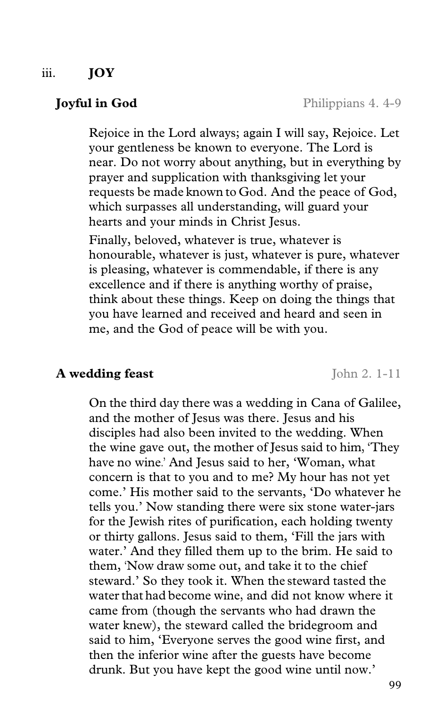### iii. **JOY**

**Joyful in God** Philippians 4. 4-9

Rejoice in the Lord always; again I will say, Rejoice. Let your gentleness be known to everyone. The Lord is near. Do not worry about anything, but in everything by prayer and supplication with thanksgiving let your requests be made known to God. And the peace of God, which surpasses all understanding, will guard your hearts and your minds in Christ Jesus.

 Finally, beloved, whatever is true, whatever is honourable, whatever is just, whatever is pure, whatever is pleasing, whatever is commendable, if there is any excellence and if there is anything worthy of praise, think about these things. Keep on doing the things that you have learned and received and heard and seen in me, and the God of peace will be with you.

# **A** wedding feast John 2. 1-11

On the third day there was a wedding in Cana of Galilee, and the mother of Jesus was there. Jesus and his disciples had also been invited to the wedding. When the wine gave out, the mother of Jesus said to him, 'They have no wine.' And Jesus said to her, 'Woman, what concern is that to you and to me? My hour has not yet come.' His mother said to the servants, 'Do whatever he tells you.' Now standing there were six stone water-jars for the Jewish rites of purification, each holding twenty or thirty gallons. Jesus said to them, 'Fill the jars with water.' And they filled them up to the brim. He said to them, 'Now draw some out, and take it to the chief steward.' So they took it. When the steward tasted the water that had become wine, and did not know where it came from (though the servants who had drawn the water knew), the steward called the bridegroom and said to him, 'Everyone serves the good wine first, and then the inferior wine after the guests have become drunk. But you have kept the good wine until now.'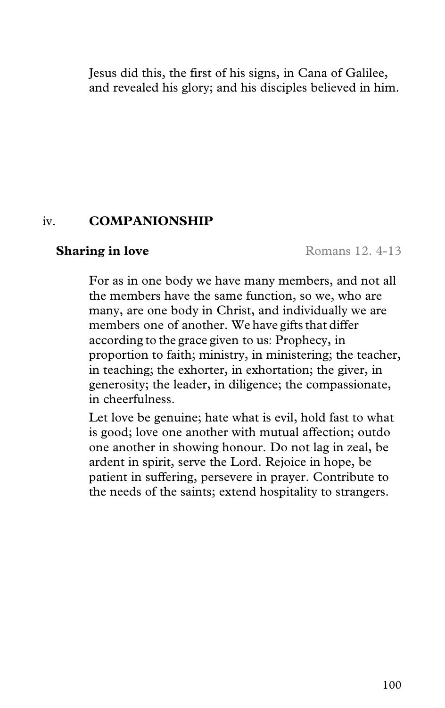Jesus did this, the first of his signs, in Cana of Galilee, and revealed his glory; and his disciples believed in him.

### iv. **COMPANIONSHIP**

#### **Sharing in love** Romans 12. 4-13

For as in one body we have many members, and not all the members have the same function, so we, who are many, are one body in Christ, and individually we are members one of another. We have gifts that differ according to the grace given to us: Prophecy, in proportion to faith; ministry, in ministering; the teacher, in teaching; the exhorter, in exhortation; the giver, in generosity; the leader, in diligence; the compassionate, in cheerfulness.

 Let love be genuine; hate what is evil, hold fast to what is good; love one another with mutual affection; outdo one another in showing honour. Do not lag in zeal, be ardent in spirit, serve the Lord. Rejoice in hope, be patient in suffering, persevere in prayer. Contribute to the needs of the saints; extend hospitality to strangers.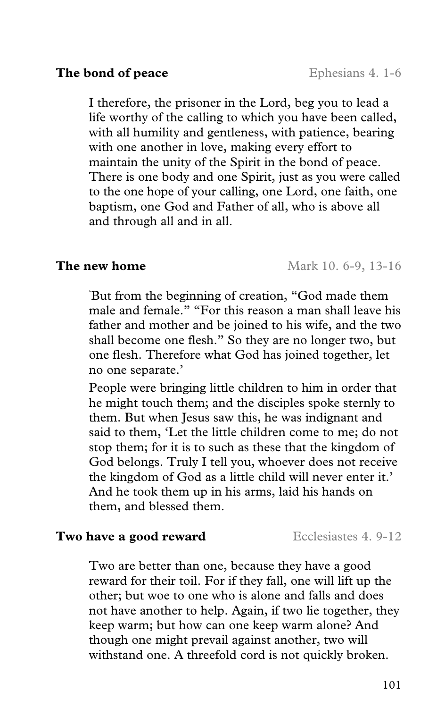I therefore, the prisoner in the Lord, beg you to lead a life worthy of the calling to which you have been called, with all humility and gentleness, with patience, bearing with one another in love, making every effort to maintain the unity of the Spirit in the bond of peace. There is one body and one Spirit, just as you were called to the one hope of your calling, one Lord, one faith, one baptism, one God and Father of all, who is above all and through all and in all.

 'But from the beginning of creation, "God made them male and female." "For this reason a man shall leave his father and mother and be joined to his wife, and the two shall become one flesh." So they are no longer two, but one flesh. Therefore what God has joined together, let no one separate.'

 People were bringing little children to him in order that he might touch them; and the disciples spoke sternly to them. But when Jesus saw this, he was indignant and said to them, 'Let the little children come to me; do not stop them; for it is to such as these that the kingdom of God belongs. Truly I tell you, whoever does not receive the kingdom of God as a little child will never enter it.' And he took them up in his arms, laid his hands on them, and blessed them.

### **Two have a good reward** Ecclesiastes 4. 9-12

 Two are better than one, because they have a good reward for their toil. For if they fall, one will lift up the other; but woe to one who is alone and falls and does not have another to help. Again, if two lie together, they keep warm; but how can one keep warm alone? And though one might prevail against another, two will withstand one. A threefold cord is not quickly broken.

**The new home** Mark 10. 6-9, 13-16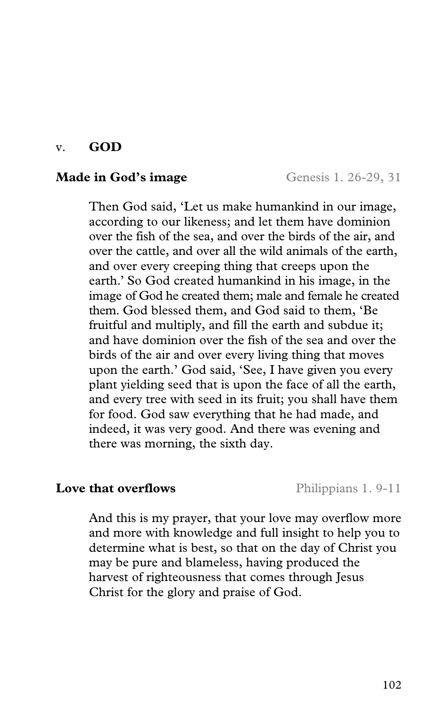### v. **GOD**

#### **Made in God's image** Genesis 1. 26-29, 31

 Then God said, 'Let us make humankind in our image, according to our likeness; and let them have dominion over the fish of the sea, and over the birds of the air, and over the cattle, and over all the wild animals of the earth, and over every creeping thing that creeps upon the earth.' So God created humankind in his image, in the image of God he created them; male and female he created them. God blessed them, and God said to them, 'Be fruitful and multiply, and fill the earth and subdue it; and have dominion over the fish of the sea and over the birds of the air and over every living thing that moves upon the earth.' God said, 'See, I have given you every plant yielding seed that is upon the face of all the earth, and every tree with seed in its fruit; you shall have them for food. God saw everything that he had made, and indeed, it was very good. And there was evening and there was morning, the sixth day.

#### **Love that overflows** Philippians 1. 9-11

 And this is my prayer, that your love may overflow more and more with knowledge and full insight to help you to determine what is best, so that on the day of Christ you may be pure and blameless, having produced the harvest of righteousness that comes through Jesus Christ for the glory and praise of God.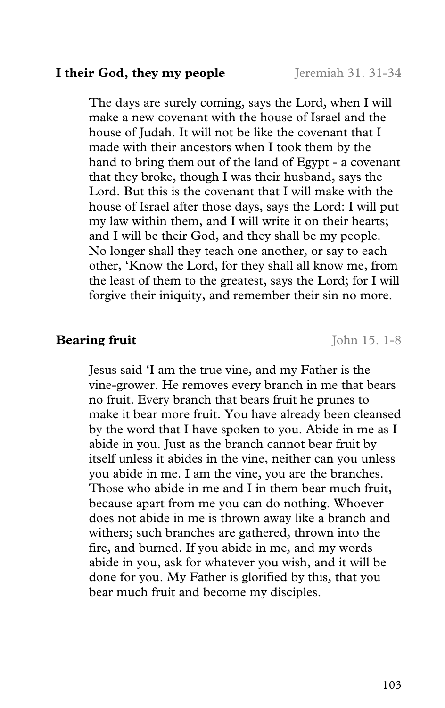# **I their God, they my people** Jeremiah 31. 31-34

The days are surely coming, says the Lord, when I will make a new covenant with the house of Israel and the house of Judah. It will not be like the covenant that I made with their ancestors when I took them by the hand to bring them out of the land of Egypt - a covenant that they broke, though I was their husband, says the Lord. But this is the covenant that I will make with the house of Israel after those days, says the Lord: I will put my law within them, and I will write it on their hearts; and I will be their God, and they shall be my people. No longer shall they teach one another, or say to each other, 'Know the Lord, for they shall all know me, from the least of them to the greatest, says the Lord; for I will forgive their iniquity, and remember their sin no more.

#### **Bearing fruit** John 15. 1-8

Jesus said 'I am the true vine, and my Father is the vine-grower. He removes every branch in me that bears no fruit. Every branch that bears fruit he prunes to make it bear more fruit. You have already been cleansed by the word that I have spoken to you. Abide in me as I abide in you. Just as the branch cannot bear fruit by itself unless it abides in the vine, neither can you unless you abide in me. I am the vine, you are the branches. Those who abide in me and I in them bear much fruit, because apart from me you can do nothing. Whoever does not abide in me is thrown away like a branch and withers; such branches are gathered, thrown into the fire, and burned. If you abide in me, and my words abide in you, ask for whatever you wish, and it will be done for you. My Father is glorified by this, that you bear much fruit and become my disciples.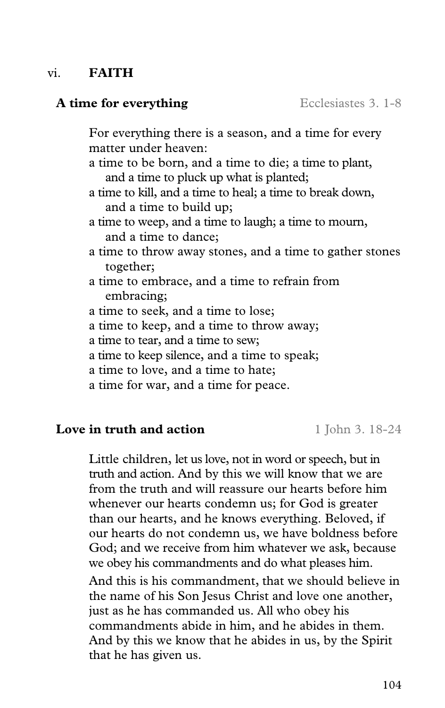#### vi. **FAITH**

#### **A time for everything** Ecclesiastes 3. 1-8

 For everything there is a season, and a time for every matter under heaven:

- a time to be born, and a time to die; a time to plant, and a time to pluck up what is planted;
- a time to kill, and a time to heal; a time to break down, and a time to build up;
- a time to weep, and a time to laugh; a time to mourn, and a time to dance;
- a time to throw away stones, and a time to gather stones together;
- a time to embrace, and a time to refrain from embracing;
- a time to seek, and a time to lose;
- a time to keep, and a time to throw away;
- 
- a time to tear, and a time to sew; a time to keep silence, and a time to speak;
- a time to love, and a time to hate;
- a time for war, and a time for peace.

#### **Love in truth and action** 1 John 3. 18-24

 Little children, let us love, not in word or speech, but in truth and action. And by this we will know that we are from the truth and will reassure our hearts before him whenever our hearts condemn us; for God is greater than our hearts, and he knows everything. Beloved, if our hearts do not condemn us, we have boldness before God; and we receive from him whatever we ask, because we obey his commandments and do what pleases him.

 And this is his commandment, that we should believe in the name of his Son Jesus Christ and love one another, just as he has commanded us. All who obey his commandments abide in him, and he abides in them. And by this we know that he abides in us, by the Spirit that he has given us.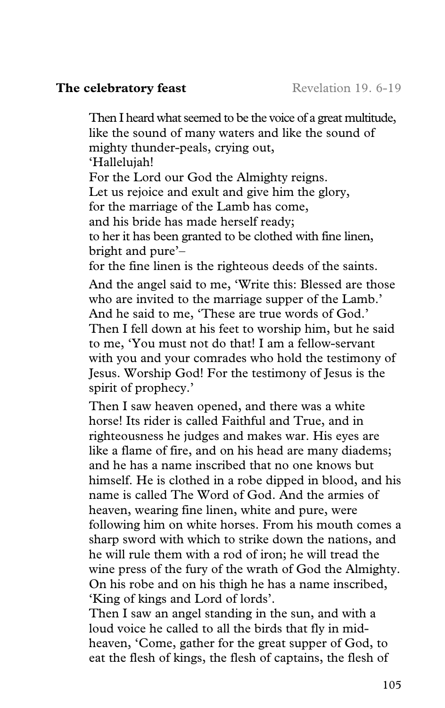## **The celebratory feast** Revelation 19. 6-19

 Then I heard what seemed to be the voice of a great multitude, like the sound of many waters and like the sound of mighty thunder-peals, crying out, 'Hallelujah! For the Lord our God the Almighty reigns. Let us rejoice and exult and give him the glory, for the marriage of the Lamb has come, and his bride has made herself ready; to her it has been granted to be clothed with fine linen, bright and pure'– for the fine linen is the righteous deeds of the saints. And the angel said to me, 'Write this: Blessed are those who are invited to the marriage supper of the Lamb.' And he said to me, 'These are true words of God.' Then I fell down at his feet to worship him, but he said to me, 'You must not do that! I am a fellow-servant with you and your comrades who hold the testimony of Jesus. Worship God! For the testimony of Jesus is the spirit of prophecy.' Then I saw heaven opened, and there was a white horse! Its rider is called Faithful and True, and in righteousness he judges and makes war. His eyes are like a flame of fire, and on his head are many diadems; and he has a name inscribed that no one knows but

himself. He is clothed in a robe dipped in blood, and his name is called The Word of God. And the armies of heaven, wearing fine linen, white and pure, were following him on white horses. From his mouth comes a sharp sword with which to strike down the nations, and he will rule them with a rod of iron; he will tread the wine press of the fury of the wrath of God the Almighty. On his robe and on his thigh he has a name inscribed,

'King of kings and Lord of lords'. Then I saw an angel standing in the sun, and with a loud voice he called to all the birds that fly in midheaven, 'Come, gather for the great supper of God, to eat the flesh of kings, the flesh of captains, the flesh of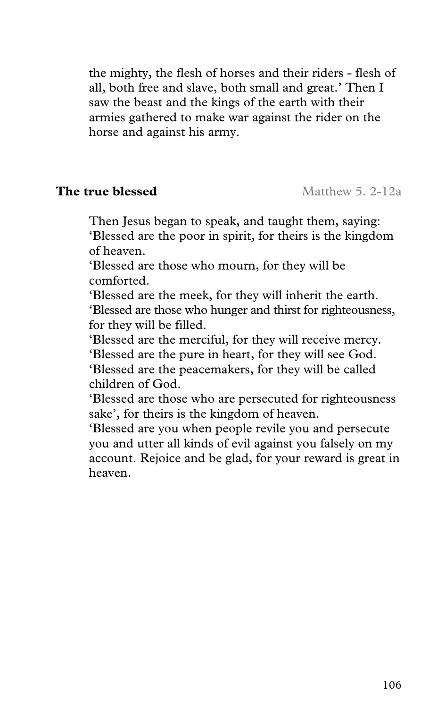the mighty, the flesh of horses and their riders - flesh of all, both free and slave, both small and great.' Then I saw the beast and the kings of the earth with their armies gathered to make war against the rider on the horse and against his army.

### **The true blessed** Matthew 5. 2-12a

 Then Jesus began to speak, and taught them, saying: 'Blessed are the poor in spirit, for theirs is the kingdom of heaven. 'Blessed are those who mourn, for they will be

comforted. 'Blessed are the meek, for they will inherit the earth. 'Blessed are those who hunger and thirst for righteousness,

for they will be filled. 'Blessed are the merciful, for they will receive mercy. 'Blessed are the pure in heart, for they will see God. 'Blessed are the peacemakers, for they will be called

children of God.

'Blessed are those who are persecuted for righteousness sake', for theirs is the kingdom of heaven.

'Blessed are you when people revile you and persecute you and utter all kinds of evil against you falsely on my account. Rejoice and be glad, for your reward is great in heaven.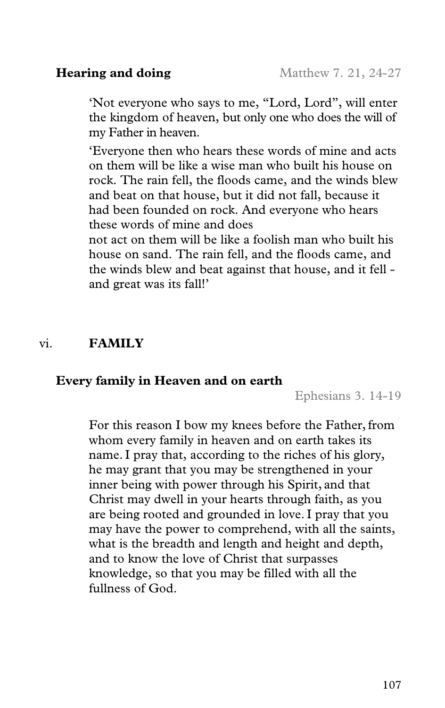'Not everyone who says to me, "Lord, Lord", will enter the kingdom of heaven, but only one who does the will of my Father in heaven.

 'Everyone then who hears these words of mine and acts on them will be like a wise man who built his house on rock. The rain fell, the floods came, and the winds blew and beat on that house, but it did not fall, because it had been founded on rock. And everyone who hears these words of mine and does

not act on them will be like a foolish man who built his house on sand. The rain fell, and the floods came, and the winds blew and beat against that house, and it fell and great was its fall!'

## vi. **FAMILY**

#### **Every family in Heaven and on earth**

Ephesians 3. 14-19

For this reason I bow my knees before the Father, from whom every family in heaven and on earth takes its name.I pray that, according to the riches of his glory, he may grant that you may be strengthened in your inner being with power through his Spirit, and that Christ may dwell in your hearts through faith, as you are being rooted and grounded in love.I pray that you may have the power to comprehend, with all the saints, what is the breadth and length and height and depth, and to know the love of Christ that surpasses knowledge, so that you may be filled with all the fullness of God.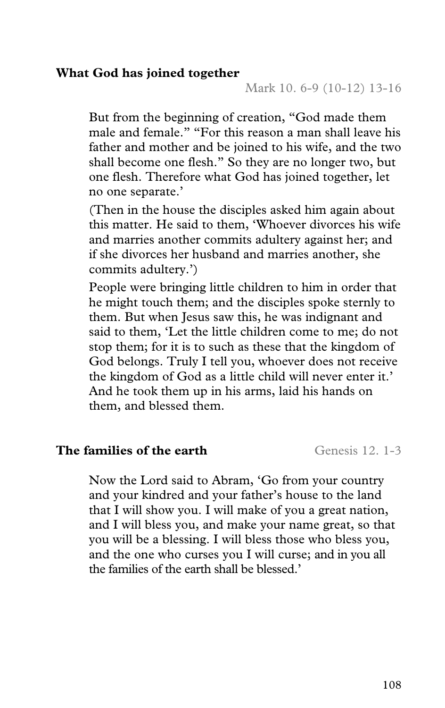### **What God has joined together**

Mark 10. 6-9 (10-12) 13-16

 But from the beginning of creation, "God made them male and female." "For this reason a man shall leave his father and mother and be joined to his wife, and the two shall become one flesh." So they are no longer two, but one flesh. Therefore what God has joined together, let no one separate.'

 (Then in the house the disciples asked him again about this matter. He said to them, 'Whoever divorces his wife and marries another commits adultery against her; and if she divorces her husband and marries another, she commits adultery.')

People were bringing little children to him in order that he might touch them; and the disciples spoke sternly to them. But when Jesus saw this, he was indignant and said to them, 'Let the little children come to me; do not stop them; for it is to such as these that the kingdom of God belongs. Truly I tell you, whoever does not receive the kingdom of God as a little child will never enter it.' And he took them up in his arms, laid his hands on them, and blessed them.

## **The families of the earth** Genesis 12, 1-3

Now the Lord said to Abram, 'Go from your country and your kindred and your father's house to the land that I will show you. I will make of you a great nation, and I will bless you, and make your name great, so that you will be a blessing. I will bless those who bless you, and the one who curses you I will curse; and in you all the families of the earth shall be blessed.'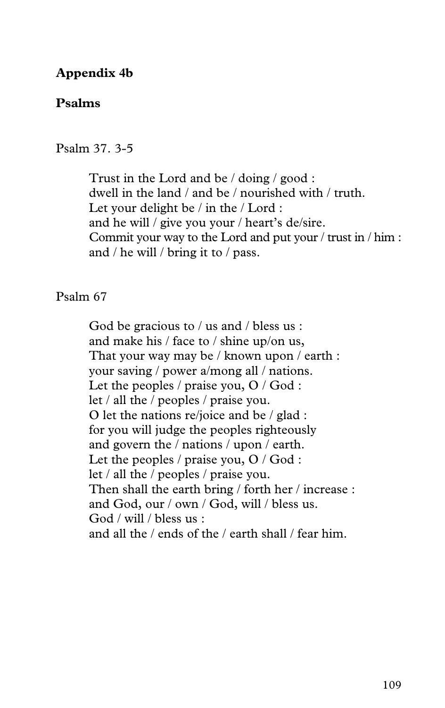## **Appendix 4b**

## **Psalms**

### Psalm 37. 3-5

Trust in the Lord and be / doing / good : dwell in the land / and be / nourished with / truth. Let your delight be / in the / Lord : and he will / give you your / heart's de/sire. Commit your way to the Lord and put your / trust in / him : and / he will / bring it to / pass.

## Psalm 67

God be gracious to / us and / bless us : and make his / face to / shine up/on us, That your way may be / known upon / earth : your saving / power a/mong all / nations. Let the peoples / praise you, O / God : let / all the / peoples / praise you. O let the nations re/joice and be / glad : for you will judge the peoples righteously and govern the / nations / upon / earth. Let the peoples / praise you, O / God : let / all the / peoples / praise you. Then shall the earth bring / forth her / increase : and God, our / own / God, will / bless us. God / will / bless us : and all the / ends of the / earth shall / fear him.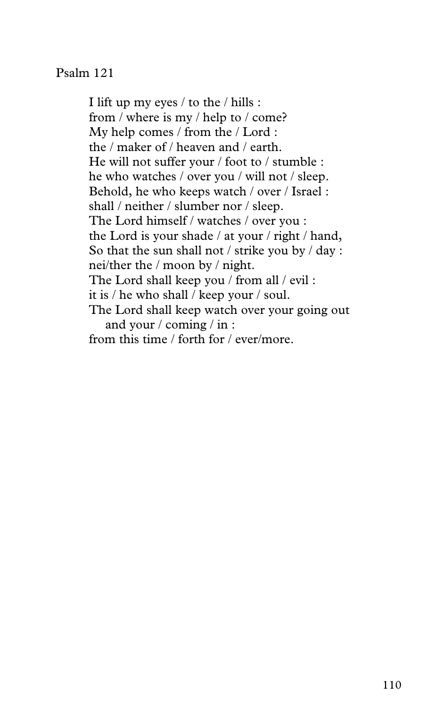#### Psalm 121

I lift up my eyes / to the / hills : from / where is my / help to / come? My help comes / from the / Lord : the / maker of / heaven and / earth. He will not suffer your / foot to / stumble : he who watches / over you / will not / sleep. Behold, he who keeps watch / over / Israel : shall / neither / slumber nor / sleep. The Lord himself / watches / over you : the Lord is your shade / at your / right / hand, So that the sun shall not / strike you by / day : nei/ther the / moon by / night. The Lord shall keep you / from all / evil : it is / he who shall / keep your / soul. The Lord shall keep watch over your going out and your / coming / in : from this time / forth for / ever/more.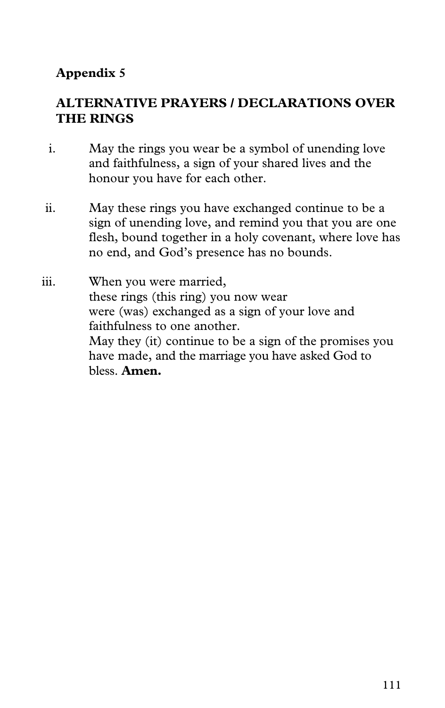# **ALTERNATIVE PRAYERS / DECLARATIONS OVER THE RINGS**

- i. May the rings you wear be a symbol of unending love and faithfulness, a sign of your shared lives and the honour you have for each other.
- ii. May these rings you have exchanged continue to be a sign of unending love, and remind you that you are one flesh, bound together in a holy covenant, where love has no end, and God's presence has no bounds.
- iii. When you were married, these rings (this ring) you now wear were (was) exchanged as a sign of your love and faithfulness to one another. May they (it) continue to be a sign of the promises you have made, and the marriage you have asked God to bless. **Amen.**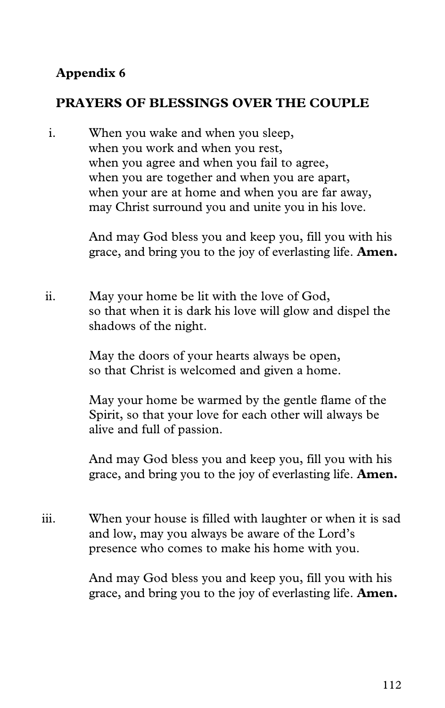# **PRAYERS OF BLESSINGS OVER THE COUPLE**

i. When you wake and when you sleep, when you work and when you rest, when you agree and when you fail to agree, when you are together and when you are apart, when your are at home and when you are far away, may Christ surround you and unite you in his love.

> And may God bless you and keep you, fill you with his grace, and bring you to the joy of everlasting life. **Amen.**

ii. May your home be lit with the love of God, so that when it is dark his love will glow and dispel the shadows of the night.

> May the doors of your hearts always be open, so that Christ is welcomed and given a home.

May your home be warmed by the gentle flame of the Spirit, so that your love for each other will always be alive and full of passion.

And may God bless you and keep you, fill you with his grace, and bring you to the joy of everlasting life. **Amen.**

iii. When your house is filled with laughter or when it is sad and low, may you always be aware of the Lord's presence who comes to make his home with you.

> And may God bless you and keep you, fill you with his grace, and bring you to the joy of everlasting life. **Amen.**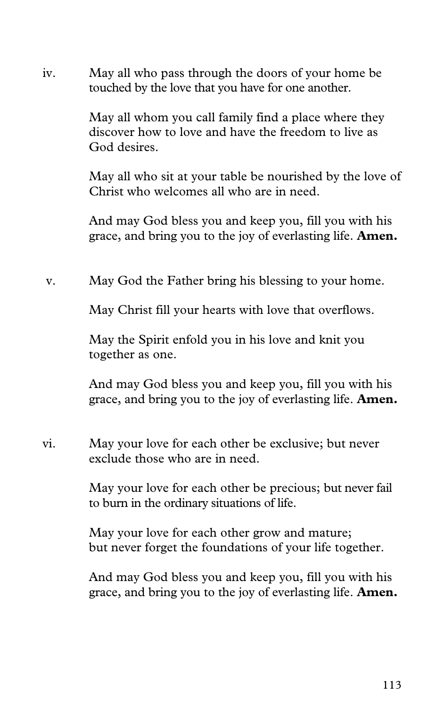iv. May all who pass through the doors of your home be touched by the love that you have for one another.

> May all whom you call family find a place where they discover how to love and have the freedom to live as God desires.

 May all who sit at your table be nourished by the love of Christ who welcomes all who are in need.

And may God bless you and keep you, fill you with his grace, and bring you to the joy of everlasting life. **Amen.**

v. May God the Father bring his blessing to your home.

May Christ fill your hearts with love that overflows.

 May the Spirit enfold you in his love and knit you together as one.

And may God bless you and keep you, fill you with his grace, and bring you to the joy of everlasting life. **Amen.**

vi. May your love for each other be exclusive; but never exclude those who are in need.

> May your love for each other be precious; but never fail to burn in the ordinary situations of life.

 May your love for each other grow and mature; but never forget the foundations of your life together.

And may God bless you and keep you, fill you with his grace, and bring you to the joy of everlasting life. **Amen.**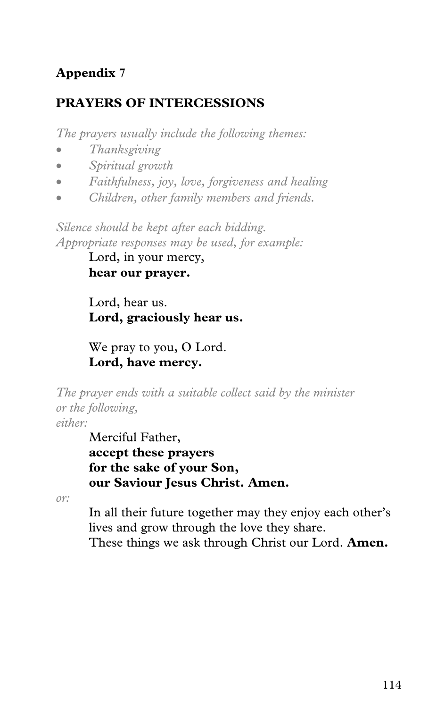# **PRAYERS OF INTERCESSIONS**

*The prayers usually include the following themes:* 

- *Thanksgiving*
- *Spiritual growth*
- *Faithfulness, joy, love, forgiveness and healing*
- *Children, other family members and friends.*

*Silence should be kept after each bidding. Appropriate responses may be used, for example:* 

> Lord, in your mercy, **hear our prayer.**

Lord, hear us. **Lord, graciously hear us.** 

We pray to you, O Lord. **Lord, have mercy.** 

*The prayer ends with a suitable collect said by the minister or the following,* 

*either:* 

Merciful Father, **accept these prayers for the sake of your Son, our Saviour Jesus Christ. Amen.** 

*or:* 

 In all their future together may they enjoy each other's lives and grow through the love they share. These things we ask through Christ our Lord. **Amen.**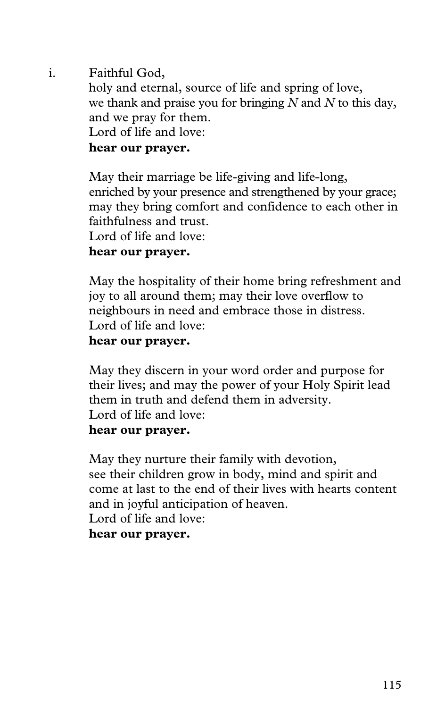i. Faithful God, holy and eternal, source of life and spring of love, we thank and praise you for bringing *N* and *N* to this day, and we pray for them. Lord of life and love:

### **hear our prayer.**

May their marriage be life-giving and life-long, enriched by your presence and strengthened by your grace; may they bring comfort and confidence to each other in faithfulness and trust. Lord of life and love:  **hear our prayer.**

 May the hospitality of their home bring refreshment and joy to all around them; may their love overflow to neighbours in need and embrace those in distress. Lord of life and love:  **hear our prayer.**

 May they discern in your word order and purpose for their lives; and may the power of your Holy Spirit lead them in truth and defend them in adversity. Lord of life and love:

# **hear our prayer.**

 May they nurture their family with devotion, see their children grow in body, mind and spirit and come at last to the end of their lives with hearts content and in joyful anticipation of heaven. Lord of life and love:  **hear our prayer.**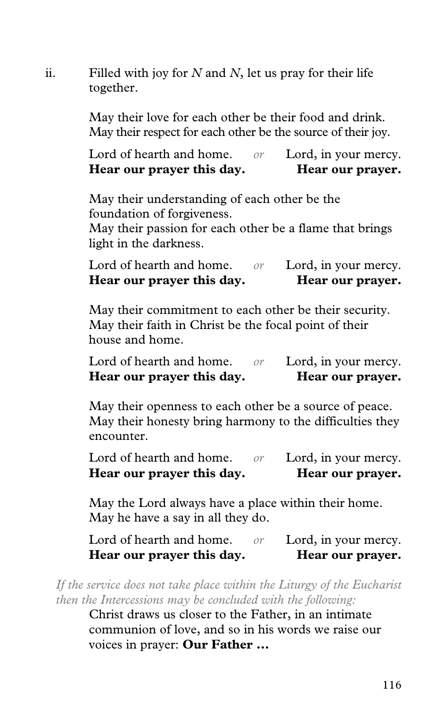ii. Filled with joy for *N* and *N*, let us pray for their life together.

> May their love for each other be their food and drink. May their respect for each other be the source of their joy.

 Lord of hearth and home. *or* Lord, in your mercy. Hear our prayer this day. **Hear our prayer.** 

May their understanding of each other be the foundation of forgiveness.

May their passion for each other be a flame that brings light in the darkness.

| Hear our prayer this day. | Hear our prayer.                   |
|---------------------------|------------------------------------|
| Lord of hearth and home.  | Lord, in your mercy.<br>$\Omega r$ |

 May their commitment to each other be their security. May their faith in Christ be the focal point of their house and home.

| Hear our prayer this day. | Hear our prayer.     |
|---------------------------|----------------------|
| Lord of hearth and home.  | Lord, in your mercy. |

 May their openness to each other be a source of peace. May their honesty bring harmony to the difficulties they encounter.

| Hear our prayer this day. | Hear our prayer.     |
|---------------------------|----------------------|
| Lord of hearth and home.  | Lord, in your mercy. |

May the Lord always have a place within their home. May he have a say in all they do.

| Hear our prayer this day. | Hear our prayer.     |
|---------------------------|----------------------|
| Lord of hearth and home.  | Lord, in your mercy. |

*If the service does not take place within the Liturgy of the Eucharist then the Intercessions may be concluded with the following:* 

Christ draws us closer to the Father, in an intimate communion of love, and so in his words we raise our voices in prayer: **Our Father …**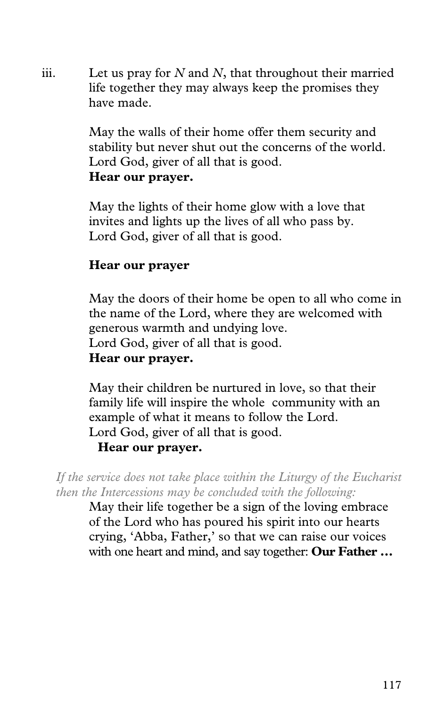iii. Let us pray for *N* and *N*, that throughout their married life together they may always keep the promises they have made.

> May the walls of their home offer them security and stability but never shut out the concerns of the world. Lord God, giver of all that is good.  **Hear our prayer.**

May the lights of their home glow with a love that invites and lights up the lives of all who pass by. Lord God, giver of all that is good.

## **Hear our prayer**

May the doors of their home be open to all who come in the name of the Lord, where they are welcomed with generous warmth and undying love. Lord God, giver of all that is good.  **Hear our prayer.** 

May their children be nurtured in love, so that their family life will inspire the whole community with an example of what it means to follow the Lord. Lord God, giver of all that is good.

## **Hear our prayer.**

*If the service does not take place within the Liturgy of the Eucharist then the Intercessions may be concluded with the following:* 

May their life together be a sign of the loving embrace of the Lord who has poured his spirit into our hearts crying, 'Abba, Father,' so that we can raise our voices with one heart and mind, and say together: **Our Father …**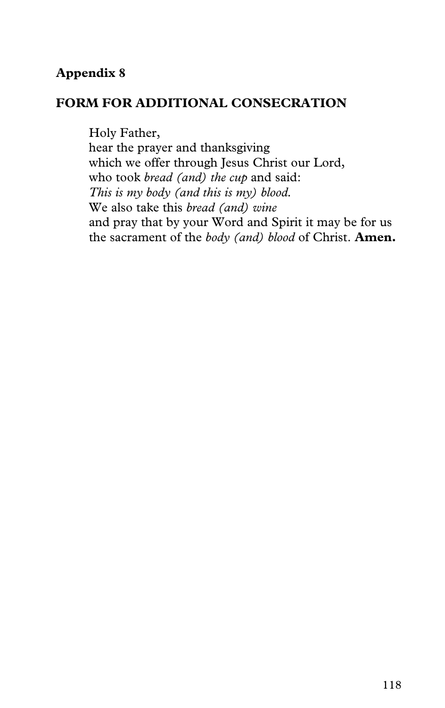## **FORM FOR ADDITIONAL CONSECRATION**

 Holy Father, hear the prayer and thanksgiving which we offer through Jesus Christ our Lord, who took *bread (and) the cup* and said: *This is my body (and this is my) blood.* We also take this *bread (and) wine* and pray that by your Word and Spirit it may be for us the sacrament of the *body (and) blood* of Christ. **Amen.**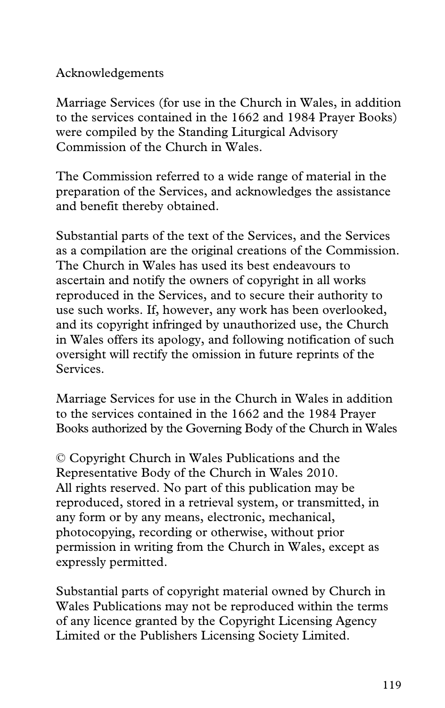# Acknowledgements

Marriage Services (for use in the Church in Wales, in addition to the services contained in the 1662 and 1984 Prayer Books) were compiled by the Standing Liturgical Advisory Commission of the Church in Wales.

The Commission referred to a wide range of material in the preparation of the Services, and acknowledges the assistance and benefit thereby obtained.

Substantial parts of the text of the Services, and the Services as a compilation are the original creations of the Commission. The Church in Wales has used its best endeavours to ascertain and notify the owners of copyright in all works reproduced in the Services, and to secure their authority to use such works. If, however, any work has been overlooked, and its copyright infringed by unauthorized use, the Church in Wales offers its apology, and following notification of such oversight will rectify the omission in future reprints of the **Services** 

Marriage Services for use in the Church in Wales in addition to the services contained in the 1662 and the 1984 Prayer Books authorized by the Governing Body of the Church in Wales

© Copyright Church in Wales Publications and the Representative Body of the Church in Wales 2010. All rights reserved. No part of this publication may be reproduced, stored in a retrieval system, or transmitted, in any form or by any means, electronic, mechanical, photocopying, recording or otherwise, without prior permission in writing from the Church in Wales, except as expressly permitted.

Substantial parts of copyright material owned by Church in Wales Publications may not be reproduced within the terms of any licence granted by the Copyright Licensing Agency Limited or the Publishers Licensing Society Limited.